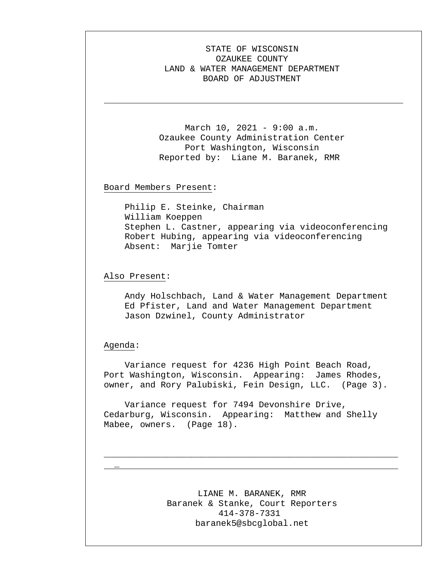## STATE OF WISCONSIN OZAUKEE COUNTY LAND & WATER MANAGEMENT DEPARTMENT BOARD OF ADJUSTMENT

March 10, 2021 - 9:00 a.m. Ozaukee County Administration Center Port Washington, Wisconsin Reported by: Liane M. Baranek, RMR

Board Members Present:

Philip E. Steinke, Chairman William Koeppen Stephen L. Castner, appearing via videoconferencing Robert Hubing, appearing via videoconferencing Absent: Marjie Tomter

Also Present:

Andy Holschbach, Land & Water Management Department Ed Pfister, Land and Water Management Department Jason Dzwinel, County Administrator

Agenda:

\_

Variance request for 4236 High Point Beach Road, Port Washington, Wisconsin. Appearing: James Rhodes, owner, and Rory Palubiski, Fein Design, LLC. (Page 3).

Variance request for 7494 Devonshire Drive, Cedarburg, Wisconsin. Appearing: Matthew and Shelly Mabee, owners. (Page 18).

> LIANE M. BARANEK, RMR Baranek & Stanke, Court Reporters 414-378-7331 baranek5@sbcglobal.net

\_\_\_\_\_\_\_\_\_\_\_\_\_\_\_\_\_\_\_\_\_\_\_\_\_\_\_\_\_\_\_\_\_\_\_\_\_\_\_\_\_\_\_\_\_\_\_\_\_\_\_\_\_\_\_\_\_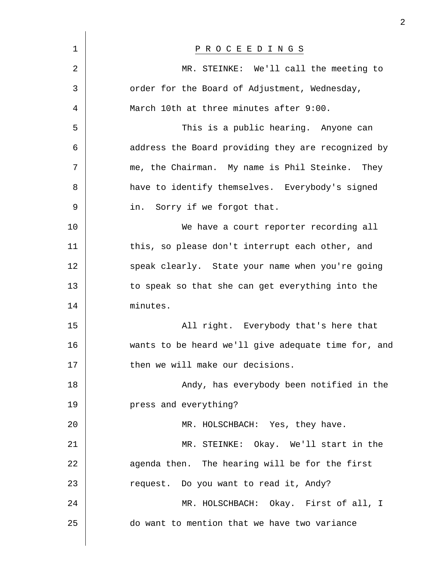| $\mathbf 1$ | P R O C E E D I N G S                               |
|-------------|-----------------------------------------------------|
| 2           | MR. STEINKE: We'll call the meeting to              |
| 3           | order for the Board of Adjustment, Wednesday,       |
| 4           | March 10th at three minutes after 9:00.             |
| 5           | This is a public hearing. Anyone can                |
| 6           | address the Board providing they are recognized by  |
| 7           | me, the Chairman. My name is Phil Steinke. They     |
| 8           | have to identify themselves. Everybody's signed     |
| 9           | in. Sorry if we forgot that.                        |
| 10          | We have a court reporter recording all              |
| 11          | this, so please don't interrupt each other, and     |
| 12          | speak clearly. State your name when you're going    |
| 13          | to speak so that she can get everything into the    |
| 14          | minutes.                                            |
| 15          | All right. Everybody that's here that               |
| 16          | wants to be heard we'll give adequate time for, and |
| 17          | then we will make our decisions.                    |
| 18          | Andy, has everybody been notified in the            |
| 19          | press and everything?                               |
| 20          | MR. HOLSCHBACH: Yes, they have.                     |
| 21          | MR. STEINKE: Okay. We'll start in the               |
| 22          | agenda then. The hearing will be for the first      |
| 23          | request. Do you want to read it, Andy?              |
| 24          | MR. HOLSCHBACH: Okay. First of all, I               |
| 25          | do want to mention that we have two variance        |
|             |                                                     |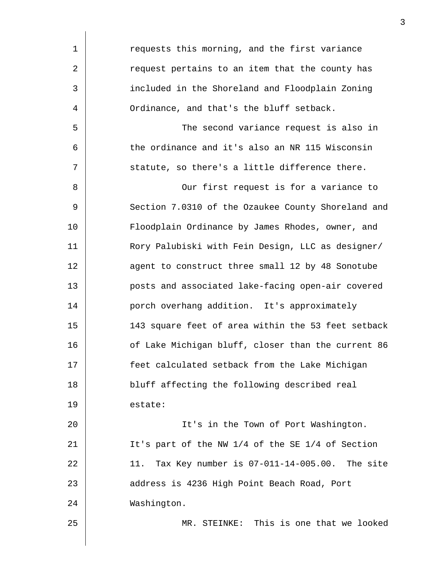| 1  | requests this morning, and the first variance      |
|----|----------------------------------------------------|
| 2  | request pertains to an item that the county has    |
| 3  | included in the Shoreland and Floodplain Zoning    |
| 4  | Ordinance, and that's the bluff setback.           |
| 5  | The second variance request is also in             |
| 6  | the ordinance and it's also an NR 115 Wisconsin    |
| 7  | statute, so there's a little difference there.     |
| 8  | Our first request is for a variance to             |
| 9  | Section 7.0310 of the Ozaukee County Shoreland and |
| 10 | Floodplain Ordinance by James Rhodes, owner, and   |
| 11 | Rory Palubiski with Fein Design, LLC as designer/  |
| 12 | agent to construct three small 12 by 48 Sonotube   |
| 13 | posts and associated lake-facing open-air covered  |
| 14 | porch overhang addition. It's approximately        |
| 15 | 143 square feet of area within the 53 feet setback |
| 16 | of Lake Michigan bluff, closer than the current 86 |
| 17 | feet calculated setback from the Lake Michigan     |
| 18 | bluff affecting the following described real       |
| 19 | estate:                                            |
| 20 | It's in the Town of Port Washington.               |
| 21 | It's part of the NW 1/4 of the SE 1/4 of Section   |
| 22 | 11. Tax Key number is 07-011-14-005.00. The site   |
| 23 | address is 4236 High Point Beach Road, Port        |
| 24 | Washington.                                        |
| 25 | MR. STEINKE: This is one that we looked            |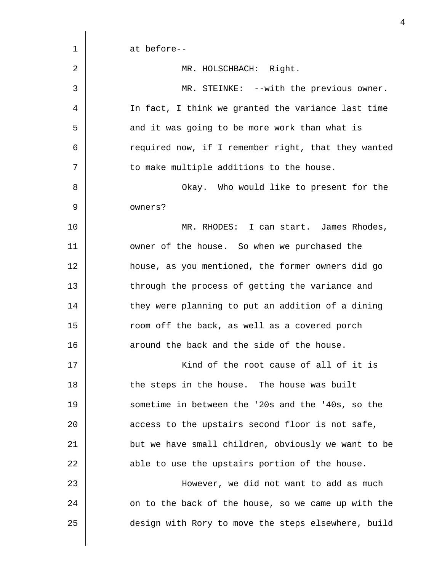| 1  | at before--                                         |
|----|-----------------------------------------------------|
| 2  | MR. HOLSCHBACH: Right.                              |
| 3  | MR. STEINKE: --with the previous owner.             |
| 4  | In fact, I think we granted the variance last time  |
| 5  | and it was going to be more work than what is       |
| 6  | required now, if I remember right, that they wanted |
| 7  | to make multiple additions to the house.            |
| 8  | Okay. Who would like to present for the             |
| 9  | owners?                                             |
| 10 | MR. RHODES: I can start. James Rhodes,              |
| 11 | owner of the house. So when we purchased the        |
| 12 | house, as you mentioned, the former owners did go   |
| 13 | through the process of getting the variance and     |
| 14 | they were planning to put an addition of a dining   |
| 15 | room off the back, as well as a covered porch       |
| 16 | around the back and the side of the house.          |
| 17 | Kind of the root cause of all of it is              |
| 18 | the steps in the house. The house was built         |
| 19 | sometime in between the '20s and the '40s, so the   |
| 20 | access to the upstairs second floor is not safe,    |
| 21 | but we have small children, obviously we want to be |
| 22 | able to use the upstairs portion of the house.      |
| 23 | However, we did not want to add as much             |
| 24 | on to the back of the house, so we came up with the |
| 25 | design with Rory to move the steps elsewhere, build |
|    |                                                     |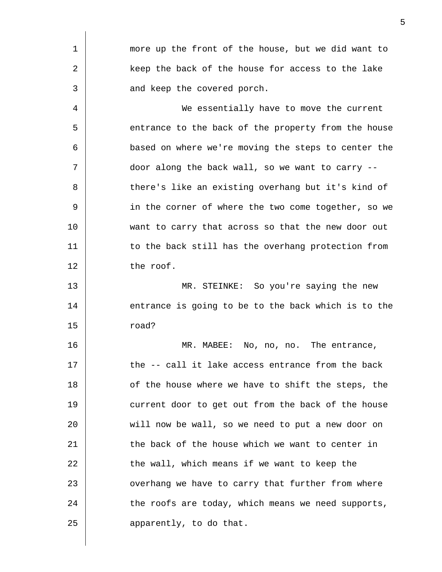| 1  | more up the front of the house, but we did want to  |
|----|-----------------------------------------------------|
| 2  | keep the back of the house for access to the lake   |
| 3  | and keep the covered porch.                         |
| 4  | We essentially have to move the current             |
| 5  | entrance to the back of the property from the house |
| 6  | based on where we're moving the steps to center the |
| 7  | door along the back wall, so we want to carry --    |
| 8  | there's like an existing overhang but it's kind of  |
| 9  | in the corner of where the two come together, so we |
| 10 | want to carry that across so that the new door out  |
| 11 | to the back still has the overhang protection from  |
| 12 | the roof.                                           |
| 13 | MR. STEINKE: So you're saying the new               |
| 14 | entrance is going to be to the back which is to the |
| 15 | road?                                               |
| 16 | MR. MABEE: No, no, no. The entrance,                |
| 17 | the -- call it lake access entrance from the back   |
| 18 | of the house where we have to shift the steps, the  |
| 19 | current door to get out from the back of the house  |
| 20 | will now be wall, so we need to put a new door on   |
| 21 | the back of the house which we want to center in    |
| 22 | the wall, which means if we want to keep the        |
| 23 | overhang we have to carry that further from where   |
| 24 | the roofs are today, which means we need supports,  |
| 25 | apparently, to do that.                             |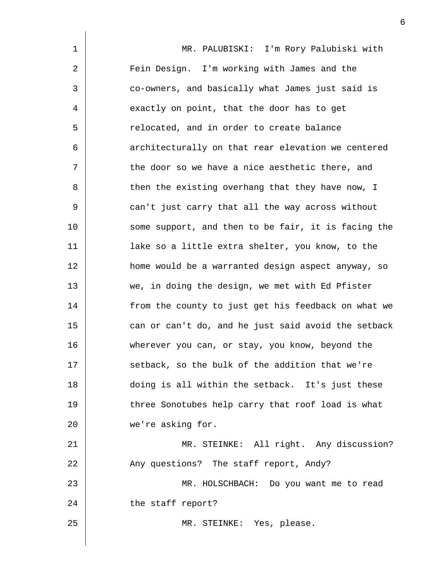1 2 3 4 5 6 7 8 9 10 11 12 13 14 15 16 17 18 19 20 21 22 23 24 25 MR. PALUBISKI: I'm Rory Palubiski with Fein Design. I'm working with James and the co-owners, and basically what James just said is exactly on point, that the door has to get relocated, and in order to create balance architecturally on that rear elevation we centered the door so we have a nice aesthetic there, and then the existing overhang that they have now, I can't just carry that all the way across without some support, and then to be fair, it is facing the lake so a little extra shelter, you know, to the home would be a warranted design aspect anyway, so we, in doing the design, we met with Ed Pfister from the county to just get his feedback on what we can or can't do, and he just said avoid the setback wherever you can, or stay, you know, beyond the setback, so the bulk of the addition that we're doing is all within the setback. It's just these three Sonotubes help carry that roof load is what we're asking for. MR. STEINKE: All right. Any discussion? Any questions? The staff report, Andy? MR. HOLSCHBACH: Do you want me to read the staff report? MR. STEINKE: Yes, please.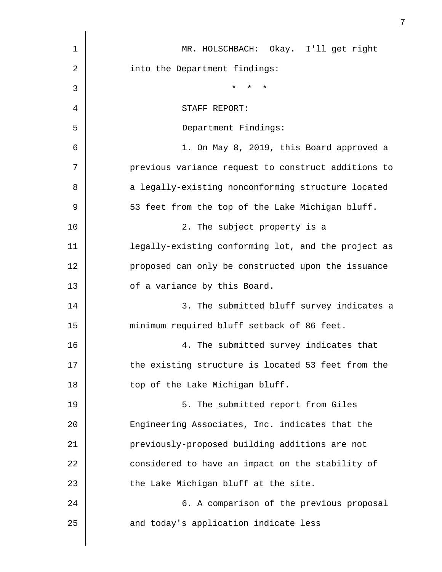| $\mathbf 1$  | MR. HOLSCHBACH: Okay. I'll get right                |
|--------------|-----------------------------------------------------|
| 2            | into the Department findings:                       |
| $\mathbf{3}$ | $\star$<br>$^\star$<br>$\star$                      |
| 4            | STAFF REPORT:                                       |
| 5            | Department Findings:                                |
| 6            | 1. On May 8, 2019, this Board approved a            |
| 7            | previous variance request to construct additions to |
| 8            | a legally-existing nonconforming structure located  |
| $\mathsf 9$  | 53 feet from the top of the Lake Michigan bluff.    |
| 10           | 2. The subject property is a                        |
| 11           | legally-existing conforming lot, and the project as |
| 12           | proposed can only be constructed upon the issuance  |
| 13           | of a variance by this Board.                        |
| 14           | 3. The submitted bluff survey indicates a           |
| 15           | minimum required bluff setback of 86 feet.          |
| 16           | 4. The submitted survey indicates that              |
| 17           | the existing structure is located 53 feet from the  |
| 18           | top of the Lake Michigan bluff.                     |
| 19           | 5. The submitted report from Giles                  |
| 20           | Engineering Associates, Inc. indicates that the     |
| 21           | previously-proposed building additions are not      |
| 22           | considered to have an impact on the stability of    |
| 23           | the Lake Michigan bluff at the site.                |
| 24           | 6. A comparison of the previous proposal            |
| 25           | and today's application indicate less               |
|              |                                                     |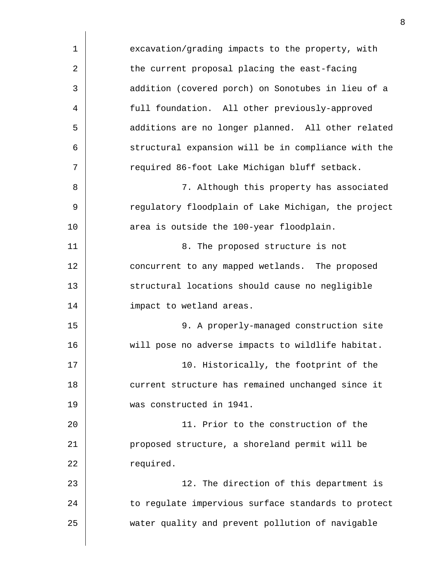| 1              | excavation/grading impacts to the property, with    |
|----------------|-----------------------------------------------------|
| $\overline{2}$ | the current proposal placing the east-facing        |
| 3              | addition (covered porch) on Sonotubes in lieu of a  |
| 4              | full foundation. All other previously-approved      |
| 5              | additions are no longer planned. All other related  |
| 6              | structural expansion will be in compliance with the |
| 7              | required 86-foot Lake Michigan bluff setback.       |
| 8              | 7. Although this property has associated            |
| 9              | regulatory floodplain of Lake Michigan, the project |
| 10             | area is outside the 100-year floodplain.            |
| 11             | 8. The proposed structure is not                    |
| 12             | concurrent to any mapped wetlands. The proposed     |
| 13             | structural locations should cause no negligible     |
| 14             | impact to wetland areas.                            |
| 15             | 9. A properly-managed construction site             |
| 16             | will pose no adverse impacts to wildlife habitat.   |
| 17             | 10. Historically, the footprint of the              |
| 18             | current structure has remained unchanged since it   |
| 19             | was constructed in 1941.                            |
| 20             | 11. Prior to the construction of the                |
| 21             | proposed structure, a shoreland permit will be      |
| 22             | required.                                           |
| 23             | 12. The direction of this department is             |
| 24             | to regulate impervious surface standards to protect |
| 25             | water quality and prevent pollution of navigable    |
|                |                                                     |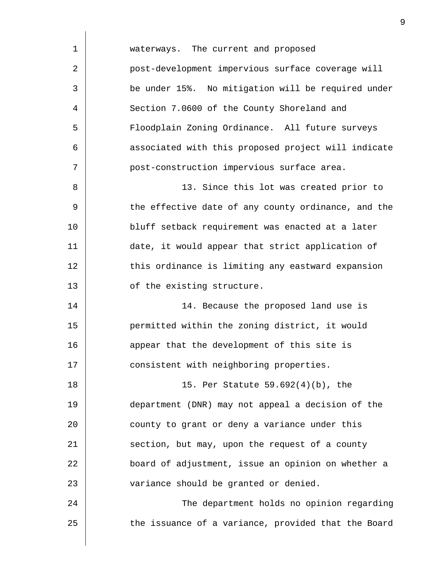| waterways. The current and proposed                 |
|-----------------------------------------------------|
| post-development impervious surface coverage will   |
| be under 15%. No mitigation will be required under  |
| Section 7.0600 of the County Shoreland and          |
| Floodplain Zoning Ordinance. All future surveys     |
| associated with this proposed project will indicate |
| post-construction impervious surface area.          |
| 13. Since this lot was created prior to             |
| the effective date of any county ordinance, and the |
| bluff setback requirement was enacted at a later    |
| date, it would appear that strict application of    |
| this ordinance is limiting any eastward expansion   |
| of the existing structure.                          |
| 14. Because the proposed land use is                |
| permitted within the zoning district, it would      |
| appear that the development of this site is         |
| consistent with neighboring properties.             |
| 15. Per Statute 59.692(4)(b), the                   |
| department (DNR) may not appeal a decision of the   |
| county to grant or deny a variance under this       |
| section, but may, upon the request of a county      |
| board of adjustment, issue an opinion on whether a  |
| variance should be granted or denied.               |
| The department holds no opinion regarding           |
| the issuance of a variance, provided that the Board |
|                                                     |

 $\overline{\phantom{a}}$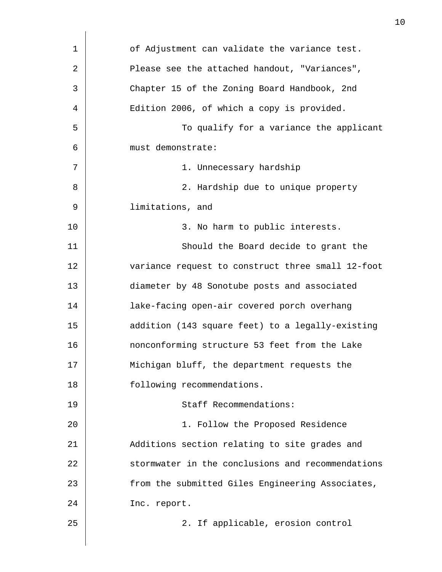| 1  | of Adjustment can validate the variance test.     |
|----|---------------------------------------------------|
| 2  | Please see the attached handout, "Variances",     |
| 3  | Chapter 15 of the Zoning Board Handbook, 2nd      |
| 4  | Edition 2006, of which a copy is provided.        |
| 5  | To qualify for a variance the applicant           |
| 6  | must demonstrate:                                 |
| 7  | 1. Unnecessary hardship                           |
| 8  | 2. Hardship due to unique property                |
| 9  | limitations, and                                  |
| 10 | 3. No harm to public interests.                   |
| 11 | Should the Board decide to grant the              |
| 12 | variance request to construct three small 12-foot |
| 13 | diameter by 48 Sonotube posts and associated      |
| 14 | lake-facing open-air covered porch overhang       |
| 15 | addition (143 square feet) to a legally-existing  |
| 16 | nonconforming structure 53 feet from the Lake     |
| 17 | Michigan bluff, the department requests the       |
| 18 | following recommendations.                        |
| 19 | Staff Recommendations:                            |
| 20 | 1. Follow the Proposed Residence                  |
| 21 | Additions section relating to site grades and     |
| 22 | stormwater in the conclusions and recommendations |
| 23 | from the submitted Giles Engineering Associates,  |
| 24 | Inc. report.                                      |
| 25 | 2. If applicable, erosion control                 |
|    |                                                   |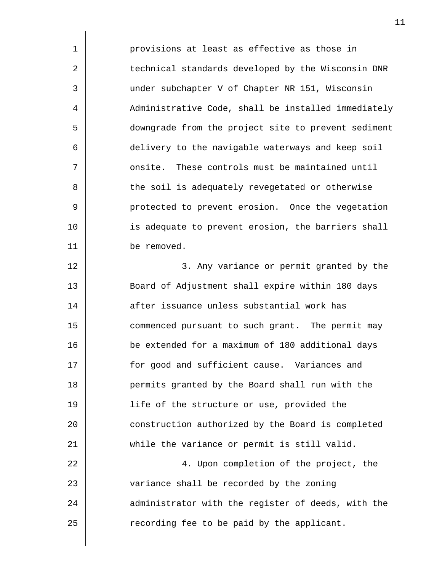| 1              | provisions at least as effective as those in        |
|----------------|-----------------------------------------------------|
| $\overline{2}$ | technical standards developed by the Wisconsin DNR  |
| 3              | under subchapter V of Chapter NR 151, Wisconsin     |
| 4              | Administrative Code, shall be installed immediately |
| 5              | downgrade from the project site to prevent sediment |
| 6              | delivery to the navigable waterways and keep soil   |
| 7              | onsite. These controls must be maintained until     |
| 8              | the soil is adequately revegetated or otherwise     |
| 9              | protected to prevent erosion. Once the vegetation   |
| 10             | is adequate to prevent erosion, the barriers shall  |
| 11             | be removed.                                         |
| 12             | 3. Any variance or permit granted by the            |
| 13             | Board of Adjustment shall expire within 180 days    |
| 14             | after issuance unless substantial work has          |
| 15             | commenced pursuant to such grant. The permit may    |
| 16             | be extended for a maximum of 180 additional days    |
| 17             | for good and sufficient cause. Variances and        |
| 18             | permits granted by the Board shall run with the     |
| 19             | life of the structure or use, provided the          |
| 20             | construction authorized by the Board is completed   |
| 21             | while the variance or permit is still valid.        |
| 22             | 4. Upon completion of the project, the              |
| 23             | variance shall be recorded by the zoning            |
| 24             | administrator with the register of deeds, with the  |
| 25             | recording fee to be paid by the applicant.          |
|                |                                                     |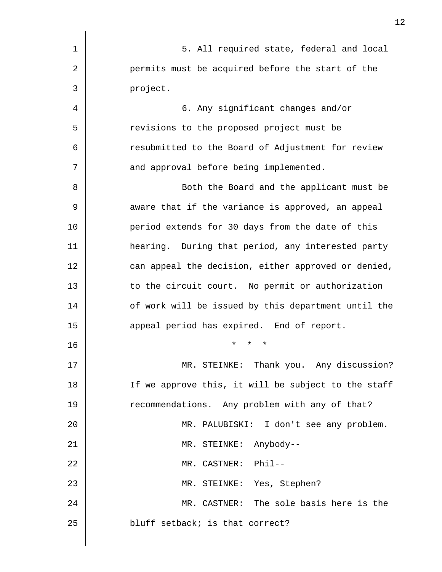| $\mathbf 1$ | 5. All required state, federal and local            |
|-------------|-----------------------------------------------------|
| 2           | permits must be acquired before the start of the    |
| 3           | project.                                            |
| 4           | 6. Any significant changes and/or                   |
| 5           | revisions to the proposed project must be           |
| 6           | resubmitted to the Board of Adjustment for review   |
| 7           | and approval before being implemented.              |
| 8           | Both the Board and the applicant must be            |
| 9           | aware that if the variance is approved, an appeal   |
| 10          | period extends for 30 days from the date of this    |
| 11          | hearing. During that period, any interested party   |
| 12          | can appeal the decision, either approved or denied, |
| 13          | to the circuit court. No permit or authorization    |
| 14          | of work will be issued by this department until the |
| 15          | appeal period has expired. End of report.           |
| 16          | $\star$<br>*<br>$\star$                             |
| 17          | MR. STEINKE: Thank you. Any discussion?             |
| 18          | If we approve this, it will be subject to the staff |
| 19          | recommendations. Any problem with any of that?      |
| 20          | MR. PALUBISKI: I don't see any problem.             |
| 21          | MR. STEINKE: Anybody--                              |
| 22          | MR. CASTNER: Phil--                                 |
| 23          | MR. STEINKE: Yes, Stephen?                          |
| 24          | MR. CASTNER: The sole basis here is the             |
| 25          | bluff setback; is that correct?                     |
|             |                                                     |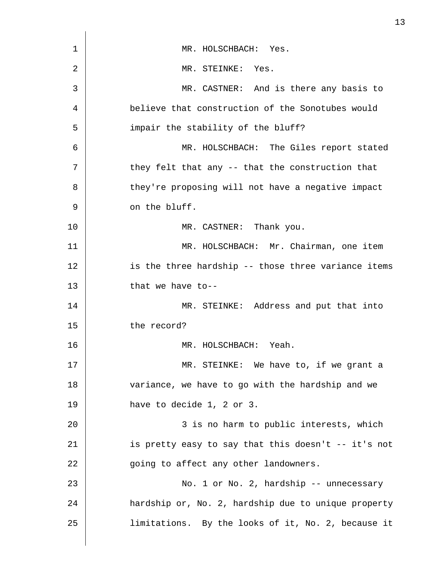| 1  | MR. HOLSCHBACH: Yes.                                |
|----|-----------------------------------------------------|
| 2  | MR. STEINKE: Yes.                                   |
| 3  | MR. CASTNER: And is there any basis to              |
| 4  | believe that construction of the Sonotubes would    |
| 5  | impair the stability of the bluff?                  |
| 6  | MR. HOLSCHBACH: The Giles report stated             |
| 7  | they felt that any -- that the construction that    |
| 8  | they're proposing will not have a negative impact   |
| 9  | on the bluff.                                       |
| 10 | MR. CASTNER: Thank you.                             |
| 11 | MR. HOLSCHBACH: Mr. Chairman, one item              |
| 12 | is the three hardship -- those three variance items |
| 13 | that we have to--                                   |
| 14 | MR. STEINKE: Address and put that into              |
| 15 | the record?                                         |
| 16 | MR. HOLSCHBACH: Yeah.                               |
| 17 | MR. STEINKE: We have to, if we grant a              |
| 18 | variance, we have to go with the hardship and we    |
| 19 | have to decide 1, 2 or 3.                           |
| 20 | 3 is no harm to public interests, which             |
| 21 | is pretty easy to say that this doesn't -- it's not |
| 22 | going to affect any other landowners.               |
| 23 | No. 1 or No. 2, hardship -- unnecessary             |
| 24 | hardship or, No. 2, hardship due to unique property |
| 25 | limitations. By the looks of it, No. 2, because it  |
|    |                                                     |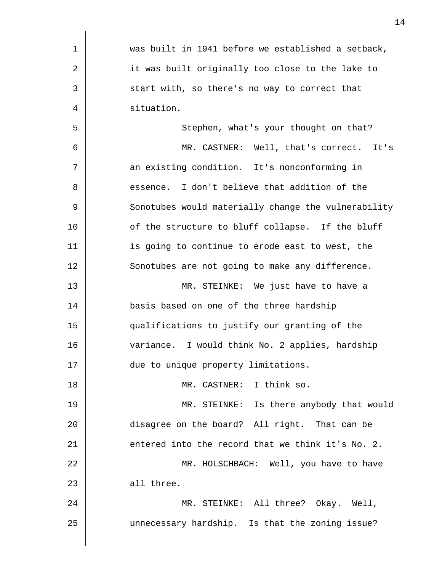| 1  | was built in 1941 before we established a setback,  |
|----|-----------------------------------------------------|
| 2  | it was built originally too close to the lake to    |
| 3  | start with, so there's no way to correct that       |
| 4  | situation.                                          |
| 5  | Stephen, what's your thought on that?               |
| 6  | MR. CASTNER: Well, that's correct. It's             |
| 7  | an existing condition. It's nonconforming in        |
| 8  | essence. I don't believe that addition of the       |
| 9  | Sonotubes would materially change the vulnerability |
| 10 | of the structure to bluff collapse. If the bluff    |
| 11 | is going to continue to erode east to west, the     |
| 12 | Sonotubes are not going to make any difference.     |
| 13 | MR. STEINKE: We just have to have a                 |
| 14 | basis based on one of the three hardship            |
| 15 | qualifications to justify our granting of the       |
| 16 | variance. I would think No. 2 applies, hardship     |
| 17 | due to unique property limitations.                 |
| 18 | MR. CASTNER: I think so.                            |
| 19 | MR. STEINKE: Is there anybody that would            |
| 20 | disagree on the board? All right. That can be       |
| 21 | entered into the record that we think it's No. 2.   |
| 22 | MR. HOLSCHBACH: Well, you have to have              |
| 23 | all three.                                          |
| 24 | MR. STEINKE: All three? Okay. Well,                 |
| 25 | unnecessary hardship. Is that the zoning issue?     |
|    |                                                     |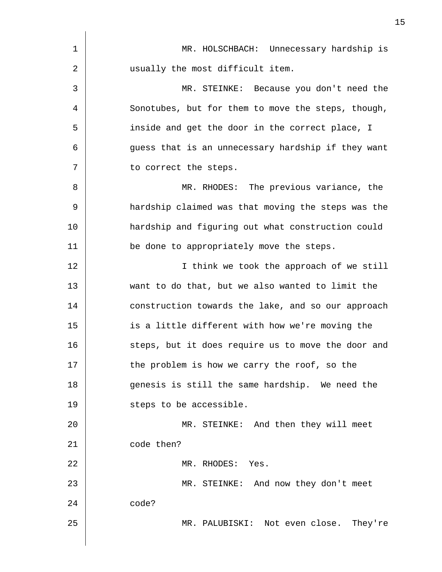| 1  | MR. HOLSCHBACH: Unnecessary hardship is            |
|----|----------------------------------------------------|
| 2  | usually the most difficult item.                   |
| 3  | MR. STEINKE: Because you don't need the            |
| 4  | Sonotubes, but for them to move the steps, though, |
| 5  | inside and get the door in the correct place, I    |
| 6  | guess that is an unnecessary hardship if they want |
| 7  | to correct the steps.                              |
| 8  | MR. RHODES: The previous variance, the             |
| 9  | hardship claimed was that moving the steps was the |
| 10 | hardship and figuring out what construction could  |
| 11 | be done to appropriately move the steps.           |
| 12 | I think we took the approach of we still           |
| 13 | want to do that, but we also wanted to limit the   |
| 14 | construction towards the lake, and so our approach |
| 15 | is a little different with how we're moving the    |
| 16 | steps, but it does require us to move the door and |
| 17 | the problem is how we carry the roof, so the       |
| 18 | genesis is still the same hardship. We need the    |
| 19 | steps to be accessible.                            |
| 20 | MR. STEINKE: And then they will meet               |
| 21 | code then?                                         |
| 22 | MR. RHODES: Yes.                                   |
| 23 | MR. STEINKE: And now they don't meet               |
| 24 | code?                                              |
| 25 | MR. PALUBISKI: Not even close. They're             |
|    |                                                    |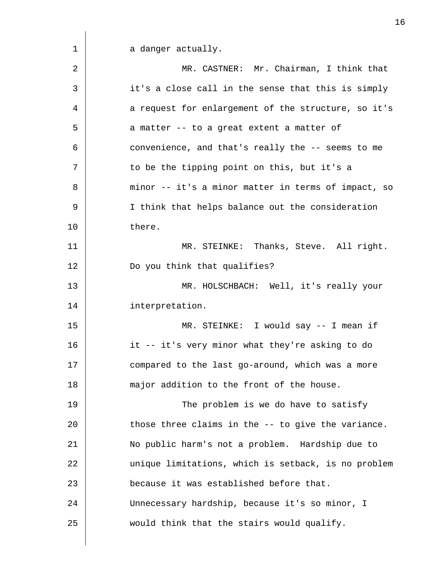a danger actually.

| $\overline{2}$ | MR. CASTNER: Mr. Chairman, I think that             |
|----------------|-----------------------------------------------------|
| 3              | it's a close call in the sense that this is simply  |
| 4              | a request for enlargement of the structure, so it's |
| 5              | a matter -- to a great extent a matter of           |
| 6              | convenience, and that's really the -- seems to me   |
| 7              | to be the tipping point on this, but it's a         |
| 8              | minor -- it's a minor matter in terms of impact, so |
| 9              | I think that helps balance out the consideration    |
| 10             | there.                                              |
| 11             | MR. STEINKE: Thanks, Steve. All right.              |
| 12             | Do you think that qualifies?                        |
| 13             | MR. HOLSCHBACH: Well, it's really your              |
| 14             | interpretation.                                     |
| 15             | MR. STEINKE: I would say -- I mean if               |
| 16             | it -- it's very minor what they're asking to do     |
| 17             | compared to the last go-around, which was a more    |
| 18             | major addition to the front of the house.           |
| 19             | The problem is we do have to satisfy                |
| 20             | those three claims in the -- to give the variance.  |
| 21             | No public harm's not a problem. Hardship due to     |
| 22             | unique limitations, which is setback, is no problem |
| 23             | because it was established before that.             |
| 24             | Unnecessary hardship, because it's so minor, I      |
| 25             | would think that the stairs would qualify.          |
|                |                                                     |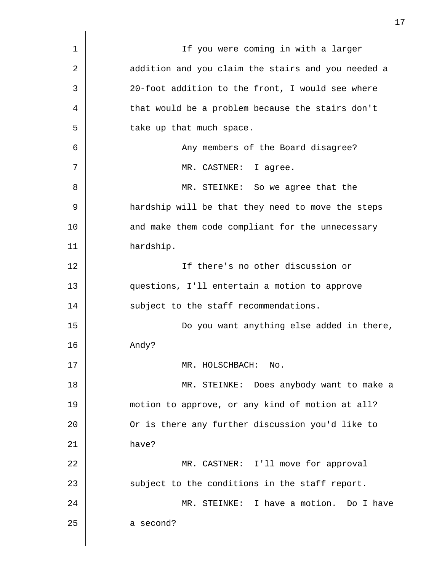| 1  | If you were coming in with a larger                |
|----|----------------------------------------------------|
| 2  | addition and you claim the stairs and you needed a |
| 3  | 20-foot addition to the front, I would see where   |
| 4  | that would be a problem because the stairs don't   |
| 5  | take up that much space.                           |
| 6  | Any members of the Board disagree?                 |
| 7  | MR. CASTNER: I agree.                              |
| 8  | MR. STEINKE: So we agree that the                  |
| 9  | hardship will be that they need to move the steps  |
| 10 | and make them code compliant for the unnecessary   |
| 11 | hardship.                                          |
| 12 | If there's no other discussion or                  |
| 13 | questions, I'll entertain a motion to approve      |
| 14 | subject to the staff recommendations.              |
| 15 | Do you want anything else added in there,          |
| 16 | Andy?                                              |
| 17 | MR. HOLSCHBACH:<br>No.                             |
| 18 | MR. STEINKE: Does anybody want to make a           |
| 19 | motion to approve, or any kind of motion at all?   |
| 20 | Or is there any further discussion you'd like to   |
| 21 | have?                                              |
| 22 | MR. CASTNER: I'll move for approval                |
| 23 | subject to the conditions in the staff report.     |
| 24 | MR. STEINKE: I have a motion. Do I have            |
| 25 | a second?                                          |
|    |                                                    |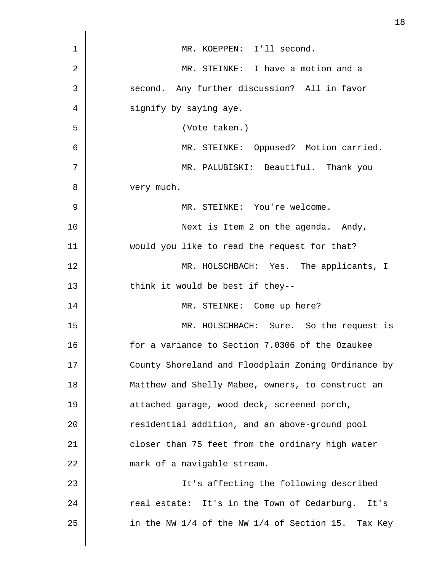| $\mathbf 1$ | MR. KOEPPEN: I'll second.                           |
|-------------|-----------------------------------------------------|
| 2           | MR. STEINKE: I have a motion and a                  |
| 3           | second. Any further discussion? All in favor        |
| 4           | signify by saying aye.                              |
| 5           | (Vote taken.)                                       |
| 6           | MR. STEINKE: Opposed? Motion carried.               |
| 7           | MR. PALUBISKI: Beautiful. Thank you                 |
| 8           | very much.                                          |
| 9           | MR. STEINKE: You're welcome.                        |
| 10          | Next is Item 2 on the agenda. Andy,                 |
| 11          | would you like to read the request for that?        |
| 12          | MR. HOLSCHBACH: Yes. The applicants, I              |
| 13          | think it would be best if they--                    |
| 14          | MR. STEINKE: Come up here?                          |
| 15          | MR. HOLSCHBACH: Sure. So the request is             |
| 16          | for a variance to Section 7.0306 of the Ozaukee     |
| 17          | County Shoreland and Floodplain Zoning Ordinance by |
| 18          | Matthew and Shelly Mabee, owners, to construct an   |
| 19          | attached garage, wood deck, screened porch,         |
| 20          | residential addition, and an above-ground pool      |
| 21          | closer than 75 feet from the ordinary high water    |
| 22          | mark of a navigable stream.                         |
| 23          | It's affecting the following described              |
| 24          | real estate: It's in the Town of Cedarburg. It's    |
| 25          | in the NW 1/4 of the NW 1/4 of Section 15. Tax Key  |
|             |                                                     |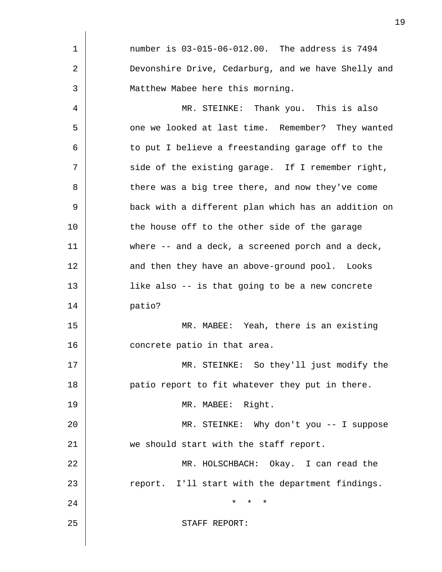| 1  | number is 03-015-06-012.00. The address is 7494     |
|----|-----------------------------------------------------|
| 2  | Devonshire Drive, Cedarburg, and we have Shelly and |
| 3  | Matthew Mabee here this morning.                    |
| 4  | MR. STEINKE: Thank you. This is also                |
| 5  | one we looked at last time. Remember? They wanted   |
| 6  | to put I believe a freestanding garage off to the   |
| 7  | side of the existing garage. If I remember right,   |
| 8  | there was a big tree there, and now they've come    |
| 9  | back with a different plan which has an addition on |
| 10 | the house off to the other side of the garage       |
| 11 | where -- and a deck, a screened porch and a deck,   |
| 12 | and then they have an above-ground pool. Looks      |
| 13 | like also -- is that going to be a new concrete     |
| 14 | patio?                                              |
| 15 | MR. MABEE: Yeah, there is an existing               |
| 16 | concrete patio in that area.                        |
| 17 | MR. STEINKE: So they'll just modify the             |
| 18 | patio report to fit whatever they put in there.     |
| 19 | MR. MABEE: Right.                                   |
| 20 | MR. STEINKE: Why don't you -- I suppose             |
| 21 | we should start with the staff report.              |
| 22 | MR. HOLSCHBACH: Okay. I can read the                |
| 23 | report. I'll start with the department findings.    |
| 24 | $\star$<br>$\star$<br>$^\star$                      |
| 25 | STAFF REPORT:                                       |
|    |                                                     |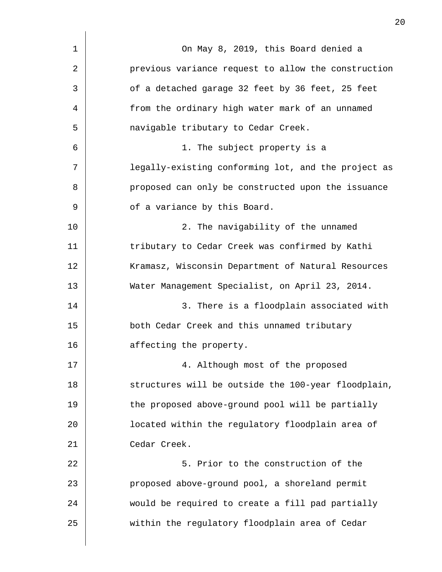| 1  | On May 8, 2019, this Board denied a                 |
|----|-----------------------------------------------------|
| 2  | previous variance request to allow the construction |
| 3  | of a detached garage 32 feet by 36 feet, 25 feet    |
| 4  | from the ordinary high water mark of an unnamed     |
| 5  | navigable tributary to Cedar Creek.                 |
| 6  | 1. The subject property is a                        |
| 7  | legally-existing conforming lot, and the project as |
| 8  | proposed can only be constructed upon the issuance  |
| 9  | of a variance by this Board.                        |
| 10 | 2. The navigability of the unnamed                  |
| 11 | tributary to Cedar Creek was confirmed by Kathi     |
| 12 | Kramasz, Wisconsin Department of Natural Resources  |
| 13 | Water Management Specialist, on April 23, 2014.     |
| 14 | 3. There is a floodplain associated with            |
| 15 | both Cedar Creek and this unnamed tributary         |
| 16 | affecting the property.                             |
| 17 | 4. Although most of the proposed                    |
| 18 | structures will be outside the 100-year floodplain, |
| 19 | the proposed above-ground pool will be partially    |
| 20 | located within the regulatory floodplain area of    |
| 21 | Cedar Creek.                                        |
| 22 | 5. Prior to the construction of the                 |
| 23 | proposed above-ground pool, a shoreland permit      |
| 24 | would be required to create a fill pad partially    |
| 25 | within the regulatory floodplain area of Cedar      |
|    |                                                     |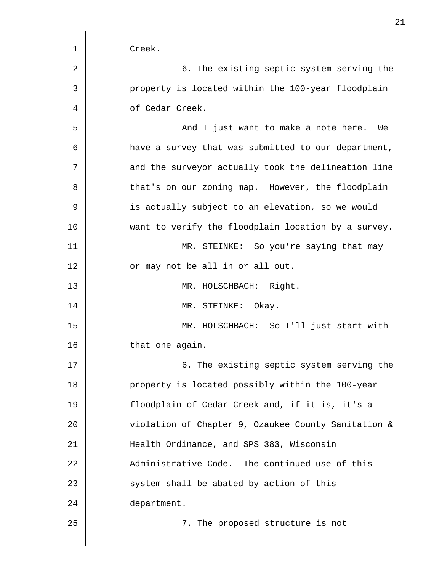| 1  | Creek.                                              |
|----|-----------------------------------------------------|
| 2  | 6. The existing septic system serving the           |
| 3  | property is located within the 100-year floodplain  |
| 4  | of Cedar Creek.                                     |
| 5  | And I just want to make a note here. We             |
| 6  | have a survey that was submitted to our department, |
| 7  | and the surveyor actually took the delineation line |
| 8  | that's on our zoning map. However, the floodplain   |
| 9  | is actually subject to an elevation, so we would    |
| 10 | want to verify the floodplain location by a survey. |
| 11 | MR. STEINKE: So you're saying that may              |
| 12 | or may not be all in or all out.                    |
| 13 | MR. HOLSCHBACH: Right.                              |
| 14 | Okay.<br>MR. STEINKE:                               |
| 15 | MR. HOLSCHBACH: So I'll just start with             |
| 16 | that one again.                                     |
| 17 | 6. The existing septic system serving the           |
| 18 | property is located possibly within the 100-year    |
| 19 | floodplain of Cedar Creek and, if it is, it's a     |
| 20 | violation of Chapter 9, Ozaukee County Sanitation & |
| 21 | Health Ordinance, and SPS 383, Wisconsin            |
| 22 | Administrative Code. The continued use of this      |
| 23 | system shall be abated by action of this            |
| 24 | department.                                         |
| 25 | 7. The proposed structure is not                    |
|    |                                                     |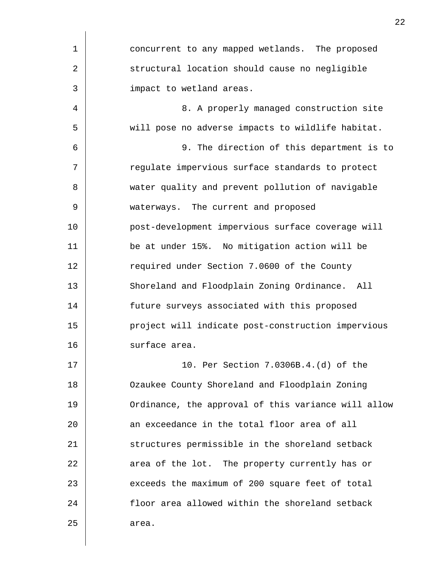| $\mathbf 1$ | concurrent to any mapped wetlands. The proposed     |
|-------------|-----------------------------------------------------|
| 2           | structural location should cause no negligible      |
| 3           | impact to wetland areas.                            |
| 4           | 8. A properly managed construction site             |
| 5           | will pose no adverse impacts to wildlife habitat.   |
| 6           | 9. The direction of this department is to           |
| 7           | regulate impervious surface standards to protect    |
| 8           | water quality and prevent pollution of navigable    |
| 9           | waterways. The current and proposed                 |
| 10          | post-development impervious surface coverage will   |
| 11          | be at under 15%. No mitigation action will be       |
| 12          | required under Section 7.0600 of the County         |
| 13          | Shoreland and Floodplain Zoning Ordinance. All      |
| 14          | future surveys associated with this proposed        |
| 15          | project will indicate post-construction impervious  |
| 16          | surface area.                                       |
| 17          | 10. Per Section 7.0306B.4.(d) of the                |
| 18          | Ozaukee County Shoreland and Floodplain Zoning      |
| 19          | Ordinance, the approval of this variance will allow |
| 20          | an exceedance in the total floor area of all        |
| 21          | structures permissible in the shoreland setback     |
| 22          | area of the lot. The property currently has or      |
| 23          | exceeds the maximum of 200 square feet of total     |
| 24          | floor area allowed within the shoreland setback     |
| 25          | area.                                               |
|             |                                                     |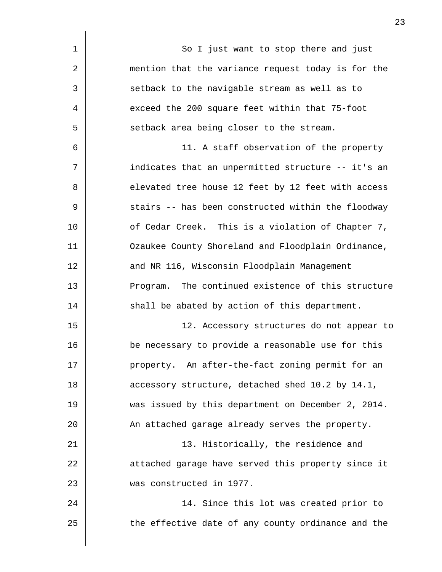| $\mathbf 1$ | So I just want to stop there and just              |
|-------------|----------------------------------------------------|
| 2           | mention that the variance request today is for the |
| 3           | setback to the navigable stream as well as to      |
| 4           | exceed the 200 square feet within that 75-foot     |
| 5           | setback area being closer to the stream.           |
| 6           | 11. A staff observation of the property            |
| 7           | indicates that an unpermitted structure -- it's an |
| 8           | elevated tree house 12 feet by 12 feet with access |
| 9           | stairs -- has been constructed within the floodway |
| 10          | of Cedar Creek. This is a violation of Chapter 7,  |
| 11          | Ozaukee County Shoreland and Floodplain Ordinance, |
| 12          | and NR 116, Wisconsin Floodplain Management        |
| 13          | Program. The continued existence of this structure |
| 14          | shall be abated by action of this department.      |
| 15          | 12. Accessory structures do not appear to          |
| 16          | be necessary to provide a reasonable use for this  |
| 17          | property. An after-the-fact zoning permit for an   |
| 18          | accessory structure, detached shed 10.2 by 14.1,   |
| 19          | was issued by this department on December 2, 2014. |
| 20          | An attached garage already serves the property.    |
| 21          | 13. Historically, the residence and                |
| 22          | attached garage have served this property since it |
| 23          | was constructed in 1977.                           |
| 24          | 14. Since this lot was created prior to            |
| 25          | the effective date of any county ordinance and the |
|             |                                                    |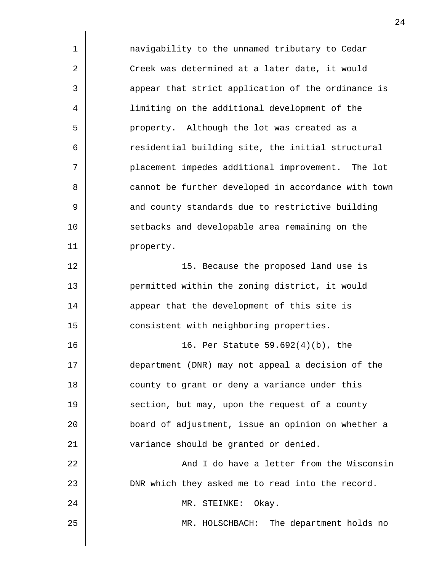| $\mathbf 1$ | navigability to the unnamed tributary to Cedar      |
|-------------|-----------------------------------------------------|
| 2           | Creek was determined at a later date, it would      |
| 3           | appear that strict application of the ordinance is  |
| 4           | limiting on the additional development of the       |
| 5           | property. Although the lot was created as a         |
| 6           | residential building site, the initial structural   |
| 7           | placement impedes additional improvement. The lot   |
| 8           | cannot be further developed in accordance with town |
| 9           | and county standards due to restrictive building    |
| 10          | setbacks and developable area remaining on the      |
| 11          | property.                                           |
| 12          | 15. Because the proposed land use is                |
| 13          | permitted within the zoning district, it would      |
| 14          | appear that the development of this site is         |
| 15          | consistent with neighboring properties.             |
| 16          | 16. Per Statute 59.692(4)(b), the                   |
| 17          | department (DNR) may not appeal a decision of the   |
| 18          | county to grant or deny a variance under this       |
| 19          | section, but may, upon the request of a county      |
| 20          | board of adjustment, issue an opinion on whether a  |
| 21          | variance should be granted or denied.               |
| 22          | And I do have a letter from the Wisconsin           |
| 23          | DNR which they asked me to read into the record.    |
| 24          | MR. STEINKE: Okay.                                  |
| 25          | MR. HOLSCHBACH: The department holds no             |
|             |                                                     |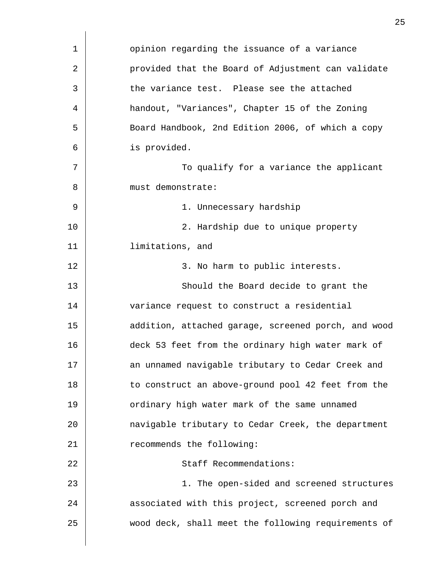| $\mathbf 1$ | opinion regarding the issuance of a variance        |
|-------------|-----------------------------------------------------|
| 2           | provided that the Board of Adjustment can validate  |
| 3           | the variance test. Please see the attached          |
| 4           | handout, "Variances", Chapter 15 of the Zoning      |
| 5           | Board Handbook, 2nd Edition 2006, of which a copy   |
| 6           | is provided.                                        |
| 7           | To qualify for a variance the applicant             |
| 8           | must demonstrate:                                   |
| 9           | 1. Unnecessary hardship                             |
| 10          | 2. Hardship due to unique property                  |
| 11          | limitations, and                                    |
| 12          | 3. No harm to public interests.                     |
| 13          | Should the Board decide to grant the                |
| 14          | variance request to construct a residential         |
| 15          | addition, attached garage, screened porch, and wood |
| 16          | deck 53 feet from the ordinary high water mark of   |
| 17          | an unnamed navigable tributary to Cedar Creek and   |
| 18          | to construct an above-ground pool 42 feet from the  |
| 19          | ordinary high water mark of the same unnamed        |
| 20          | navigable tributary to Cedar Creek, the department  |
| 21          | recommends the following:                           |
| 22          | Staff Recommendations:                              |
| 23          | 1. The open-sided and screened structures           |
| 24          | associated with this project, screened porch and    |
| 25          | wood deck, shall meet the following requirements of |
|             |                                                     |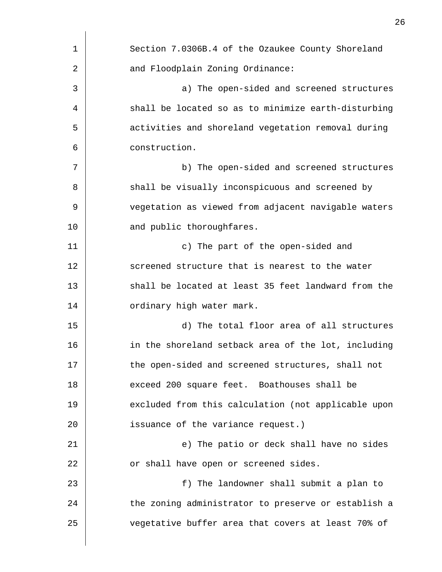| $\mathbf 1$ | Section 7.0306B.4 of the Ozaukee County Shoreland   |
|-------------|-----------------------------------------------------|
| 2           | and Floodplain Zoning Ordinance:                    |
| 3           | a) The open-sided and screened structures           |
| 4           | shall be located so as to minimize earth-disturbing |
| 5           | activities and shoreland vegetation removal during  |
| 6           | construction.                                       |
| 7           | b) The open-sided and screened structures           |
| 8           | shall be visually inconspicuous and screened by     |
| 9           | vegetation as viewed from adjacent navigable waters |
| 10          | and public thoroughfares.                           |
| 11          | c) The part of the open-sided and                   |
| 12          | screened structure that is nearest to the water     |
| 13          | shall be located at least 35 feet landward from the |
| 14          | ordinary high water mark.                           |
| 15          | d) The total floor area of all structures           |
| 16          | in the shoreland setback area of the lot, including |
| 17          | the open-sided and screened structures, shall not   |
| 18          | exceed 200 square feet. Boathouses shall be         |
| 19          | excluded from this calculation (not applicable upon |
| 20          | issuance of the variance request.)                  |
| 21          | e) The patio or deck shall have no sides            |
| 22          | or shall have open or screened sides.               |
| 23          | f) The landowner shall submit a plan to             |
| 24          | the zoning administrator to preserve or establish a |
| 25          | vegetative buffer area that covers at least 70% of  |
|             |                                                     |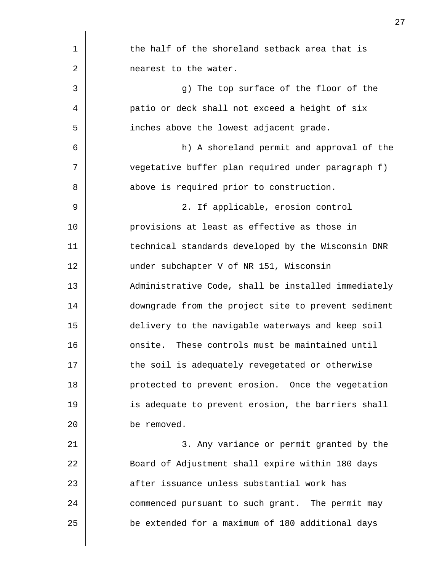| 1  | the half of the shoreland setback area that is      |
|----|-----------------------------------------------------|
| 2  | nearest to the water.                               |
| 3  | g) The top surface of the floor of the              |
| 4  | patio or deck shall not exceed a height of six      |
| 5  | inches above the lowest adjacent grade.             |
| 6  | h) A shoreland permit and approval of the           |
| 7  | vegetative buffer plan required under paragraph f)  |
| 8  | above is required prior to construction.            |
| 9  | 2. If applicable, erosion control                   |
| 10 | provisions at least as effective as those in        |
| 11 | technical standards developed by the Wisconsin DNR  |
| 12 | under subchapter V of NR 151, Wisconsin             |
| 13 | Administrative Code, shall be installed immediately |
| 14 | downgrade from the project site to prevent sediment |
| 15 | delivery to the navigable waterways and keep soil   |
| 16 | onsite. These controls must be maintained until     |
| 17 | the soil is adequately revegetated or otherwise     |
| 18 | protected to prevent erosion. Once the vegetation   |
| 19 | is adequate to prevent erosion, the barriers shall  |
| 20 | be removed.                                         |
| 21 | 3. Any variance or permit granted by the            |
| 22 | Board of Adjustment shall expire within 180 days    |
| 23 | after issuance unless substantial work has          |
| 24 | commenced pursuant to such grant. The permit may    |
| 25 | be extended for a maximum of 180 additional days    |
|    |                                                     |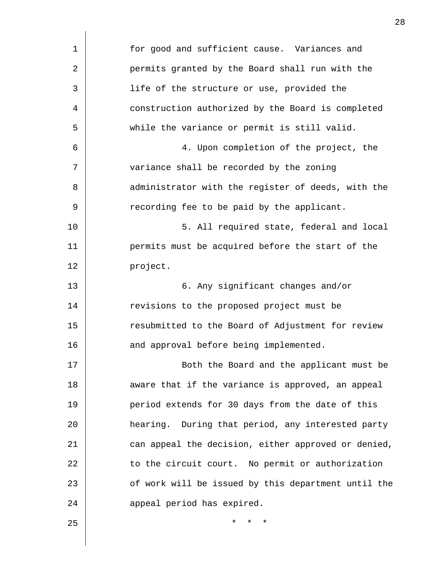| 1  | for good and sufficient cause. Variances and        |
|----|-----------------------------------------------------|
| 2  | permits granted by the Board shall run with the     |
| 3  | life of the structure or use, provided the          |
| 4  | construction authorized by the Board is completed   |
| 5  | while the variance or permit is still valid.        |
| 6  | 4. Upon completion of the project, the              |
| 7  | variance shall be recorded by the zoning            |
| 8  | administrator with the register of deeds, with the  |
| 9  | recording fee to be paid by the applicant.          |
| 10 | 5. All required state, federal and local            |
| 11 | permits must be acquired before the start of the    |
| 12 | project.                                            |
| 13 | 6. Any significant changes and/or                   |
| 14 | revisions to the proposed project must be           |
| 15 | resubmitted to the Board of Adjustment for review   |
| 16 | and approval before being implemented.              |
| 17 | Both the Board and the applicant must be            |
| 18 | aware that if the variance is approved, an appeal   |
| 19 | period extends for 30 days from the date of this    |
| 20 | hearing. During that period, any interested party   |
| 21 | can appeal the decision, either approved or denied, |
| 22 | to the circuit court. No permit or authorization    |
| 23 | of work will be issued by this department until the |
| 24 | appeal period has expired.                          |
| 25 | $^\star$                                            |
|    |                                                     |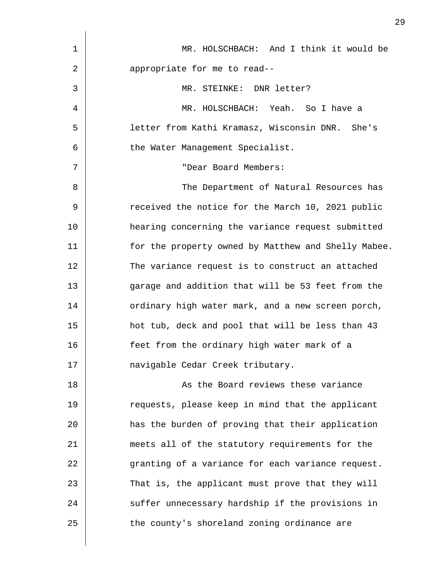| $\mathbf 1$ | MR. HOLSCHBACH: And I think it would be             |
|-------------|-----------------------------------------------------|
| 2           | appropriate for me to read--                        |
| 3           | MR. STEINKE: DNR letter?                            |
| 4           | MR. HOLSCHBACH: Yeah. So I have a                   |
| 5           | letter from Kathi Kramasz, Wisconsin DNR. She's     |
| 6           | the Water Management Specialist.                    |
| 7           | "Dear Board Members:                                |
| 8           | The Department of Natural Resources has             |
| 9           | received the notice for the March 10, 2021 public   |
| 10          | hearing concerning the variance request submitted   |
| 11          | for the property owned by Matthew and Shelly Mabee. |
| 12          | The variance request is to construct an attached    |
| 13          | garage and addition that will be 53 feet from the   |
| 14          | ordinary high water mark, and a new screen porch,   |
| 15          | hot tub, deck and pool that will be less than 43    |
| 16          | feet from the ordinary high water mark of a         |
| 17          | navigable Cedar Creek tributary.                    |
| 18          | As the Board reviews these variance                 |
| 19          | requests, please keep in mind that the applicant    |
| 20          | has the burden of proving that their application    |
| 21          | meets all of the statutory requirements for the     |
| 22          | granting of a variance for each variance request.   |
| 23          | That is, the applicant must prove that they will    |
| 24          | suffer unnecessary hardship if the provisions in    |
| 25          | the county's shoreland zoning ordinance are         |
|             |                                                     |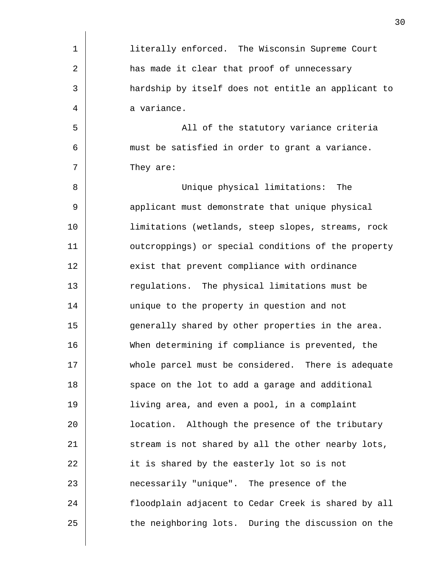| $\mathbf{1}$ | literally enforced. The Wisconsin Supreme Court     |
|--------------|-----------------------------------------------------|
| 2            | has made it clear that proof of unnecessary         |
| 3            | hardship by itself does not entitle an applicant to |
| 4            | a variance.                                         |
| 5            | All of the statutory variance criteria              |
| 6            | must be satisfied in order to grant a variance.     |
| 7            | They are:                                           |
| 8            | Unique physical limitations: The                    |
| 9            | applicant must demonstrate that unique physical     |
| 10           | limitations (wetlands, steep slopes, streams, rock  |
| 11           | outcroppings) or special conditions of the property |
| 12           | exist that prevent compliance with ordinance        |
| 13           | regulations. The physical limitations must be       |
| 14           | unique to the property in question and not          |
| 15           | generally shared by other properties in the area.   |
| 16           | When determining if compliance is prevented, the    |
| 17           | whole parcel must be considered. There is adequate  |
| 18           | space on the lot to add a garage and additional     |
| 19           | living area, and even a pool, in a complaint        |
| 20           | location. Although the presence of the tributary    |
| 21           | stream is not shared by all the other nearby lots,  |
| 22           | it is shared by the easterly lot so is not          |
| 23           | necessarily "unique". The presence of the           |
| 24           | floodplain adjacent to Cedar Creek is shared by all |
| 25           | the neighboring lots. During the discussion on the  |
|              |                                                     |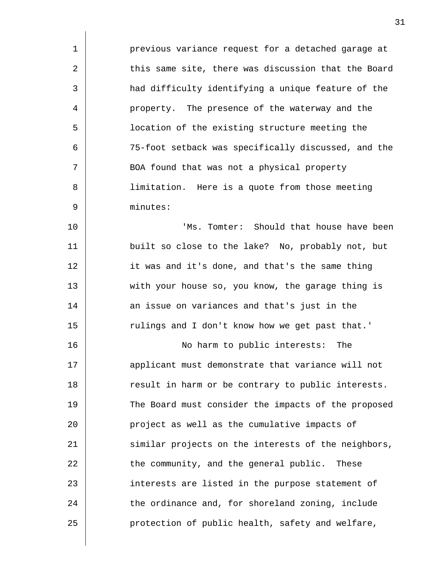1 2 3 4 5 6 7 8 9 10 11 12 13 14 15 16 17 18 19 20 21 22 23 24 25 previous variance request for a detached garage at this same site, there was discussion that the Board had difficulty identifying a unique feature of the property. The presence of the waterway and the location of the existing structure meeting the 75-foot setback was specifically discussed, and the BOA found that was not a physical property limitation. Here is a quote from those meeting minutes: 'Ms. Tomter: Should that house have been built so close to the lake? No, probably not, but it was and it's done, and that's the same thing with your house so, you know, the garage thing is an issue on variances and that's just in the rulings and I don't know how we get past that.' No harm to public interests: The applicant must demonstrate that variance will not result in harm or be contrary to public interests. The Board must consider the impacts of the proposed project as well as the cumulative impacts of similar projects on the interests of the neighbors, the community, and the general public. These interests are listed in the purpose statement of the ordinance and, for shoreland zoning, include protection of public health, safety and welfare,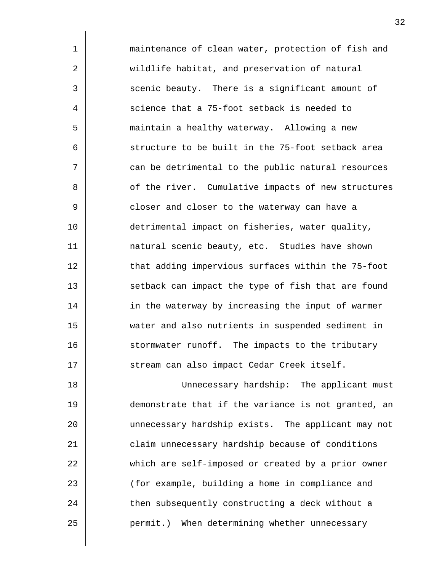maintenance of clean water, protection of fish and wildlife habitat, and preservation of natural scenic beauty. There is a significant amount of science that a 75-foot setback is needed to maintain a healthy waterway. Allowing a new structure to be built in the 75-foot setback area can be detrimental to the public natural resources of the river. Cumulative impacts of new structures closer and closer to the waterway can have a detrimental impact on fisheries, water quality, natural scenic beauty, etc. Studies have shown that adding impervious surfaces within the 75-foot setback can impact the type of fish that are found in the waterway by increasing the input of warmer water and also nutrients in suspended sediment in stormwater runoff. The impacts to the tributary stream can also impact Cedar Creek itself. Unnecessary hardship: The applicant must

1

2

3

4

5

6

7

8

9

10

11

12

13

14

15

16

17

18 19 20 21 22 23 24 25 demonstrate that if the variance is not granted, an unnecessary hardship exists. The applicant may not claim unnecessary hardship because of conditions which are self-imposed or created by a prior owner (for example, building a home in compliance and then subsequently constructing a deck without a permit.) When determining whether unnecessary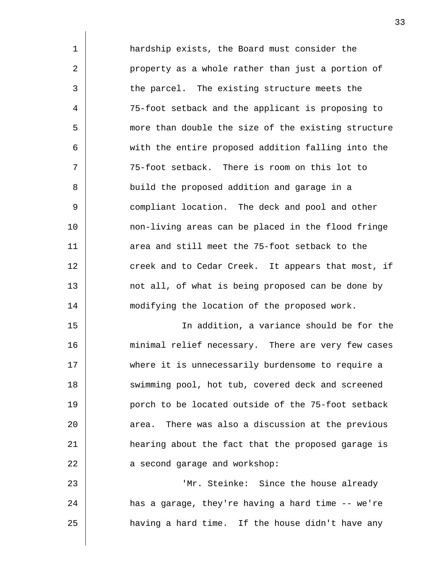| $\mathbf 1$ | hardship exists, the Board must consider the         |
|-------------|------------------------------------------------------|
| 2           | property as a whole rather than just a portion of    |
| 3           | the parcel. The existing structure meets the         |
| 4           | 75-foot setback and the applicant is proposing to    |
| 5           | more than double the size of the existing structure  |
| 6           | with the entire proposed addition falling into the   |
| 7           | 75-foot setback. There is room on this lot to        |
| 8           | build the proposed addition and garage in a          |
| 9           | compliant location. The deck and pool and other      |
| 10          | non-living areas can be placed in the flood fringe   |
| 11          | area and still meet the 75-foot setback to the       |
| 12          | creek and to Cedar Creek. It appears that most, if   |
| 13          | not all, of what is being proposed can be done by    |
| 14          | modifying the location of the proposed work.         |
| 15          | In addition, a variance should be for the            |
| 16          | minimal relief necessary. There are very few cases   |
| 17          | where it is unnecessarily burdensome to require a    |
| 18          | swimming pool, hot tub, covered deck and screened    |
| 19          | porch to be located outside of the 75-foot setback   |
| 20          | There was also a discussion at the previous<br>area. |
| 21          | hearing about the fact that the proposed garage is   |
| 22          | a second garage and workshop:                        |
| 23          | 'Mr. Steinke: Since the house already                |
| 24          | has a garage, they're having a hard time -- we're    |
| 25          | having a hard time. If the house didn't have any     |
|             |                                                      |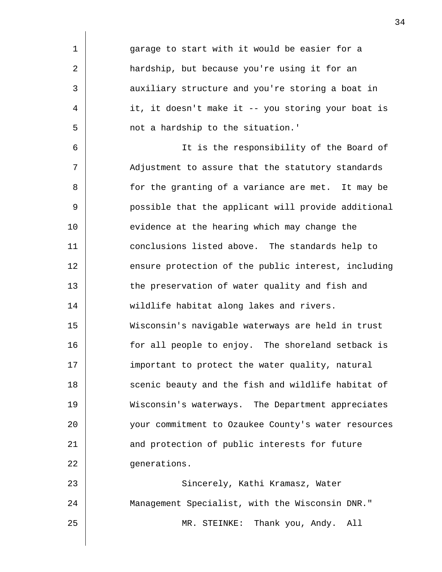1 2 3 4 5 6 7 8 9 10 11 12 13 14 15 16 17 18 19 20 21 22 23 24 garage to start with it would be easier for a hardship, but because you're using it for an auxiliary structure and you're storing a boat in it, it doesn't make it -- you storing your boat is not a hardship to the situation.' It is the responsibility of the Board of Adjustment to assure that the statutory standards for the granting of a variance are met. It may be possible that the applicant will provide additional evidence at the hearing which may change the conclusions listed above. The standards help to ensure protection of the public interest, including the preservation of water quality and fish and wildlife habitat along lakes and rivers. Wisconsin's navigable waterways are held in trust for all people to enjoy. The shoreland setback is important to protect the water quality, natural scenic beauty and the fish and wildlife habitat of Wisconsin's waterways. The Department appreciates your commitment to Ozaukee County's water resources and protection of public interests for future generations. Sincerely, Kathi Kramasz, Water Management Specialist, with the Wisconsin DNR."

MR. STEINKE: Thank you, Andy. All

25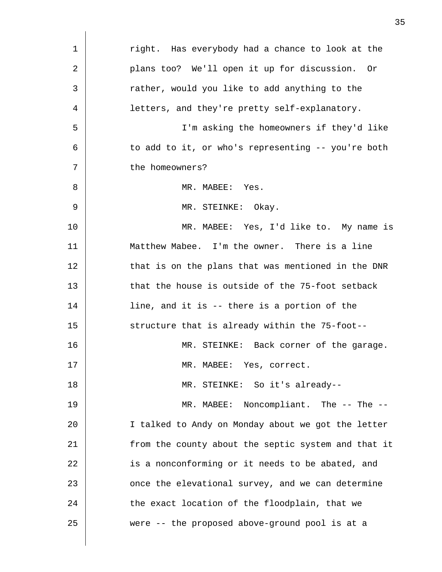| $\mathbf 1$ | right. Has everybody had a chance to look at the    |
|-------------|-----------------------------------------------------|
| 2           | plans too? We'll open it up for discussion. Or      |
| 3           | rather, would you like to add anything to the       |
| 4           | letters, and they're pretty self-explanatory.       |
| 5           | I'm asking the homeowners if they'd like            |
| 6           | to add to it, or who's representing -- you're both  |
| 7           | the homeowners?                                     |
| 8           | MR. MABEE: Yes.                                     |
| 9           | MR. STEINKE: Okay.                                  |
| 10          | MR. MABEE: Yes, I'd like to. My name is             |
| 11          | Matthew Mabee. I'm the owner. There is a line       |
| 12          | that is on the plans that was mentioned in the DNR  |
| 13          | that the house is outside of the 75-foot setback    |
| 14          | line, and it is -- there is a portion of the        |
| 15          | structure that is already within the 75-foot--      |
| 16          | MR. STEINKE: Back corner of the garage.             |
| 17          | MR. MABEE: Yes, correct.                            |
| 18          | MR. STEINKE: So it's already--                      |
| 19          | MR. MABEE: Noncompliant. The -- The --              |
| 20          | I talked to Andy on Monday about we got the letter  |
| 21          | from the county about the septic system and that it |
| 22          | is a nonconforming or it needs to be abated, and    |
| 23          | once the elevational survey, and we can determine   |
| 24          | the exact location of the floodplain, that we       |
| 25          | were -- the proposed above-ground pool is at a      |
|             |                                                     |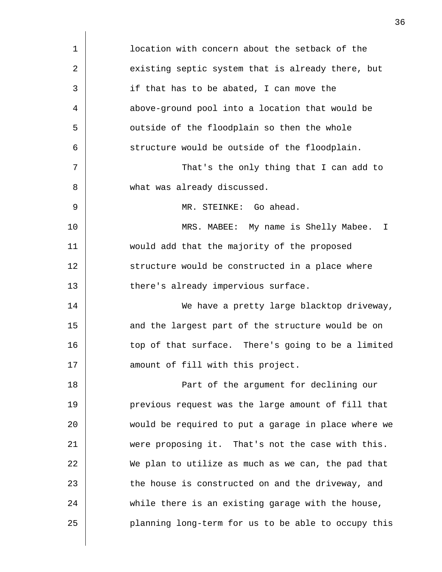| $\mathbf 1$ | location with concern about the setback of the      |
|-------------|-----------------------------------------------------|
| 2           | existing septic system that is already there, but   |
| 3           | if that has to be abated, I can move the            |
| 4           | above-ground pool into a location that would be     |
| 5           | outside of the floodplain so then the whole         |
| 6           | structure would be outside of the floodplain.       |
| 7           | That's the only thing that I can add to             |
| 8           | what was already discussed.                         |
| 9           | MR. STEINKE: Go ahead.                              |
| 10          | MRS. MABEE: My name is Shelly Mabee. I              |
| 11          | would add that the majority of the proposed         |
| 12          | structure would be constructed in a place where     |
| 13          | there's already impervious surface.                 |
| 14          | We have a pretty large blacktop driveway,           |
| 15          | and the largest part of the structure would be on   |
| 16          | top of that surface. There's going to be a limited  |
| 17          | amount of fill with this project.                   |
| 18          | Part of the argument for declining our              |
| 19          | previous request was the large amount of fill that  |
| 20          | would be required to put a garage in place where we |
| 21          | were proposing it. That's not the case with this.   |
| 22          | We plan to utilize as much as we can, the pad that  |
| 23          | the house is constructed on and the driveway, and   |
| 24          | while there is an existing garage with the house,   |
| 25          | planning long-term for us to be able to occupy this |
|             |                                                     |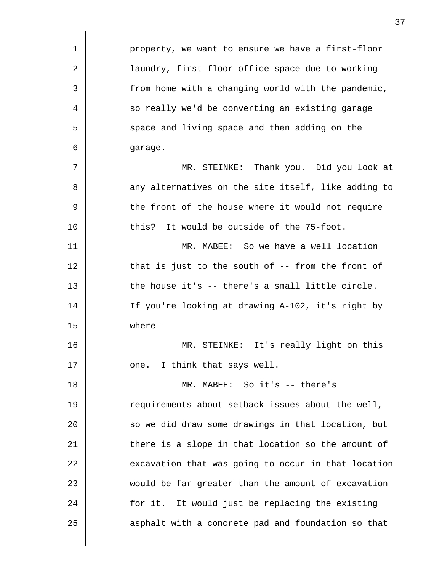| 1  | property, we want to ensure we have a first-floor    |
|----|------------------------------------------------------|
| 2  | laundry, first floor office space due to working     |
| 3  | from home with a changing world with the pandemic,   |
| 4  | so really we'd be converting an existing garage      |
| 5  | space and living space and then adding on the        |
| 6  | garage.                                              |
| 7  | MR. STEINKE: Thank you. Did you look at              |
| 8  | any alternatives on the site itself, like adding to  |
| 9  | the front of the house where it would not require    |
| 10 | this? It would be outside of the 75-foot.            |
| 11 | MR. MABEE: So we have a well location                |
| 12 | that is just to the south of $-$ - from the front of |
| 13 | the house it's -- there's a small little circle.     |
| 14 | If you're looking at drawing A-102, it's right by    |
| 15 | $where--$                                            |
| 16 | MR. STEINKE: It's really light on this               |
| 17 | one. I think that says well.                         |
| 18 | MR. MABEE: So it's -- there's                        |
| 19 | requirements about setback issues about the well,    |
| 20 | so we did draw some drawings in that location, but   |
| 21 | there is a slope in that location so the amount of   |
| 22 | excavation that was going to occur in that location  |
| 23 | would be far greater than the amount of excavation   |
| 24 | for it. It would just be replacing the existing      |
| 25 | asphalt with a concrete pad and foundation so that   |

 $\overline{\phantom{a}}$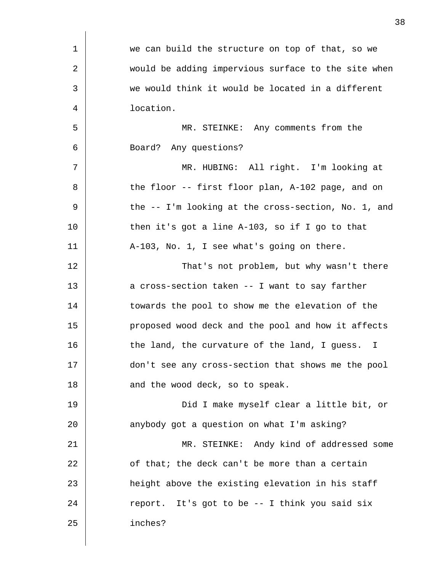| $\mathbf 1$ | we can build the structure on top of that, so we              |
|-------------|---------------------------------------------------------------|
| 2           | would be adding impervious surface to the site when           |
| 3           | we would think it would be located in a different             |
| 4           | location.                                                     |
| 5           | MR. STEINKE: Any comments from the                            |
| 6           | Board? Any questions?                                         |
| 7           | MR. HUBING: All right. I'm looking at                         |
| 8           | the floor -- first floor plan, A-102 page, and on             |
| 9           | the -- I'm looking at the cross-section, No. 1, and           |
| 10          | then it's got a line A-103, so if I go to that                |
| 11          | A-103, No. 1, I see what's going on there.                    |
| 12          | That's not problem, but why wasn't there                      |
| 13          | a cross-section taken -- I want to say farther                |
| 14          | towards the pool to show me the elevation of the              |
| 15          | proposed wood deck and the pool and how it affects            |
| 16          | the land, the curvature of the land, I guess.<br>$\mathbf{I}$ |
| 17          | don't see any cross-section that shows me the pool            |
| 18          | and the wood deck, so to speak.                               |
| 19          | Did I make myself clear a little bit, or                      |
| 20          | anybody got a question on what I'm asking?                    |
| 21          | MR. STEINKE: Andy kind of addressed some                      |
| 22          | of that; the deck can't be more than a certain                |
| 23          | height above the existing elevation in his staff              |
| 24          | report. It's got to be -- I think you said six                |
| 25          | inches?                                                       |
|             |                                                               |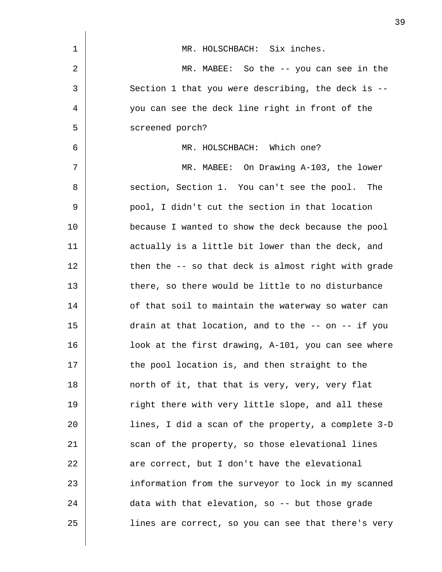| 1  | MR. HOLSCHBACH: Six inches.                         |
|----|-----------------------------------------------------|
| 2  | MR. MABEE: So the $-$ you can see in the            |
| 3  | Section 1 that you were describing, the deck is $-$ |
| 4  | you can see the deck line right in front of the     |
| 5  | screened porch?                                     |
| 6  | MR. HOLSCHBACH: Which one?                          |
| 7  | MR. MABEE: On Drawing A-103, the lower              |
| 8  | section, Section 1. You can't see the pool. The     |
| 9  | pool, I didn't cut the section in that location     |
| 10 | because I wanted to show the deck because the pool  |
| 11 | actually is a little bit lower than the deck, and   |
| 12 | then the -- so that deck is almost right with grade |
| 13 | there, so there would be little to no disturbance   |
| 14 | of that soil to maintain the waterway so water can  |
| 15 | drain at that location, and to the -- on -- if you  |
| 16 | look at the first drawing, A-101, you can see where |
| 17 | the pool location is, and then straight to the      |
| 18 | north of it, that that is very, very, very flat     |
| 19 | right there with very little slope, and all these   |
| 20 | lines, I did a scan of the property, a complete 3-D |
| 21 | scan of the property, so those elevational lines    |
| 22 | are correct, but I don't have the elevational       |
| 23 | information from the surveyor to lock in my scanned |
| 24 | data with that elevation, so -- but those grade     |
| 25 | lines are correct, so you can see that there's very |

 $\overline{\phantom{a}}$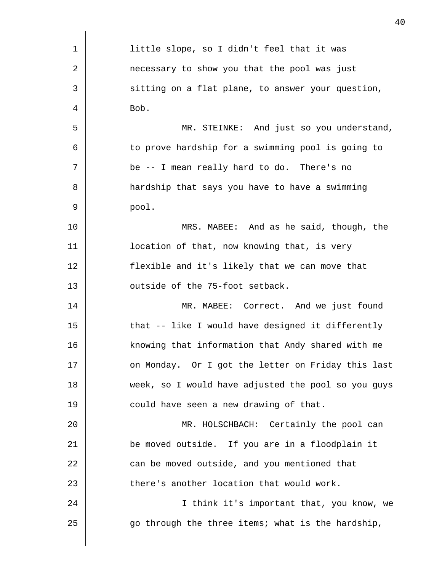| 1  | little slope, so I didn't feel that it was          |
|----|-----------------------------------------------------|
| 2  | necessary to show you that the pool was just        |
| 3  | sitting on a flat plane, to answer your question,   |
| 4  | Bob.                                                |
| 5  | MR. STEINKE: And just so you understand,            |
| 6  | to prove hardship for a swimming pool is going to   |
| 7  | be -- I mean really hard to do. There's no          |
| 8  | hardship that says you have to have a swimming      |
| 9  | pool.                                               |
| 10 | MRS. MABEE: And as he said, though, the             |
| 11 | location of that, now knowing that, is very         |
| 12 | flexible and it's likely that we can move that      |
| 13 | outside of the 75-foot setback.                     |
| 14 | MR. MABEE: Correct. And we just found               |
| 15 | that -- like I would have designed it differently   |
| 16 | knowing that information that Andy shared with me   |
| 17 | on Monday. Or I got the letter on Friday this last  |
| 18 | week, so I would have adjusted the pool so you guys |
| 19 | could have seen a new drawing of that.              |
| 20 | MR. HOLSCHBACH: Certainly the pool can              |
| 21 | be moved outside. If you are in a floodplain it     |
| 22 | can be moved outside, and you mentioned that        |
| 23 | there's another location that would work.           |
| 24 | I think it's important that, you know, we           |
| 25 | go through the three items; what is the hardship,   |
|    |                                                     |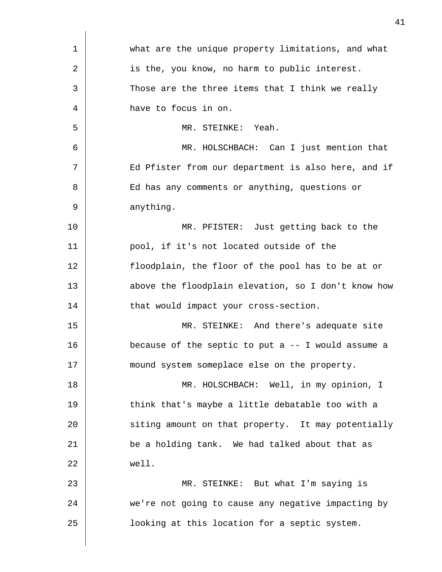| $\mathbf 1$ | what are the unique property limitations, and what  |
|-------------|-----------------------------------------------------|
| 2           | is the, you know, no harm to public interest.       |
| 3           | Those are the three items that I think we really    |
| 4           | have to focus in on.                                |
| 5           | MR. STEINKE: Yeah.                                  |
| 6           | MR. HOLSCHBACH: Can I just mention that             |
| 7           | Ed Pfister from our department is also here, and if |
| 8           | Ed has any comments or anything, questions or       |
| 9           | anything.                                           |
| 10          | MR. PFISTER: Just getting back to the               |
| 11          | pool, if it's not located outside of the            |
| 12          | floodplain, the floor of the pool has to be at or   |
| 13          | above the floodplain elevation, so I don't know how |
| 14          | that would impact your cross-section.               |
| 15          | MR. STEINKE: And there's adequate site              |
| 16          | because of the septic to put $a -1$ would assume a  |
| 17          | mound system someplace else on the property.        |
| 18          | MR. HOLSCHBACH: Well, in my opinion, I              |
| 19          | think that's maybe a little debatable too with a    |
| 20          | siting amount on that property. It may potentially  |
| 21          | be a holding tank. We had talked about that as      |
| 22          | well.                                               |
| 23          | MR. STEINKE: But what I'm saying is                 |
| 24          | we're not going to cause any negative impacting by  |
| 25          | looking at this location for a septic system.       |
|             |                                                     |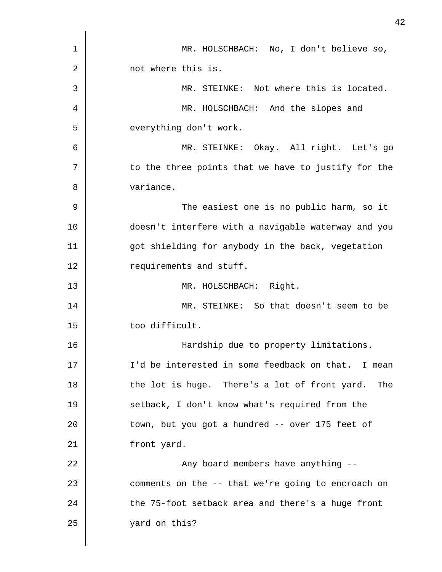| 1  | MR. HOLSCHBACH: No, I don't believe so,             |
|----|-----------------------------------------------------|
| 2  | not where this is.                                  |
| 3  | MR. STEINKE: Not where this is located.             |
| 4  | MR. HOLSCHBACH: And the slopes and                  |
| 5  | everything don't work.                              |
| 6  | MR. STEINKE: Okay. All right. Let's go              |
| 7  | to the three points that we have to justify for the |
| 8  | variance.                                           |
| 9  | The easiest one is no public harm, so it            |
| 10 | doesn't interfere with a navigable waterway and you |
| 11 | got shielding for anybody in the back, vegetation   |
| 12 | requirements and stuff.                             |
| 13 | MR. HOLSCHBACH: Right.                              |
| 14 | MR. STEINKE: So that doesn't seem to be             |
| 15 | too difficult.                                      |
| 16 | Hardship due to property limitations.               |
| 17 | I'd be interested in some feedback on that. I mean  |
| 18 | the lot is huge. There's a lot of front yard. The   |
| 19 | setback, I don't know what's required from the      |
| 20 | town, but you got a hundred -- over 175 feet of     |
| 21 | front yard.                                         |
| 22 | Any board members have anything --                  |
| 23 | comments on the -- that we're going to encroach on  |
| 24 | the 75-foot setback area and there's a huge front   |
| 25 | yard on this?                                       |
|    |                                                     |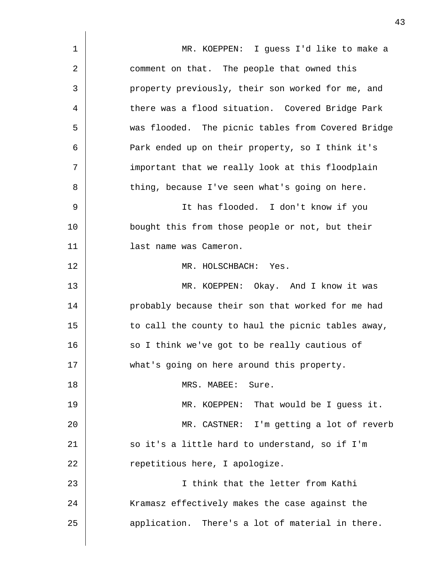| 1  | MR. KOEPPEN: I guess I'd like to make a            |
|----|----------------------------------------------------|
| 2  | comment on that. The people that owned this        |
| 3  | property previously, their son worked for me, and  |
| 4  | there was a flood situation. Covered Bridge Park   |
| 5  | was flooded. The picnic tables from Covered Bridge |
| 6  | Park ended up on their property, so I think it's   |
| 7  | important that we really look at this floodplain   |
| 8  | thing, because I've seen what's going on here.     |
| 9  | It has flooded. I don't know if you                |
| 10 | bought this from those people or not, but their    |
| 11 | last name was Cameron.                             |
| 12 | MR. HOLSCHBACH: Yes.                               |
| 13 | MR. KOEPPEN: Okay. And I know it was               |
| 14 | probably because their son that worked for me had  |
| 15 | to call the county to haul the picnic tables away, |
| 16 | so I think we've got to be really cautious of      |
| 17 | what's going on here around this property.         |
| 18 | MRS. MABEE:<br>Sure.                               |
| 19 | MR. KOEPPEN: That would be I guess it.             |
| 20 | MR. CASTNER: I'm getting a lot of reverb           |
| 21 | so it's a little hard to understand, so if I'm     |
| 22 | repetitious here, I apologize.                     |
| 23 | I think that the letter from Kathi                 |
| 24 | Kramasz effectively makes the case against the     |
| 25 | application. There's a lot of material in there.   |
|    |                                                    |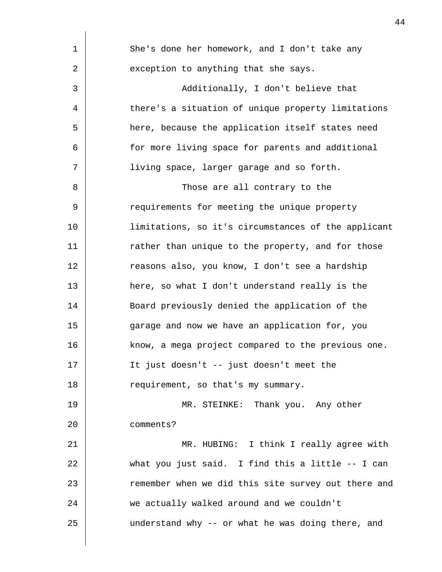| 1  | She's done her homework, and I don't take any       |
|----|-----------------------------------------------------|
| 2  | exception to anything that she says.                |
| 3  | Additionally, I don't believe that                  |
| 4  | there's a situation of unique property limitations  |
| 5  | here, because the application itself states need    |
| 6  | for more living space for parents and additional    |
| 7  | living space, larger garage and so forth.           |
| 8  | Those are all contrary to the                       |
| 9  | requirements for meeting the unique property        |
| 10 | limitations, so it's circumstances of the applicant |
| 11 | rather than unique to the property, and for those   |
| 12 | reasons also, you know, I don't see a hardship      |
| 13 | here, so what I don't understand really is the      |
| 14 | Board previously denied the application of the      |
| 15 | garage and now we have an application for, you      |
| 16 | know, a mega project compared to the previous one.  |
| 17 | It just doesn't -- just doesn't meet the            |
| 18 | requirement, so that's my summary.                  |
| 19 | MR. STEINKE: Thank you. Any other                   |
| 20 | comments?                                           |
| 21 | MR. HUBING: I think I really agree with             |
| 22 | what you just said. I find this a little -- I can   |
| 23 | remember when we did this site survey out there and |
| 24 | we actually walked around and we couldn't           |
| 25 | understand why -- or what he was doing there, and   |
|    |                                                     |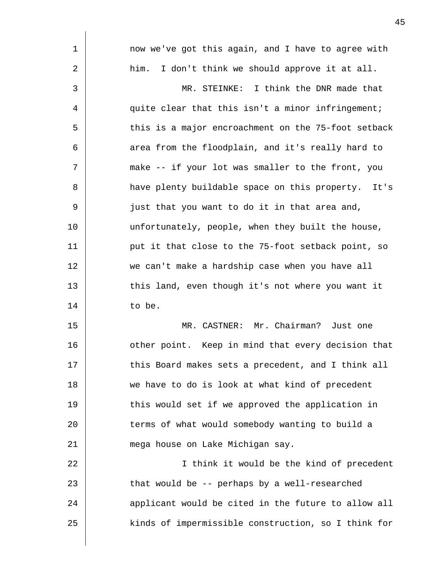| 1  | now we've got this again, and I have to agree with  |
|----|-----------------------------------------------------|
| 2  | I don't think we should approve it at all.<br>him.  |
| 3  | MR. STEINKE: I think the DNR made that              |
| 4  | quite clear that this isn't a minor infringement;   |
| 5  | this is a major encroachment on the 75-foot setback |
| 6  | area from the floodplain, and it's really hard to   |
| 7  | make -- if your lot was smaller to the front, you   |
| 8  | have plenty buildable space on this property. It's  |
| 9  | just that you want to do it in that area and,       |
| 10 | unfortunately, people, when they built the house,   |
| 11 | put it that close to the 75-foot setback point, so  |
| 12 | we can't make a hardship case when you have all     |
| 13 | this land, even though it's not where you want it   |
| 14 | to be.                                              |
| 15 | MR. CASTNER: Mr. Chairman? Just one                 |
| 16 | other point. Keep in mind that every decision that  |
| 17 | this Board makes sets a precedent, and I think all  |
| 18 | we have to do is look at what kind of precedent     |
| 19 | this would set if we approved the application in    |
| 20 | terms of what would somebody wanting to build a     |
| 21 | mega house on Lake Michigan say.                    |
| 22 | I think it would be the kind of precedent           |
| 23 | that would be -- perhaps by a well-researched       |
| 24 | applicant would be cited in the future to allow all |
| 25 | kinds of impermissible construction, so I think for |
|    |                                                     |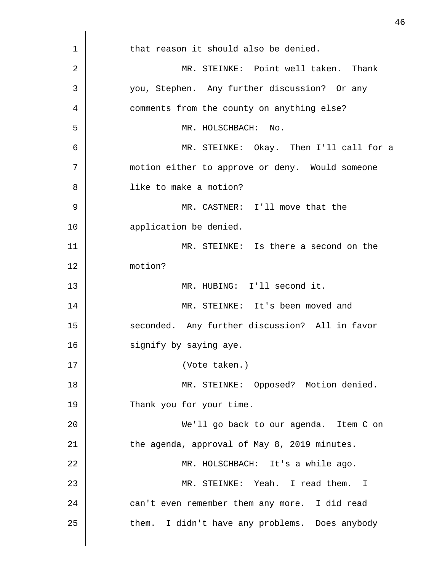| $\mathbf 1$ | that reason it should also be denied.           |
|-------------|-------------------------------------------------|
| 2           | MR. STEINKE: Point well taken. Thank            |
| 3           | you, Stephen. Any further discussion? Or any    |
| 4           | comments from the county on anything else?      |
| 5           | MR. HOLSCHBACH: No.                             |
| 6           | MR. STEINKE: Okay. Then I'll call for a         |
| 7           | motion either to approve or deny. Would someone |
| 8           | like to make a motion?                          |
| 9           | MR. CASTNER: I'll move that the                 |
| 10          | application be denied.                          |
| 11          | MR. STEINKE: Is there a second on the           |
| 12          | motion?                                         |
| 13          | MR. HUBING: I'll second it.                     |
| 14          | MR. STEINKE: It's been moved and                |
| 15          | seconded. Any further discussion? All in favor  |
| 16          | signify by saying aye.                          |
| 17          | (Vote taken.)                                   |
| 18          | MR. STEINKE: Opposed? Motion denied.            |
| 19          | Thank you for your time.                        |
| 20          | We'll go back to our agenda. Item C on          |
| 21          | the agenda, approval of May 8, 2019 minutes.    |
| 22          | MR. HOLSCHBACH: It's a while ago.               |
| 23          | MR. STEINKE: Yeah. I read them. I               |
| 24          | can't even remember them any more. I did read   |
| 25          | them. I didn't have any problems. Does anybody  |
|             |                                                 |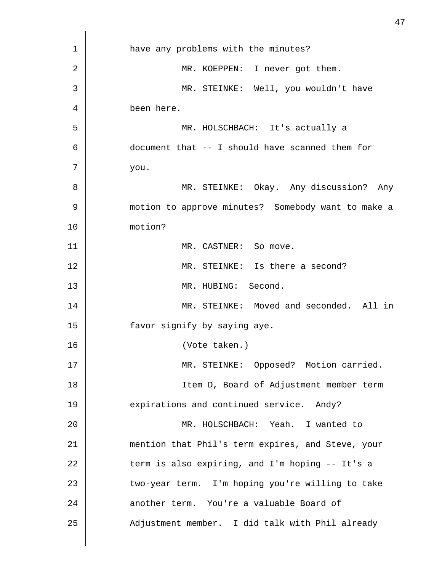| $\mathbf 1$ | have any problems with the minutes?                |
|-------------|----------------------------------------------------|
| 2           | MR. KOEPPEN: I never got them.                     |
| 3           | MR. STEINKE: Well, you wouldn't have               |
| 4           | been here.                                         |
| 5           | MR. HOLSCHBACH: It's actually a                    |
| 6           | document that -- I should have scanned them for    |
| 7           | you.                                               |
| 8           | MR. STEINKE: Okay. Any discussion? Any             |
| 9           | motion to approve minutes? Somebody want to make a |
| 10          | motion?                                            |
| 11          | MR. CASTNER: So move.                              |
| 12          | MR. STEINKE: Is there a second?                    |
| 13          | MR. HUBING: Second.                                |
| 14          | MR. STEINKE: Moved and seconded. All in            |
| 15          | favor signify by saying aye.                       |
| 16          | (Vote taken.)                                      |
| 17          | MR. STEINKE: Opposed? Motion carried.              |
| 18          | Item D, Board of Adjustment member term            |
| 19          | expirations and continued service. Andy?           |
| 20          | MR. HOLSCHBACH: Yeah. I wanted to                  |
| 21          | mention that Phil's term expires, and Steve, your  |
| 22          | term is also expiring, and I'm hoping -- It's a    |
| 23          | two-year term. I'm hoping you're willing to take   |
| 24          | another term. You're a valuable Board of           |
| 25          | Adjustment member. I did talk with Phil already    |
|             |                                                    |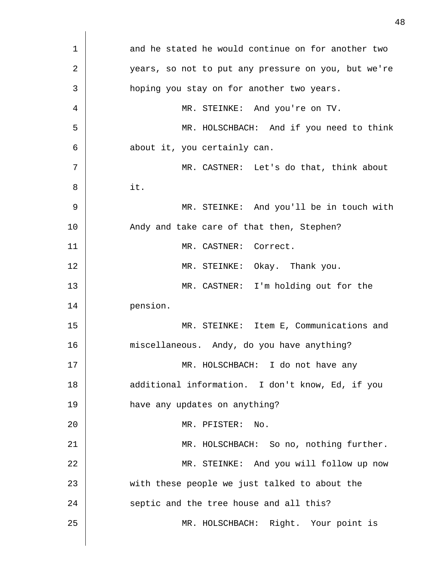1 2 3 4 5 6 7 8 9 10 11 12 13 14 15 16 17 18 19 20 21 22 23 24 25 and he stated he would continue on for another two years, so not to put any pressure on you, but we're hoping you stay on for another two years. MR. STEINKE: And you're on TV. MR. HOLSCHBACH: And if you need to think about it, you certainly can. MR. CASTNER: Let's do that, think about it. MR. STEINKE: And you'll be in touch with Andy and take care of that then, Stephen? MR. CASTNER: Correct. MR. STEINKE: Okay. Thank you. MR. CASTNER: I'm holding out for the pension. MR. STEINKE: Item E, Communications and miscellaneous. Andy, do you have anything? MR. HOLSCHBACH: I do not have any additional information. I don't know, Ed, if you have any updates on anything? MR. PFISTER: No. MR. HOLSCHBACH: So no, nothing further. MR. STEINKE: And you will follow up now with these people we just talked to about the septic and the tree house and all this? MR. HOLSCHBACH: Right. Your point is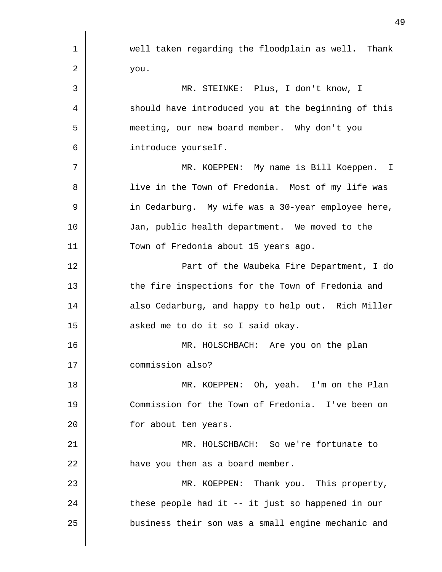| 1  | well taken regarding the floodplain as well. Thank  |
|----|-----------------------------------------------------|
| 2  | you.                                                |
| 3  | MR. STEINKE: Plus, I don't know, I                  |
| 4  | should have introduced you at the beginning of this |
| 5  | meeting, our new board member. Why don't you        |
| 6  | introduce yourself.                                 |
| 7  | MR. KOEPPEN: My name is Bill Koeppen. I             |
| 8  | live in the Town of Fredonia. Most of my life was   |
| 9  | in Cedarburg. My wife was a 30-year employee here,  |
| 10 | Jan, public health department. We moved to the      |
| 11 | Town of Fredonia about 15 years ago.                |
| 12 | Part of the Waubeka Fire Department, I do           |
| 13 | the fire inspections for the Town of Fredonia and   |
| 14 | also Cedarburg, and happy to help out. Rich Miller  |
| 15 | asked me to do it so I said okay.                   |
| 16 | MR. HOLSCHBACH: Are you on the plan                 |
| 17 | commission also?                                    |
| 18 | MR. KOEPPEN: Oh, yeah. I'm on the Plan              |
| 19 | Commission for the Town of Fredonia. I've been on   |
| 20 | for about ten years.                                |
| 21 | MR. HOLSCHBACH: So we're fortunate to               |
| 22 | have you then as a board member.                    |
| 23 | MR. KOEPPEN: Thank you. This property,              |
| 24 | these people had it -- it just so happened in our   |
| 25 | business their son was a small engine mechanic and  |
|    |                                                     |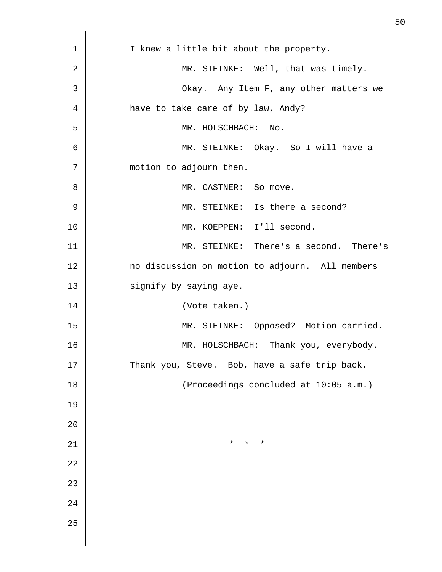| 1  | I knew a little bit about the property.         |
|----|-------------------------------------------------|
| 2  | MR. STEINKE: Well, that was timely.             |
| 3  | Okay. Any Item F, any other matters we          |
| 4  | have to take care of by law, Andy?              |
| 5  | MR. HOLSCHBACH: No.                             |
| 6  | MR. STEINKE: Okay. So I will have a             |
| 7  | motion to adjourn then.                         |
| 8  | MR. CASTNER: So move.                           |
| 9  | MR. STEINKE: Is there a second?                 |
| 10 | MR. KOEPPEN: I'll second.                       |
| 11 | MR. STEINKE: There's a second. There's          |
| 12 | no discussion on motion to adjourn. All members |
| 13 | signify by saying aye.                          |
| 14 | (Vote taken.)                                   |
| 15 | MR. STEINKE: Opposed? Motion carried.           |
| 16 | MR. HOLSCHBACH: Thank you, everybody.           |
| 17 | Thank you, Steve. Bob, have a safe trip back.   |
| 18 | (Proceedings concluded at 10:05 a.m.)           |
| 19 |                                                 |
| 20 |                                                 |
| 21 | $\star$<br>$^\star$<br>$^\star$                 |
| 22 |                                                 |
| 23 |                                                 |
| 24 |                                                 |
| 25 |                                                 |
|    |                                                 |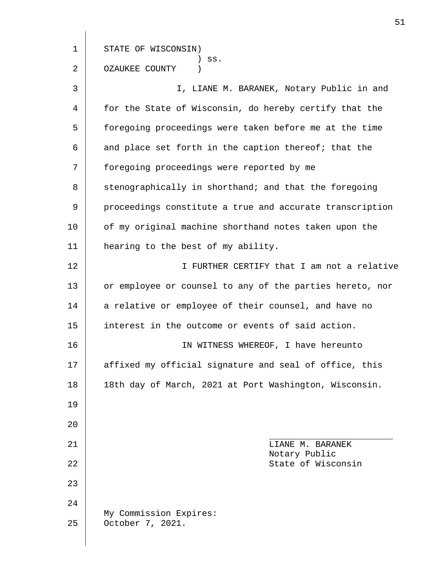1 2 3 4 5 6 7 8 9 10 11 12 13 14 15 16 17 18 19 20 21 22 23 24 25 STATE OF WISCONSIN) ) ss. OZAUKEE COUNTY ) I, LIANE M. BARANEK, Notary Public in and for the State of Wisconsin, do hereby certify that the foregoing proceedings were taken before me at the time and place set forth in the caption thereof; that the foregoing proceedings were reported by me stenographically in shorthand; and that the foregoing proceedings constitute a true and accurate transcription of my original machine shorthand notes taken upon the hearing to the best of my ability. I FURTHER CERTIFY that I am not a relative or employee or counsel to any of the parties hereto, nor a relative or employee of their counsel, and have no interest in the outcome or events of said action. IN WITNESS WHEREOF, I have hereunto affixed my official signature and seal of office, this 18th day of March, 2021 at Port Washington, Wisconsin. LIANE M. BARANEK Notary Public State of Wisconsin My Commission Expires: October 7, 2021.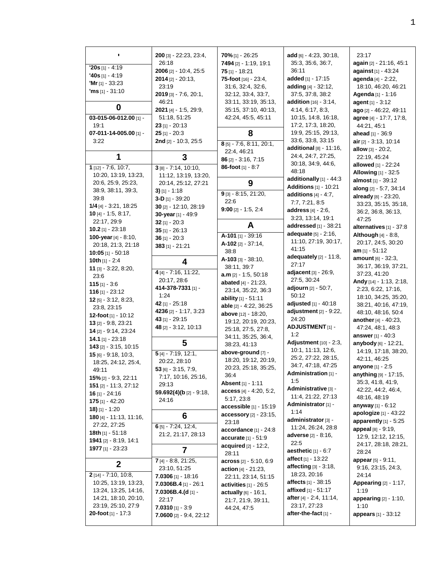| ٠                                          | 200 [3] - 22:23, 23:4,<br>26:18       | 70% [1] - 26:25<br><b>7494</b> [2] - 1:19, 19:1 | add $[6] - 4:23, 30:18,$<br>35:3, 35:6, 36:7,            | 23:17<br>again [2] - 21:16, 45:1 |
|--------------------------------------------|---------------------------------------|-------------------------------------------------|----------------------------------------------------------|----------------------------------|
| $20s$ [1] - 4:19                           | 2006 [2] - 10:4, 25:5                 | $75$ [1] - 18:21                                | 36:11                                                    | against [1] - 43:24              |
| <b>'40s</b> [1] - 4:19                     | $2014$ [2] - 20:13,                   | <b>75-foot</b> [16] - 23:4,                     | added $[1] - 17:15$                                      | agenda [4] - 2:22,               |
| <b>'Mr</b> [1] $-33:23$                    | 23:19                                 | 31:6, 32:4, 32:6,                               | adding [4] - 32:12,                                      | 18:10, 46:20, 46:21              |
| <b>'ms</b> $[1]$ - 31:10                   | $2019$ [3] - 7:6, 20:1,               | 32:12, 33:4, 33:7,                              | 37:5, 37:8, 38:2                                         | Agenda [1] - 1:16                |
|                                            | 46:21                                 | 33:11, 33:19, 35:13,                            | <b>addition</b> [16] - 3:14,                             | agent $[1] - 3:12$               |
| 0                                          | 2021 [4] - 1:5, 29:9,                 | 35:15, 37:10, 40:13,                            | 4:14, 6:17, 8:3,                                         | ago [2] - 46:22, 49:11           |
| $03-015-06-012.00$ [1] -                   | 51:18, 51:25                          | 42:24, 45:5, 45:11                              | 10:15, 14:8, 16:18,                                      | agree [4] - 17:7, 17:8,          |
| 19:1                                       | $23$ [1] - 20:13                      |                                                 | 17:2, 17:3, 18:20,                                       | 44:21, 45:1                      |
| 07-011-14-005.00 $[1]$ -                   | $25$ [1] - 20:3                       | 8                                               | 19:9, 25:15, 29:13,                                      | ahead [1] - 36:9                 |
| 3:22                                       | <b>2nd</b> $[2] - 10:3, 25:5$         | 8 [5] - 7:6, 8:11, 20:1,                        | 33:6, 33:8, 33:15                                        | <b>air</b> $[2] - 3:13, 10:14$   |
|                                            |                                       | 22:4, 46:21                                     | additional $[8] - 11:16$ ,                               | allow $[3] - 20:2$ ,             |
| 1                                          | 3                                     | $86$ [2] - 3:16, 7:15                           | 24:4, 24:7, 27:25,                                       | 22:19, 45:24                     |
| 1 [12] - 7:6, 10:7,                        | $3[8]-7:14, 10:10,$                   | 86-foot $[1] - 8.7$                             | 30:18, 34:9, 44:6,                                       | allowed [1] - 22:24              |
| 10:20, 13:19, 13:23,                       | 11:12, 13:19, 13:20,                  |                                                 | 48:18                                                    | <b>Allowing</b> [1] - 32:5       |
| 20:6, 25:9, 25:23,                         | 20:14, 25:12, 27:21                   |                                                 | additionally [1] - 44:3                                  | almost [1] - 39:12               |
| 38:9, 38:11, 39:3,                         |                                       | 9                                               | <b>Additions</b> [1] - 10:21                             | along [2] - 5:7, 34:14           |
| 39:8                                       | 3) $[1] - 1:18$                       | $9$ [3] - 8:15, 21:20,                          | additions $[4] - 4.7$ ,                                  | already [8] - 23:20,             |
| $1/4$ [4] - 3:21, 18:25                    | 3-D $[1] - 39:20$                     | 22:6                                            | 7:7, 7:21, 8:5                                           | 33:23, 35:15, 35:18,             |
| <b>10</b> [4] $-$ 1:5, 8:17,               | 30 $[2] - 12:10, 28:19$               | $9:00$ [2] $- 1:5, 2:4$                         | address [4] - 2:6,                                       | 36:2, 36:8, 36:13,               |
| 22:17, 29:9                                | 30-year [1] - 49:9<br>$32$ [1] - 20:3 |                                                 | 3:23, 13:14, 19:1                                        | 47:25                            |
| 10.2 $[1] - 23.18$                         |                                       | A                                               | addressed [1] - 38:21                                    | alternatives [1] - 37:8          |
| 100-year [4] - 8:10,                       | $35$ [1] $- 26:13$                    | A-101 [1] - 39:16                               | <b>adequate</b> [5] - 2:16,                              | <b>Although</b> $[4] - 8.8$ ,    |
| 20:18, 21:3, 21:18                         | $36$ [1] - 20:3                       | $A-102$ [2] $-37:14$ ,                          | 11:10, 27:19, 30:17,                                     | 20:17, 24:5, 30:20               |
| 10:05 [1] $-50:18$                         | $383$ [1] - 21:21                     | 38:8                                            | 41:15                                                    | $am_{[1]} - 51:12$               |
| <b>10th</b> [1] - 2:4                      |                                       | $A-103$ [3] $-38:10$ ,                          | adequately $[2] - 11:8$ ,                                | <b>amount</b> $[6] - 32:3$       |
| $11$ [3] $-3:22, 8:20,$                    | 4                                     | 38:11, 39:7                                     | 27:17                                                    | 36:17, 36:19, 37:21,             |
| 23:6                                       | $4[4] - 7:16, 11:22,$                 | $a.m$ [2] $- 1:5, 50:18$                        | adjacent [3] - 26:9,                                     | 37:23, 41:20                     |
| 115 $[1] - 3.6$                            | 20:17, 28:6                           | abated $[4] - 21:23$ ,                          | 27:5, 30:24                                              | Andy [14] - 1:13, 2:18,          |
| 116 $[1] - 23:12$                          | 414-378-7331 [1] -                    | 23:14, 35:22, 36:3                              | adjourn [2] - 50:7,                                      | 2:23, 6:22, 17:16,               |
| $12$ [5] $-3:12$ , 8:23,                   | 1:24                                  | ability $[1] - 51:11$                           | 50:12                                                    | 18:10, 34:25, 35:20,             |
| 23:8, 23:15                                | 42 [1] - 25:18                        | able [2] - 4:22, 36:25                          | adjusted [1] - 40:18                                     | 38:21, 40:16, 47:19,             |
| 12-foot $[1] - 10:12$                      | 4236 [2] - 1:17, 3:23                 | above [12] - 18:20,                             | adjustment $[2] - 9:22$ ,                                | 48:10, 48:16, 50:4               |
| <b>13</b> $[2] - 9:8, 23:21$               | 43 [1] - 29:15                        | 19:12, 20:19, 20:23,                            | 24:20                                                    | <b>another</b> $[4] - 40:23$ ,   |
| 14 [2] - 9:14, 23:24                       | 48 [2] - 3:12, 10:13                  | 25:18, 27:5, 27:8,                              | <b>ADJUSTMENT [1] -</b>                                  | 47:24, 48:1, 48:3                |
| 14.1 [1] $-23.18$                          |                                       | 34:11, 35:25, 36:4,                             | 1:2                                                      | <b>answer</b> $[1] - 40.3$       |
| $143$ [2] $-3.15$ , 10.15                  | 5                                     | 38:23, 41:13                                    | Adjustment [10] - 2:3,                                   | anybody [6] - 12:21,             |
| $15$ [6] $-$ 9:18, 10:3,                   | 5 [4] - 7:19, 12:1,                   | above-ground [7] -                              | 10:1, 11:13, 12:6,                                       | 14:19, 17:18, 38:20,             |
| 18:25, 24:12, 25:4,                        | 20:22, 28:10                          | 18:20, 19:12, 20:19,                            | 25:2, 27:22, 28:15,                                      | 42:11, 46:25                     |
| 49:11                                      | $53$ [6] - 3:15, 7:9,                 | 20:23, 25:18, 35:25,                            | 34:7, 47:18, 47:25                                       | anyone [1] - 2:5                 |
| 15% [2] - 9:3, 22:11                       | 7:17, 10:16, 25:16,                   | 36:4                                            | Administration [1] -                                     | <b>anything</b> [9] - 17:15,     |
| <b>151</b> [2] - 11:3, 27:12               | 29:13                                 | <b>Absent</b> [1] - 1:11                        | 1:5                                                      | 35:3, 41:8, 41:9,                |
| $16$ [1] - 24:16                           | 59.692(4)(b [2] - 9:18,               | access [4] - 4:20, 5:2,                         | Administrative [3] -                                     | 42:22, 44:2, 46:4,               |
| <b>175</b> [1] - 42:20                     | 24:16                                 | 5:17, 23:8                                      | 11:4, 21:22, 27:13                                       | 48:16, 48:19                     |
| $18$ ) [1] - 1:20                          |                                       | accessible [1] - 15:19                          | Administrator [1] -                                      | anyway $[1]$ - 6:12              |
| $180$ [4] - 11:13, 11:16,                  | 6                                     | accessory [2] - 23:15,                          | 1:14                                                     | apologize [1] - 43:22            |
| 27:22, 27:25                               | 6 [5] - 7:24, 12:4,                   | 23:18                                           | administrator [3] -                                      | apparently $[1] - 5.25$          |
| <b>18th</b> $[1] - 51:18$                  | 21:2, 21:17, 28:13                    | accordance [1] - 24:8                           | 11:24, 26:24, 28:8                                       | appeal [8] - 9:19,               |
| 1941 [2] - 8:19, 14:1                      |                                       | <b>accurate</b> $[1] - 51.9$                    | <b>adverse</b> [2] - 8:16,                               | 12:9, 12:12, 12:15,              |
| 1977 [1] - 23:23                           | $\overline{7}$                        | <b>acquired</b> $[2] - 12:2,$                   | 22:5                                                     | 24:17, 28:18, 28:21,             |
|                                            |                                       | 28:11                                           | aesthetic $[1] - 6.7$<br>affect $[1] - 13:22$            | 28:24                            |
| $\mathbf 2$                                | 7 [4] - 8:8, 21:25,                   | $\arccos$ [2] - 5:10, 6:9                       |                                                          | <b>appear</b> $[5] - 9:11$ ,     |
|                                            | 23:10, 51:25                          | action $[4] - 21:23$ ,                          | affecting $[3] - 3:18$ ,<br>18:23, 20:16                 | 9:16, 23:15, 24:3,               |
| $2$ [14] - 7:10, 10:8,                     | $7.0306$ [1] - 18:16                  | 22:11, 23:14, 51:15                             |                                                          | 24:14                            |
| 10:25, 13:19, 13:23,                       | 7.0306B.4 $[1]$ - 26:1                | activities $[1] - 26.5$                         | <b>affects</b> [1] - 38:15<br><b>affixed</b> [1] - 51:17 | <b>Appearing [2] - 1:17,</b>     |
| 13:24, 13:25, 14:16,                       | 7.0306B.4.(d [1] -                    | <b>actually</b> $[6] - 16:1$ ,                  | after [4] - 2:4, 11:14,                                  | 1:19                             |
| 14:21, 18:10, 20:10,<br>23:19, 25:10, 27:9 | 22:17                                 | 21:7, 21:9, 39:11,                              | 23:17, 27:23                                             | <b>appearing</b> $[2] - 1:10$ ,  |
| <b>20-foot</b> [1] $-17:3$                 | $7.0310$ [1] - 3:9                    | 44:24, 47:5                                     | after-the-fact [1] -                                     | 1:10                             |
|                                            | <b>7.0600</b> [2] - 9.4, 22:12        |                                                 |                                                          | <b>appears</b> $[1] - 33:12$     |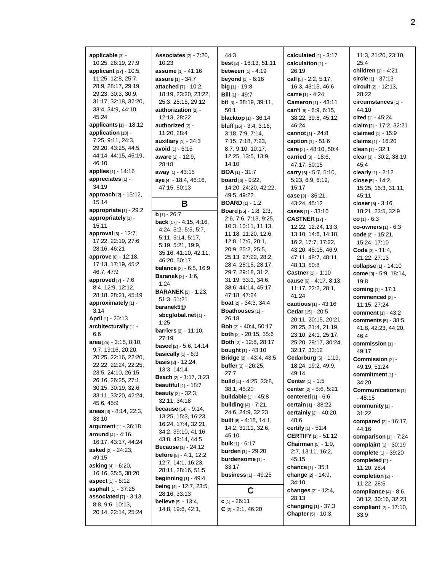**applicable** [3] - 10:25, 26:19, 27:9 **applicant** [17] - 10:5, 11:25, 12:8, 25:7, 28:9, 28:17, 29:19, 29:23, 30:3, 30:9, 31:17, 32:18, 32:20, 33:4, 34:9, 44:10, 45:24 **applicants** [1] - 18:12 **application** [10] -7:25, 9:11, 24:3, 29:20, 43:25, 44:5, 44:14, 44:15, 45:19, 46:10 **applies** [1] - 14:16 **appreciates** [1] - 34:19 **approach** [2] - 15:12, 15:14 **appropriate** [1] - 29:2 **appropriately** [1] - 15:11 **approval** [6] - 12:7, 17:22, 22:19, 27:6, 28:16, 46:21 **approve** [6] - 12:18, 17:13, 17:19, 45:2, 46:7, 47:9 **approved** [7] - 7:6, 8:4, 12:9, 12:12, 28:18, 28:21, 45:19 **approximately** [1] - 3:14 **April** [1] - 20:13 **architecturally** [1] - 6:6 **area** [25] - 3:15, 8:10, 9:7, 19:16, 20:20, 20:25, 22:16, 22:20, 22:22, 22:24, 22:25, 23:5, 24:10, 26:15, 26:16, 26:25, 27:1, 30:15, 30:19, 32:6, 33:11, 33:20, 42:24, 45:6, 45:9 **areas** [3] - 8:14, 22:3, 33:10 **argument** [1] - 36:18 **around** [4] - 4:16, 16:17, 43:17, 44:24 **asked** [2] - 24:23, 49:15 **asking** [4] - 6:20, 16:16, 35:5, 38:20 **aspect** [1] - 6:12 **asphalt** [1] - 37:25 **associated** [7] - 3:13, 8:8, 9:6, 10:13, 20:14, 22:14, 25:24

**Associates** [2] - 7:20, 10:23 **assume** [1] - 41:16 **assure** [1] - 34:7 **attached** [7] - 10:2, 18:19, 23:20, 23:22, 25:3, 25:15, 29:12 **authorization** [2] - 12:13, 28:22 **authorized** [2] - 11:20, 28:4 **auxiliary** [1] - 34:3 **avoid** [1] - 6:15 **aware** [2] - 12:9, 28:18 **away** [1] - 43:15 **aye** [4] - 18:4, 46:16, 47:15, 50:13 **B b** [1] - 26:7 **back** [17] - 4:15, 4:16, 4:24, 5:2, 5:5, 5:7, 5:11, 5:14, 5:17, 5:19, 5:21, 19:9, 35:16, 41:10, 42:11, 46:20, 50:17 **balance** [2] - 6:5, 16:9 **Baranek** [2] - 1:6, 1:24 **BARANEK** [3] - 1:23, 51:3, 51:21 **baranek5@ sbcglobal.net** [1] - 1:25 **barriers** [2] - 11:10, 27:19 **based** [2] - 5:6, 14:14 **basically** [1] - 6:3 **basis** [3] - 12:24, 13:3, 14:14 **Beach** [2] - 1:17, 3:23 **beautiful** [1] - 18:7 **beauty** [3] - 32:3, 32:11, 34:18 **because** [14] - 9:14, 13:25, 15:3, 16:23, 16:24, 17:4, 32:21, 34:2, 39:10, 41:16, 43:8, 43:14, 44:5 **Because** [1] - 24:12 **before** [8] - 4:1, 12:2, 12:7, 14:1, 16:23, 28:11, 28:16, 51:5 **beginning** [1] - 49:4 **being** [4] - 12:7, 23:5, 28:16, 33:13 **believe** [5] - 13:4, 14:8, 19:6, 42:1,

44:3 **best** [2] - 18:13, 51:11 **between** [1] - 4:19 **beyond** [1] - 6:16 **big** [1] - 19:8 **Bill** [1] - 49:7 **bit** [3] - 38:19, 39:11, 50:1 **blacktop** [1] - 36:14 **bluff** [16] - 3:4, 3:16, 3:18, 7:9, 7:14, 7:15, 7:18, 7:23, 8:7, 9:10, 10:17, 12:25, 13:5, 13:9, 14:10 **BOA** [1] - 31:7 **board** [6] - 9:22, 14:20, 24:20, 42:22, 49:5, 49:22 **BOARD** [1] - 1:2 **Board** [35] - 1:8, 2:3, 2:6, 7:6, 7:13, 9:25, 10:3, 10:11, 11:13, 11:18, 11:20, 12:6, 12:8, 17:6, 20:1, 20:9, 25:2, 25:5, 25:13, 27:22, 28:2, 28:4, 28:15, 28:17, 29:7, 29:18, 31:2, 31:19, 33:1, 34:6, 38:6, 44:14, 45:17, 47:18, 47:24 **boat** [2] - 34:3, 34:4 **Boathouses** [1] - 26:18 **Bob** [2] - 40:4, 50:17 **both** [2] - 20:15, 35:6 **Both** [2] - 12:8, 28:17 **bought** [1] - 43:10 **Bridge** [2] - 43:4, 43:5 **buffer** [2] - 26:25, 27:7 **build** [4] - 4:25, 33:8, 38:1, 45:20 **buildable** [1] - 45:8 **building** [4] - 7:21, 24:6, 24:9, 32:23 **built** [6] - 4:18, 14:1, 14:2, 31:11, 32:6, 45:10 **bulk** [1] - 6:17 **burden** [1] - 29:20 **burdensome** [1] - 33:17 **business** [1] - 49:25 **C c** [1] - 26:11 **C** [2] - 2:1, 46:20

**calculated** [1] - 3:17 **calculation** [1] - 26:19 **call** [5] - 2:2, 5:17, 16:3, 43:15, 46:6 **came** [1] - 4:24 **Cameron** [1] - 43:11 **can't** [6] - 6:9, 6:15, 38:22, 39:8, 45:12, 46:24 **cannot** [1] - 24:8 **caption** [1] - 51:6 **care** [2] - 48:10, 50:4 **carried** [3] - 18:6, 47:17, 50:15 **carry** [6] - 5:7, 5:10, 5:23, 6:9, 6:19, 15:17 **case** [3] - 36:21, 43:24, 45:12 **cases** [1] - 33:16 **CASTNER** [17] - 12:22, 12:24, 13:3, 13:10, 14:6, 14:18, 16:2, 17:7, 17:22, 43:20, 45:15, 46:9, 47:11, 48:7, 48:11, 48:13, 50:8 **Castner** [1] - 1:10 **cause** [6] - 4:17, 8:13, 11:17, 22:2, 28:1, 41:24 **cautious** [1] - 43:16 **Cedar** [15] - 20:5, 20:11, 20:15, 20:21, 20:25, 21:4, 21:19, 23:10, 24:1, 25:17, 25:20, 29:17, 30:24, 32:17, 33:12 **Cedarburg** [5] - 1:19, 18:24, 19:2, 49:9, 49:14 **Center** [1] - 1:5 **center** [2] - 5:6, 5:21 **centered** [1] - 6:6 **certain** [1] - 38:22 **certainly** [2] - 40:20, 48:6 **certify** [1] - 51:4 **CERTIFY** [1] - 51:12 **Chairman** [5] - 1:9, 2:7, 13:11, 16:2, 45:15 **chance** [1] - 35:1 **change** [2] - 14:9, 34:10 **changes** [2] - 12:4, 28:13 **changing** [1] - 37:3 **Chapter** [5] - 10:3,

11:3, 21:20, 23:10, 25:4 **children** [1] - 4:21 **circle** [1] - 37:13 **circuit** [2] - 12:13, 28:22 **circumstances** [1] - 44:10 **cited** [1] - 45:24 **claim** [2] - 17:2, 32:21 **claimed** [1] - 15:9 **claims** [1] - 16:20 **clean** [1] - 32:1 **clear** [3] - 30:2, 38:19, 45:4 **clearly** [1] - 2:12 **close** [5] - 14:2, 15:25, 16:3, 31:11, 45:11 **closer** [5] - 3:16, 18:21, 23:5, 32:9 **co** [1] - 6:3 **co-owners** [1] - 6:3 **code** [3] - 15:21, 15:24, 17:10 **Code** [3] - 11:4, 21:22, 27:13 **collapse** [1] - 14:10 **come** [3] - 5:9, 18:14, 19:8 **coming** [1] - 17:1 **commenced** [2] - 11:15, 27:24 **comment** [1] - 43:2 **comments** [5] - 38:5, 41:8, 42:23, 44:20, 46:4 **commission** [1] - 49:17 **Commission** [2] - 49:19, 51:24 **commitment** [1] - 34:20 **Communications** [1] - 48:15 **community** [1] - 31:22 **compared** [2] - 16:17, 44:16 **comparison** [1] - 7:24 **complaint** [1] - 30:19 **complete** [1] - 39:20 **completed** [2] - 11:20, 28:4 **completion** [2] - 11:22, 28:6 **compliance** [4] - 8:6, 30:12, 30:16, 32:23 **compliant** [2] - 17:10, 33:9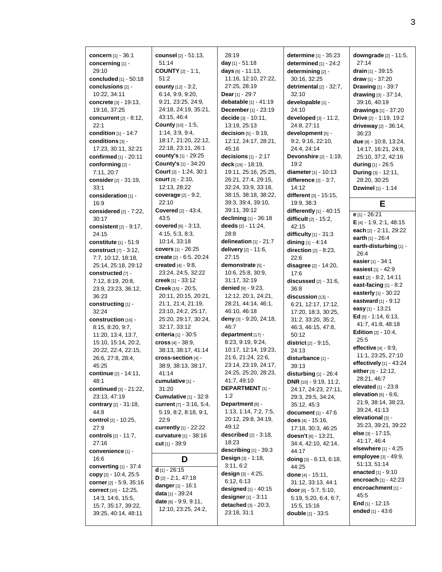**concern** [1] - 36:1 **concerning** [1] - 29:10 **concluded** [1] - 50:18 **conclusions** [2] - 10:22, 34:11 **concrete** [3] - 19:13, 19:16, 37:25 **concurrent** [2] - 8:12, 22:1 **condition** [1] - 14:7 **conditions** [3] - 17:23, 30:11, 32:21 **confirmed** [1] - 20:11 **conforming** [2] - 7:11, 20:7 **consider** [2] - 31:19, 33:1 **consideration** [1] - 16:9 **considered** [2] - 7:22, 30:17 **consistent** [2] - 9:17, 24:15 **constitute** [1] - 51:9 **construct** [7] - 3:12, 7:7, 10:12, 18:18, 25:14, 25:18, 29:12 **constructed** [7] - 7:12, 8:19, 20:8, 23:9, 23:23, 36:12, 36:23 **constructing** [1] - 32:24 **construction** [16] - 8:15, 8:20, 9:7, 11:20, 13:4, 13:7, 15:10, 15:14, 20:2, 20:22, 22:4, 22:15, 26:6, 27:8, 28:4, 45:25 **continue** [2] - 14:11, 48:1 **continued** [3] - 21:22, 23:13, 47:19 **contrary** [2] - 31:18, 44:8 **control** [2] - 10:25, 27:9 **controls** [2] - 11:7, 27:16 **convenience** [1] - 16:6 **converting** [1] - 37:4 **copy** [2] - 10:4, 25:5 **corner** [2] - 5:9, 35:16 **correct** [10] - 12:25, 14:3, 14:6, 15:5, 15:7, 35:17, 39:22, 39:25, 40:14, 48:11

**counsel** [2] - 51:13, 51:14 **COUNTY** [2] - 1:1, 51:2 **county** [12] - 3:2, 6:14, 9:9, 9:20, 9:21, 23:25, 24:9, 24:18, 24:19, 35:21, 43:15, 46:4 **County** [10] - 1:5, 1:14, 3:9, 9:4, 18:17, 21:20, 22:12, 22:18, 23:11, 26:1 **county's** [1] - 29:25 **County's** [1] - 34:20 **Court** [2] - 1:24, 30:1 **court** [3] - 2:10, 12:13, 28:22 **coverage** [2] - 9:2, 22:10 **Covered** [2] - 43:4, 43:5 **covered** [6] - 3:13, 4:15, 5:3, 8:3, 10:14, 33:18 **covers** [1] - 26:25 **create** [2] - 6:5, 20:24 **created** [4] - 9:8, 23:24, 24:5, 32:22 **creek** [1] - 33:12 **Creek** [15] - 20:5, 20:11, 20:15, 20:21, 21:1, 21:4, 21:19, 23:10, 24:2, 25:17, 25:20, 29:17, 30:24, 32:17, 33:12 **criteria** [1] - 30:5 **cross** [4] - 38:9, 38:13, 38:17, 41:14 **cross-section** [4] - 38:9, 38:13, 38:17, 41:14 **cumulative** [1] - 31:20 **Cumulative** [1] - 32:8 **current** [7] - 3:16, 5:4, 5:19, 8:2, 8:18, 9:1, 22:9 **currently** [1] - 22:22 **curvature** [1] - 38:16 **cut** [1] - 39:9 **D d** [1] - 26:15 **D** [2] - 2:1, 47:18 **danger**[1] - 16:1 **data** [1] - 39:24 **date** [6] - 9:9, 9:11, 12:10, 23:25, 24:2,

28:19 **day** [1] - 51:18 **days** [6] - 11:13, 11:16, 12:10, 27:22, 27:25, 28:19 **Dear** [1] - 29:7 **debatable** [1] - 41:19 **December** [1] - 23:19 **decide** [3] - 10:11, 13:19, 25:13 **decision** [5] - 9:19, 12:12, 24:17, 28:21, 45:16 **decisions** [1] - 2:17 **deck** [19] - 18:19, 19:11, 25:16, 25:25, 26:21, 27:4, 29:15, 32:24, 33:9, 33:18, 38:15, 38:18, 38:22, 39:3, 39:4, 39:10, 39:11, 39:12 **declining** [1] - 36:18 **deeds** [2] - 11:24, 28:8 **delineation** [1] - 21:7 **delivery** [2] - 11:6, 27:15 **demonstrate** [5] - 10:6, 25:8, 30:9, 31:17, 32:19 **denied** [9] - 9:23, 12:12, 20:1, 24:21, 28:21, 44:14, 46:1, 46:10, 46:18 **deny** [3] - 9:20, 24:18, 46:7 **department** [17] - 8:23, 9:19, 9:24, 10:17, 12:14, 19:23, 21:6, 21:24, 22:6, 23:14, 23:19, 24:17, 24:25, 25:20, 28:23, 41:7, 49:10 **DEPARTMENT** [1] - 1:2 **Department** [8] - 1:13, 1:14, 7:2, 7:5, 20:12, 29:8, 34:19, 49:12 **described** [2] - 3:18, 18:23 **describing** [1] - 39:3 **Design** [3] - 1:18, 3:11, 6:2 **design** [3] - 4:25, 6:12, 6:13 **designed** [1] - 40:15 **designer**[1] - 3:11 **detached** [3] - 20:3, 23:18, 31:1

**determined** [1] - 24:2 **determining** [2] - 30:16, 32:25 **detrimental** [2] - 32:7, 32:10 **developable** [1] - 24:10 **developed** [3] - 11:2, 24:8, 27:11 **development** [5] - 9:2, 9:16, 22:10, 24:4, 24:14 **Devonshire** [2] - 1:19, 19:2 **diameter** [1] - 10:13 **difference** [2] - 3:7, 14:12 **different** [3] - 15:15, 19:9, 38:3 **differently** [1] - 40:15 **difficult** [2] - 15:2, 42:15 **difficulty** [1] - 31:3 **dining** [1] - 4:14 **direction** [2] - 8:23, 22:6 **disagree** [2] - 14:20, 17:6 **discussed** [2] - 31:6, 36:8 **discussion** [13] - 6:21, 12:17, 17:12, 17:20, 18:3, 30:25, 31:2, 33:20, 35:2, 46:3, 46:15, 47:8, 50:12 **district** [2] - 9:15, 24:13 **disturbance** [1] - 39:13 **disturbing** [1] - 26:4 **DNR** [10] - 9:19, 11:2, 24:17, 24:23, 27:11, 29:3, 29:5, 34:24, 35:12, 45:3 **document** [1] - 47:6 **does** [4] - 15:16, 17:18, 30:3, 46:25 **doesn't** [6] - 13:21, 34:4, 42:10, 42:14, 44:17 **doing** [3] - 6:13, 6:18, 44:25 **done** [4] - 15:11, 31:12, 33:13, 44:1 **door** [8] - 5:7, 5:10, 5:19, 5:20, 6:4, 6:7, 15:5, 15:16 **double** [1] - 33:5

**determine** [1] - 35:23

**downgrade** [2] - 11:5, 27:14 **drain** [1] - 39:15 **draw** [1] - 37:20 **Drawing** [1] - 39:7 **drawing** [3] - 37:14, 39:16, 40:19 **drawings** [1] - 37:20 **Drive** [2] - 1:19, 19:2 **driveway** [2] - 36:14, 36:23 **due** [8] - 10:8, 13:24, 14:17, 16:21, 24:9, 25:10, 37:2, 42:16 **during** [1] - 26:5 **During** [3] - 12:11, 28:20, 30:25 **Dzwinel** [1] - 1:14

## **E**

**e** [1] - 26:21 **E** [4] - 1:9, 2:1, 48:15 **each** [2] - 2:11, 29:22 **earth** [1] - 26:4 **earth-disturbing** [1] - 26:4 **easier** [1] - 34:1 **easiest** [1] - 42:9 **east** [2] - 8:2, 14:11 **east-facing** [1] - 8:2 **easterly** [1] - 30:22 **eastward** [1] - 9:12 **easy** [1] - 13:21 **Ed** [5] - 1:14, 6:13, 41:7, 41:8, 48:18 **Edition** [2] - 10:4, 25:5 **effective** [4] - 9:9, 11:1, 23:25, 27:10 **effectively** [1] - 43:24 **either** [3] - 12:12, 28:21, 46:7 **elevated** [1] - 23:8 **elevation** [6] - 6:6, 21:9, 38:14, 38:23, 39:24, 41:13 **elevational** [3] - 35:23, 39:21, 39:22 **else** [3] - 17:15, 41:17, 46:4 **elsewhere** [1] - 4:25 **employee** [3] - 49:9, 51:13, 51:14 **enacted** [1] - 9:10 **encroach** [1] - 42:23 **encroachment** [1] - 45:5 **End** [1] - 12:15 **ended** [1] - 43:6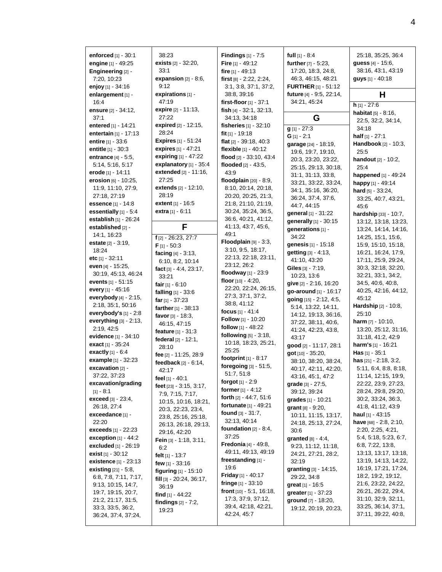| enforced [1] - 30:1                        | 38:23                                      | <b>Findings</b> $[1] - 7:5$                 | <b>full</b> $[1] - 8.4$              | 25:18, 35:25, 36:4                         |
|--------------------------------------------|--------------------------------------------|---------------------------------------------|--------------------------------------|--------------------------------------------|
| engine [1] - 49:25                         | <b>exists</b> $[2] - 32:20$ ,              | Fire $[1] - 49:12$                          | further [7] - 5:23,                  | guess [4] - 15:6,                          |
| Engineering [2] -                          | 33:1                                       | fire $[1] - 49.13$                          | 17:20, 18:3, 24:8,                   | 38:16, 43:1, 43:19                         |
| 7:20, 10:23                                | expansion $[2] - 8:6$ ,                    | first $[8] - 2:22$ , $2:24$ ,               | 46:3, 46:15, 48:21                   | guys [1] - 40:18                           |
| enjoy [1] - 34:16                          | 9:12                                       | 3:1, 3:8, 37:1, 37:2,                       | <b>FURTHER</b> $[1] - 51:12$         |                                            |
| enlargement [1] -                          | expirations [1] -                          | 38:8, 39:16                                 | future [4] - 9:5, 22:14,             | н                                          |
| 16:4                                       | 47:19                                      | first-floor [1] - 37:1                      | 34:21, 45:24                         | $h$ [1] - 27:6                             |
| ensure [2] - 34:12,                        | expire [2] - 11:13,<br>27:22               | fish [4] - 32:1, 32:13,                     |                                      | habitat [5] - 8:16,                        |
| 37:1                                       | expired [2] - 12:15,                       | 34:13, 34:18                                | G                                    | 22:5, 32:2, 34:14,                         |
| entered [1] - 14:21                        | 28:24                                      | <b>fisheries</b> $[1] - 32:10$              | $g$ [1] - 27:3                       | 34:18                                      |
| entertain [1] - 17:13<br>entire [1] - 33:6 | <b>Expires</b> $[1] - 51:24$               | fit $[1]$ - 19:18                           | $G$ [1] - 2:1                        | <b>half</b> $[1] - 27:1$                   |
|                                            | expires [1] - 47:21                        | flat [2] - 39:18, 40:3                      | garage [24] - 18:19,                 | Handbook [2] - 10:3,                       |
| entitle [1] - 30:3                         | expiring $[1] - 47:22$                     | flexible [1] - 40:12                        | 19:6, 19:7, 19:10,                   | 25:5                                       |
| entrance [4] - 5:5,<br>5:14, 5:16, 5:17    | explanatory [1] - 35:4                     | flood $[2] - 33:10, 43:4$                   | 20:3, 23:20, 23:22,                  | handout [2] - 10:2,                        |
|                                            | extended [2] - 11:16,                      | flooded $[2] - 43:5$ ,                      | 25:15, 29:13, 30:18,                 | 25:4                                       |
| erode [1] - 14:11<br>erosion [6] - 10:25,  | 27:25                                      | 43.9<br>floodplain $[20] - 8.9$ ,           | 31:1, 31:13, 33:8,                   | happened [1] - 49:24                       |
| 11:9, 11:10, 27:9,                         | <b>extends</b> [2] - 12:10,                |                                             | 33:21, 33:22, 33:24,                 | happy [1] - 49:14                          |
| 27:18, 27:19                               | 28:19                                      | 8:10, 20:14, 20:18,<br>20:20, 20:25, 21:3,  | 34:1, 35:16, 36:20,                  | <b>hard</b> $[5] - 33:24$ ,                |
| essence [1] - 14:8                         | <b>extent</b> $[1] - 16.5$                 | 21:8, 21:10, 21:19,                         | 36:24, 37:4, 37:6,                   | 33:25, 40:7, 43:21,                        |
| essentially $[1] - 5.4$                    | extra $[1] - 6:11$                         | 30:24, 35:24, 36:5,                         | 44:7, 44:15                          | 45.6                                       |
| establish [1] - 26:24                      |                                            | 36:6, 40:21, 41:12,                         | general [1] - 31:22                  | hardship [33] - 10:7.                      |
| established [2] -                          | F                                          | 41:13, 43:7, 45:6,                          | generally [1] - 30:15                | 13:12, 13:18, 13:23,                       |
| 14:1, 16:23                                |                                            | 49:1                                        | generations [1] -                    | 13:24, 14:14, 14:16,                       |
| estate [2] - 3:19,                         | $f$ [2] - 26:23, 27:7                      | Floodplain $[9] - 3:3$ ,                    | 34:22                                | 14:25, 15:1, 15:6,                         |
| 18:24                                      | $F$ [1] - 50:3                             | 3:10, 9:5, 18:17,                           | genesis [1] - 15:18                  | 15:9, 15:10, 15:18,                        |
| etc $[1] - 32:11$                          | facing $[4] - 3:13$ ,                      | 22:13, 22:18, 23:11,                        | getting [3] - 4:13,                  | 16:21, 16:24, 17:9,                        |
| even [4] - 15:25,                          | 6:10, 8:2, 10:14                           | 23:12, 26:2                                 | 41:10, 43:20<br>Giles $[3] - 7:19$ , | 17:11, 25:9, 29:24,<br>30:3, 32:18, 32:20, |
| 30:19, 45:13, 46:24                        | fact $[3] - 4:4$ , 23:17,                  | floodway $[1] - 23:9$                       | 10:23, 13:6                          | 32:21, 33:1, 34:2,                         |
| events [1] - 51:15                         | 33:21                                      | <b>floor</b> $[10] - 4:20$ ,                | give [2] - 2:16, 16:20               | 34:5, 40:6, 40:8,                          |
| every [1] - 45:16                          | fair $[1] - 6:10$                          | 22:20, 22:24, 26:15,                        | go-around [1] - 16:17                | 40:25, 42:16, 44:12,                       |
| everybody [4] - 2:15,                      | falling $[1] - 33.6$                       | 27:3, 37:1, 37:2,                           | going [15] - 2:12, 4:5,              | 45:12                                      |
| 2:18, 35:1, 50:16                          | far $[1]$ - 37:23                          | 38:8, 41:12                                 | 5:14, 13:22, 14:11,                  | Hardship [2] - 10:8,                       |
| everybody's $[1]$ - 2:8                    | farther $[1] - 38:13$<br>favor [3] - 18:3, | focus $[1] - 41.4$                          | 14:12, 19:13, 36:16,                 | 25:10                                      |
| everything $[3] - 2:13$ ,                  | 46:15, 47:15                               | Follow [1] - 10:20                          | 37:22, 38:11, 40:6,                  | <b>harm</b> $[7] - 10:10$ ,                |
| 2:19, 42:5                                 | <b>feature</b> $[1] - 31:3$                | follow [1] - 48:22                          | 41:24, 42:23, 43:8,                  | 13:20, 25:12, 31:16,                       |
| evidence [1] - 34:10                       | federal [2] - 12:1,                        | following [5] - 3:18,                       | 43:17                                | 31:18, 41:2, 42:9                          |
| exact [1] - 35:24                          | 28:10                                      | 10:18, 18:23, 25:21,                        | good [2] - 11:17, 28:1               | harm's $[1] - 16:21$                       |
| <b>exactly</b> $[1] - 6:4$                 | fee [2] - 11:25, 28:9                      | 25:25                                       | got [10] - 35:20,                    | <b>Has</b> $[1] - 35:1$                    |
| example [1] - 32:23                        | feedback $[2] - 6:14$ ,                    | footprint $[1] - 8:17$                      | 38:10, 38:20, 38:24,                 | has [21] - 2:18, 3:2,                      |
| excavation [2] -                           | 42:17                                      | foregoing [3] - 51:5,                       | 40:17, 42:11, 42:20,                 | 5:11, 6:4, 8:8, 8:18,                      |
| 37:22, 37:23                               | feel $[1] - 40:1$                          | 51:7, 51:8                                  | 43:16, 45:1, 47:2                    | 11:14, 12:15, 19:9,                        |
| excavation/grading                         | feet [23] - 3:15, 3:17,                    | forgot <sub>[1]</sub> - 2:9                 | grade [3] - 27:5,                    | 22:22, 23:9, 27:23,                        |
| $[1] - 8:1$                                | 7:9, 7:15, 7:17,                           | former $[1] - 4:12$                         | 39:12, 39:24                         | 28:24, 29:8, 29:20,                        |
| <b>exceed</b> [3] - 23:4,                  | 10:15, 10:16, 18:21,                       | <b>forth</b> $[2] - 44:7, 51:6$             | grades [1] - 10:21                   | 30:2, 33:24, 36:3,                         |
| 26:18, 27:4                                | 20:3, 22:23, 23:4,                         | fortunate [1] - 49:21                       | <b>grant</b> $[8] - 9:20$ ,          | 41:8, 41:12, 43:9                          |
| exceedance [1] -                           | 23:8, 25:16, 25:18,                        | found $[3] - 31:7$ ,                        | 10:11, 11:15, 13:17,                 | haul $[1] - 43:15$                         |
| 22:20                                      | 26:13, 26:18, 29:13,                       | 32:13, 40:14                                | 24:18, 25:13, 27:24,                 | have $[68] - 2:8, 2:10,$                   |
| <b>exceeds</b> [1] - 22:23                 | 29:16, 42:20                               | foundation $[2] - 8:4$ ,                    | 30:6                                 | 2:20, 2:25, 4:21,                          |
| exception $[1] - 44:2$                     | Fein $[3] - 1:18$ , $3:11$ ,               | 37:25                                       | granted $[8] - 4.4$ ,                | 5:4, 5:18, 5:23, 6:7,                      |
| excluded [1] - 26:19                       | 6:2                                        | <b>Fredonia</b> $[4] - 49.8$ ,              | 9:23, 11:12, 11:18,                  | 6:8, 7:22, 13:8,                           |
| exist $[1] - 30.12$                        | felt [1] - 13:7                            | 49:11, 49:13, 49:19<br>freestanding $[1]$ - | 24:21, 27:21, 28:2,                  | 13:13, 13:17, 13:18,                       |
| existence [1] - 23:13                      | few $[1] - 33.16$                          | 19:6                                        | 32:19                                | 13:19, 14:13, 14:22,                       |
| <b>existing</b> $[21] - 5.8$ ,             | <b>figuring</b> $[1] - 15:10$              | <b>Friday</b> [1] - 40:17                   | granting [3] - 14:15,                | 16:19, 17:21, 17:24,                       |
| 6.8, 7.8, 7.11, 7.17,                      | fill $[3] - 20:24$ , 36:17,                | fringe $[1] - 33:10$                        | 29:22, 34:8                          | 18:2, 19:2, 19:12,<br>21:6, 23:22, 24:22,  |
| 9:13, 10:15, 14:7,                         | 36:19                                      | front $[10] - 5:1$ , 16:18,                 | <b>great</b> [1] - 16:5              | 26:21, 26:22, 29:4,                        |
| 19:7, 19:15, 20:7,                         | find $[1]$ - 44:22                         | 17:3, 37:9, 37:12,                          | greater [1] - 37:23                  | 31:10, 32:9, 32:11,                        |
| 21:2, 21:17, 31:5,                         | findings $[2] - 7:2$ ,                     | 39:4, 42:18, 42:21,                         | ground [7] - 18:20,                  | 33:25, 36:14, 37:1,                        |
| 33:3, 33:5, 36:2,<br>36:24, 37:4, 37:24,   | 19:23                                      | 42:24, 45:7                                 | 19:12, 20:19, 20:23,                 | 37:11, 39:22, 40:8,                        |
|                                            |                                            |                                             |                                      |                                            |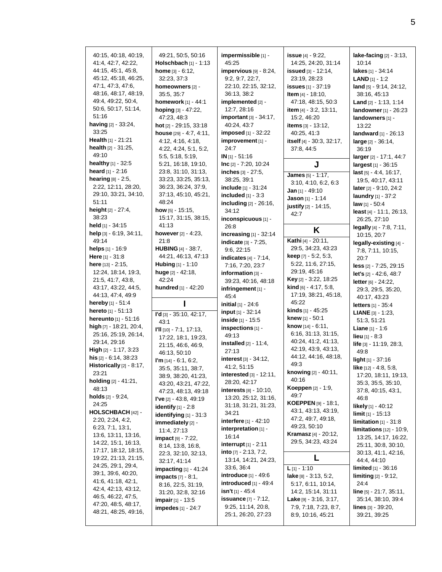| 40:15, 40:18, 40:19,<br>41:4, 42:7, 42:22,<br>44:15, 45:1, 45:8,<br>45:12, 45:18, 46:25,<br>47:1, 47:3, 47:6,<br>48:16, 48:17, 48:19,<br>49:4, 49:22, 50:4,<br>50:6, 50:17, 51:14,<br>51:16<br><b>having</b> [2] - 33:24,<br>33:25<br><b>Health</b> [1] - 21:21<br>health [2] - 31:25,<br>49:10                                 | 49:21, 50:5, 50:16<br><b>Holschbach</b> $[1] - 1:13$<br><b>home</b> $[3] - 6:12$ ,<br>32:23, 37:3<br>homeowners [2] -<br>35:5, 35:7<br><b>homework</b> [1] - 44:1<br>hoping [3] - 47:22,<br>47:23, 48:3<br>hot $[2]$ - 29:15, 33:18<br>house [29] - 4:7, 4:11,<br>4:12, 4:16, 4:18,<br>4:22, 4:24, 5:1, 5:2,<br>5:5, 5:18, 5:19, | impermissible [1] -<br>45.25<br>impervious $[9] - 8:24$ ,<br>9:2, 9:7, 22:7,<br>22:10, 22:15, 32:12,<br>36:13, 38:2<br>implemented [2] -<br>12:7, 28:16<br>important [3] - 34:17,<br>40:24, 43:7<br>imposed [1] - 32:22<br>improvement [1] -<br>24:7<br>$IN_{[1]} - 51:16$ | <b>issue</b> [4] - 9:22,<br>14:25, 24:20, 31:14<br><b>issued</b> $[3] - 12:14$ ,<br>23:19, 28:23<br><b>issues</b> [1] - 37:19<br>Item [4] - 18:10,<br>47:18, 48:15, 50:3<br>item [4] - 3:2, 13:11,<br>15:2, 46:20<br>items $[3] - 13:12$ ,<br>40:25, 41:3<br>itself [4] - 30:3, 32:17,<br>37:8, 44:5 |
|---------------------------------------------------------------------------------------------------------------------------------------------------------------------------------------------------------------------------------------------------------------------------------------------------------------------------------|----------------------------------------------------------------------------------------------------------------------------------------------------------------------------------------------------------------------------------------------------------------------------------------------------------------------------------|----------------------------------------------------------------------------------------------------------------------------------------------------------------------------------------------------------------------------------------------------------------------------|------------------------------------------------------------------------------------------------------------------------------------------------------------------------------------------------------------------------------------------------------------------------------------------------------|
| healthy [1] - 32:5                                                                                                                                                                                                                                                                                                              | 5:21, 16:18, 19:10,                                                                                                                                                                                                                                                                                                              | $Inc [2] - 7:20, 10:24$                                                                                                                                                                                                                                                    | J                                                                                                                                                                                                                                                                                                    |
| <b>heard</b> [1] - 2:16<br>hearing [8] - 2:5,<br>2:22, 12:11, 28:20,<br>29:10, 33:21, 34:10,<br>51:11<br>height [2] - 27:4,<br>38:23                                                                                                                                                                                            | 23:8, 31:10, 31:13,<br>33:23, 33:25, 35:13,<br>36:23, 36:24, 37:9,<br>37:13, 45:10, 45:21,<br>48:24<br><b>how</b> [5] - 15:15,<br>15:17, 31:15, 38:15,                                                                                                                                                                           | inches [3] - 27:5,<br>38:25, 39:1<br>include [1] - 31:24<br>included $[1] - 3:3$<br>including [2] - 26:16,<br>34:12<br>inconspicuous [1] -                                                                                                                                 | James [5] - 1:17,<br>3:10, 4:10, 6:2, 6:3<br>Jan [1] - 49:10<br>Jason [1] - 1:14<br>justify [2] - 14:15,<br>42:7                                                                                                                                                                                     |
| <b>held</b> [1] - 34:15                                                                                                                                                                                                                                                                                                         | 41:13                                                                                                                                                                                                                                                                                                                            | 26:8                                                                                                                                                                                                                                                                       | K                                                                                                                                                                                                                                                                                                    |
| help [3] - 6:19, 34:11,<br>49:14                                                                                                                                                                                                                                                                                                | however $[2] - 4:23$ ,<br>21:8                                                                                                                                                                                                                                                                                                   | increasing $[1] - 32:14$<br>indicate [3] - 7:25,                                                                                                                                                                                                                           | Kathi [4] - 20:11,                                                                                                                                                                                                                                                                                   |
| <b>helps</b> [1] - 16:9                                                                                                                                                                                                                                                                                                         | <b>HUBING</b> $[4]$ - 38:7,                                                                                                                                                                                                                                                                                                      | 9:6, 22:15                                                                                                                                                                                                                                                                 | 29:5, 34:23, 43:23                                                                                                                                                                                                                                                                                   |
| <b>Here</b> [1] - 31:8<br><b>here</b> [13] - 2:15,<br>12:24, 18:14, 19:3,<br>21:5, 41:7, 43:8,<br>43:17, 43:22, 44:5,                                                                                                                                                                                                           | 44:21, 46:13, 47:13<br><b>Hubing</b> $[1] - 1:10$<br>huge $[2] - 42:18$ ,<br>42:24<br><b>hundred</b> [1] - 42:20                                                                                                                                                                                                                 | indicates $[4] - 7:14$ ,<br>7:16, 7:20, 23:7<br>information [3] -<br>39:23, 40:16, 48:18<br>infringement [1] -                                                                                                                                                             | <b>keep</b> $[7] - 5:2, 5:3,$<br>5:22, 11:6, 27:15,<br>29:19, 45:16<br>Key [2] - 3:22, 18:25<br>kind [6] - 4:17, 5:8,                                                                                                                                                                                |
| 44:13, 47:4, 49:9<br>hereby [1] - 51:4                                                                                                                                                                                                                                                                                          | п                                                                                                                                                                                                                                                                                                                                | 45.4                                                                                                                                                                                                                                                                       | 17:19, 38:21, 45:18,<br>45:22                                                                                                                                                                                                                                                                        |
| hereto [1] - 51:13                                                                                                                                                                                                                                                                                                              |                                                                                                                                                                                                                                                                                                                                  | <b>initial</b> $[1] - 24.6$<br>input [1] - 32:14                                                                                                                                                                                                                           | kinds [1] - 45:25                                                                                                                                                                                                                                                                                    |
| <b>hereunto</b> [1] - 51:16<br>high [7] - 18:21, 20:4,<br>25:16, 25:19, 26:14,<br>29:14, 29:16<br>High [2] - 1:17, 3:23<br><b>his</b> [2] - 6:14, 38:23<br>Historically [2] - 8:17,<br>23:21<br>holding [2] - 41:21,<br>48:13<br><b>holds</b> [2] - 9:24,<br>24:25<br>HOLSCHBACH [42] -<br>2:20, 2:24, 4:2,<br>6:23, 7:1, 13:1, | $\Gamma d$ [3] - 35:10, 42:17,<br>43:1<br>$\Gamma$ II [10] - 7:1, 17:13,<br>17:22, 18:1, 19:23,<br>21:15, 46:6, 46:9,<br>46:13, 50:10<br>I'm $[14] - 6:1, 6:2,$<br>35:5, 35:11, 38:7,<br>38:9, 38:20, 41:23,<br>43:20, 43:21, 47:22,<br>47:23, 48:13, 49:18<br>I've $[2] - 43.8, 49.19$<br><b>identify</b> $[1] - 2.8$           | inside [1] - 15:5<br>inspections [1] -<br>49:13<br><b>installed</b> $[2] - 11:4$ ,<br>27:13<br>interest $[3] - 34:12$ ,<br>41:2, 51:15<br>interested [3] - 12:11,<br>28:20, 42:17<br><b>interests</b> $[8] - 10:10,$<br>13:20, 25:12, 31:16,<br>31:18, 31:21, 31:23,       | <b>knew</b> [1] - 50:1<br>know [14] - 6:11,<br>6:16, 31:13, 31:15,<br>40:24, 41:2, 41:13,<br>42:19, 43:9, 43:13,<br>44:12, 44:16, 48:18,<br>49:3<br>knowing [2] - 40:11,<br>40:16<br><b>Koeppen</b> [2] - 1:9,<br>49:7<br><b>KOEPPEN</b> [9] - 18:1,<br>43:1, 43:13, 43:19,                          |
| 13:6, 13:11, 13:16,<br>14:22, 15:1, 16:13,<br>17:17, 18:12, 18:15,                                                                                                                                                                                                                                                              | identifying [1] - 31:3<br>immediately [2] -<br>11:4, 27:13<br>impact [9] - 7:22,<br>8:14, 13:8, 16:8,                                                                                                                                                                                                                            | 34:21<br>interfere [1] - 42:10<br>interpretation [1] -<br>16:14<br><b>interrupt</b> $[1] - 2:11$<br>into $[7] - 2:13, 7:2,$                                                                                                                                                | 47:2, 49:7, 49:18,<br>49:23, 50:10<br><b>Kramasz</b> [4] - 20:12,<br>29:5, 34:23, 43:24                                                                                                                                                                                                              |
| 19:22, 21:13, 21:15,<br>24:25, 29:1, 29:4,                                                                                                                                                                                                                                                                                      | 22:3, 32:10, 32:13,<br>32:17, 41:14                                                                                                                                                                                                                                                                                              | 13:14, 14:21, 24:23,<br>33:6, 36:4                                                                                                                                                                                                                                         | L                                                                                                                                                                                                                                                                                                    |

**lake-facing** [2] - 3:13, 10:14 **lakes** [1] - 34:14 **LAND** [1] - 1:2 **land** [5] - 9:14, 24:12, 38:16, 45:13 **Land** [2] - 1:13, 1:14 **landowner** [1] - 26:23 **landowners** [1] - 13:22 **landward** [1] - 26:13 **large** [2] - 36:14, 36:19 **larger** [2] - 17:1, 44:7 **largest** [1] - 36:15 **last** [5] - 4:4, 16:17, 19:5, 40:17, 43:11 **later** [2] - 9:10, 24:2 **laundry** [1] - 37:2 **law** [1] - 50:4 **least** [4] - 11:1, 26:13, 26:25, 27:10 **legally** [4] - 7:8, 7:11, 10:15, 20:7 **legally-existing** [4] - 7:8, 7:11, 10:15, 20:7 **less** [2] - 7:25, 29:15 **let's** [2] - 42:6, 48:7 **letter** [6] - 24:22, 29:3, 29:5, 35:20, 40:17, 43:23 **letters** [1] - 35:4 **LIANE** [3] - 1:23, 51:3, 51:21 **Liane** [1] - 1:6 **lieu** [1] - 8:3 **life** [3] - 11:19, 28:3, 49:8 **light** [1] - 37:16 **like** [12] - 4:8, 5:8, 17:20, 18:11, 19:13, 35:3, 35:5, 35:10, 37:8, 40:15, 43:1, 46:8 **likely** [1] - 40:12 **limit** [1] - 15:13 **limitation** [1] - 31:8 **limitations** [12] - 10:9, 13:25, 14:17, 16:22, 25:11, 30:8, 30:10, 30:13, 41:1, 42:16, 44:4, 44:10 **limited** [1] - 36:16 **limiting** [2] - 9:12, 24:4 **line** [5] - 21:7, 35:11, 35:14, 38:10, 39:4 **lines** [3] - 39:20, 39:21, 39:25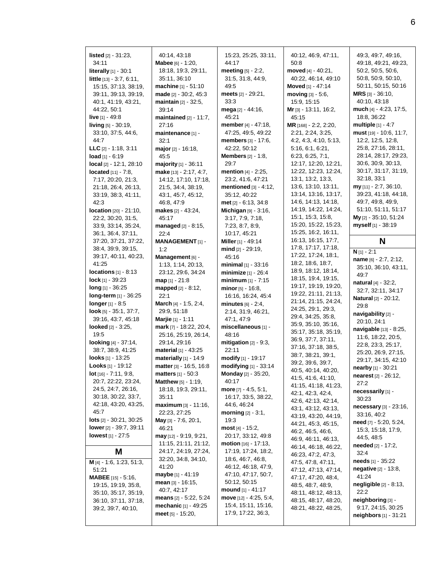**listed** [2] - 31:23, 34:11 **literally** [1] - 30:1 **little** [13] - 3:7, 6:11, 15:15, 37:13, 38:19, 39:11, 39:13, 39:19, 40:1, 41:19, 43:21, 44:22, 50:1 **live** [1] - 49:8 **living** [5] - 30:19, 33:10, 37:5, 44:6, 44:7 **LLC** [2] - 1:18, 3:11 **load** [1] - 6:19 **local** [2] - 12:1, 28:10 **located** [11] - 7:8, 7:17, 20:20, 21:3, 21:18, 26:4, 26:13, 33:19, 38:3, 41:11, 42:3 **location** [20] - 21:10, 22:2, 30:20, 31:5, 33:9, 33:14, 35:24, 36:1, 36:4, 37:11, 37:20, 37:21, 37:22, 38:4, 39:9, 39:15, 39:17, 40:11, 40:23, 41:25 **locations** [1] - 8:13 **lock** [1] - 39:23 **long** [1] - 36:25 **long-term** [1] - 36:25 **longer** [1] - 8:5 **look** [5] - 35:1, 37:7, 39:16, 43:7, 45:18 **looked** [2] - 3:25, 19:5 **looking** [4] - 37:14, 38:7, 38:9, 41:25 **looks** [1] - 13:25 **Looks** [1] - 19:12 **lot** [16] - 7:11, 9:8, 20:7, 22:22, 23:24, 24:5, 24:7, 26:16, 30:18, 30:22, 33:7, 42:18, 43:20, 43:25, 45:7 **lots** [2] - 30:21, 30:25 **lower** [2] - 39:7, 39:11 **lowest** [1] - 27:5 **M M** [4] - 1:6, 1:23, 51:3, 51:21 **MABEE** [15] - 5:16, 19:15, 19:19, 35:8, 35:10, 35:17, 35:19,

36:10, 37:11, 37:18, 39:2, 39:7, 40:10,

40:14, 43:18 **Mabee** [6] - 1:20, 18:18, 19:3, 29:11, 35:11, 36:10 **machine** [1] - 51:10 **made** [2] - 30:2, 45:3 **maintain** [2] - 32:5, 39:14 **maintained** [2] - 11:7, 27:16 **maintenance** [1] - 32:1 **major** [2] - 16:18, 45:5 **majority** [1] - 36:11 **make** [13] - 2:17, 4:7, 14:12, 17:10, 17:18, 21:5, 34:4, 38:19, 43:1, 45:7, 45:12, 46:8, 47:9 **makes** [2] - 43:24, 45:17 **managed** [2] - 8:15, 22:4 **MANAGEMENT** [1] - 1:2 **Management** [6] - 1:13, 1:14, 20:13, 23:12, 29:6, 34:24 **map** [1] - 21:8 **mapped** [2] - 8:12, 22:1 **March** [4] - 1:5, 2:4, 29:9, 51:18 **Marjie** [1] - 1:11 **mark** [7] - 18:22, 20:4, 25:16, 25:19, 26:14, 29:14, 29:16 **material** [1] - 43:25 **materially** [1] - 14:9 **matter** [3] - 16:5, 16:8 **matters** [1] - 50:3 **Matthew** [5] - 1:19, 18:18, 19:3, 29:11, 35:11 **maximum** [3] - 11:16, 22:23, 27:25 **May** [3] - 7:6, 20:1, 46:21 **may** [12] - 9:19, 9:21, 11:15, 21:11, 21:12, 24:17, 24:19, 27:24, 32:20, 34:8, 34:10, 41:20 **maybe** [1] - 41:19 **mean** [3] - 16:15, 40:7, 42:17 **means** [2] - 5:22, 5:24 **mechanic** [1] - 49:25 **meet** [5] - 15:20,

15:23, 25:25, 33:11, 44:17 **meeting** [5] - 2:2, 31:5, 31:8, 44:9, 49:5 **meets** [2] - 29:21, 33:3 **mega** [2] - 44:16, 45:21 **member** [4] - 47:18, 47:25, 49:5, 49:22 **members** [3] - 17:6, 42:22, 50:12 **Members** [2] - 1:8, 29:7 **mention** [4] - 2:25, 23:2, 41:6, 47:21 **mentioned** [3] - 4:12, 35:12, 40:22 **met** [2] - 6:13, 34:8 **Michigan** [9] - 3:16, 3:17, 7:9, 7:18, 7:23, 8:7, 8:9, 10:17, 45:21 **Miller** [1] - 49:14 **mind** [2] - 29:19, 45:16 **minimal** [1] - 33:16 **minimize** [1] - 26:4 **minimum** [1] - 7:15 **minor** [5] - 16:8, 16:16, 16:24, 45:4 **minutes** [6] - 2:4, 2:14, 31:9, 46:21, 47:1, 47:9 **miscellaneous** [1] - 48:16 **mitigation** [2] - 9:3, 22:11 **modify** [1] - 19:17 **modifying** [1] - 33:14 **Monday** [2] - 35:20, 40:17 **more** [7] - 4:5, 5:1, 16:17, 33:5, 38:22, 44:6, 46:24 **morning** [2] - 3:1, 19:3 **most** [4] - 15:2, 20:17, 33:12, 49:8 **motion** [16] - 17:13, 17:19, 17:24, 18:2, 18:6, 46:7, 46:8, 46:12, 46:18, 47:9, 47:10, 47:17, 50:7, 50:12, 50:15 **mound** [1] - 41:17 **move** [12] - 4:25, 5:4, 15:4, 15:11, 15:16, 17:9, 17:22, 36:3,

40:12, 46:9, 47:11, 50:8 **moved** [4] - 40:21, 40:22, 46:14, 49:10 **Moved** [1] - 47:14 **moving** [3] - 5:6, 15:9, 15:15 **Mr** [3] - 13:11, 16:2, 45:15 **MR** [168] - 2:2, 2:20, 2:21, 2:24, 3:25, 4:2, 4:3, 4:10, 5:13, 5:16, 6:1, 6:21, 6:23, 6:25, 7:1, 12:17, 12:20, 12:21, 12:22, 12:23, 12:24, 13:1, 13:2, 13:3, 13:6, 13:10, 13:11, 13:14, 13:16, 13:17, 14:6, 14:13, 14:18, 14:19, 14:22, 14:24, 15:1, 15:3, 15:8, 15:20, 15:22, 15:23, 15:25, 16:2, 16:11, 16:13, 16:15, 17:7, 17:8, 17:17, 17:18, 17:22, 17:24, 18:1, 18:2, 18:6, 18:7, 18:9, 18:12, 18:14, 18:15, 19:4, 19:15, 19:17, 19:19, 19:20, 19:22, 21:11, 21:13, 21:14, 21:15, 24:24, 24:25, 29:1, 29:3, 29:4, 34:25, 35:8, 35:9, 35:10, 35:16, 35:17, 35:18, 35:19, 36:9, 37:7, 37:11, 37:16, 37:18, 38:5, 38:7, 38:21, 39:1, 39:2, 39:6, 39:7, 40:5, 40:14, 40:20, 41:5, 41:6, 41:10, 41:15, 41:18, 41:23, 42:1, 42:3, 42:4, 42:6, 42:13, 42:14, 43:1, 43:12, 43:13, 43:19, 43:20, 44:19, 44:21, 45:3, 45:15, 46:2, 46:5, 46:6, 46:9, 46:11, 46:13, 46:14, 46:18, 46:22, 46:23, 47:2, 47:3, 47:5, 47:8, 47:11, 47:12, 47:13, 47:14, 47:17, 47:20, 48:4, 48:5, 48:7, 48:9, 48:11, 48:12, 48:13, 48:15, 48:17, 48:20, 48:21, 48:22, 48:25,

49:3, 49:7, 49:16, 49:18, 49:21, 49:23, 50:2, 50:5, 50:6, 50:8, 50:9, 50:10, 50:11, 50:15, 50:16 **MRS** [3] - 36:10, 40:10, 43:18 **much** [4] - 4:23, 17:5, 18:8, 36:22 **multiple** [1] - 4:7 **must** [19] - 10:6, 11:7, 12:2, 12:5, 12:8, 25:8, 27:16, 28:11, 28:14, 28:17, 29:23, 30:6, 30:9, 30:13, 30:17, 31:17, 31:19, 32:18, 33:1 **my** [11] - 2:7, 36:10, 39:23, 41:18, 44:18, 49:7, 49:8, 49:9, 51:10, 51:11, 51:17 **My** [2] - 35:10, 51:24 **myself** [1] - 38:19

## **N**

**N** [1] - 2:1

**name** [6] - 2:7, 2:12, 35:10, 36:10, 43:11, 49:7 **natural** [4] - 32:2, 32:7, 32:11, 34:17 **Natural** [2] - 20:12, 29:8 **navigability** [2] - 20:10, 24:1 **navigable** [13] - 8:25, 11:6, 18:22, 20:5, 22:8, 23:3, 25:17, 25:20, 26:9, 27:15, 29:17, 34:15, 42:10 **nearby** [1] - 30:21 **nearest** [2] - 26:12, 27:2 **necessarily** [1] - 30:23 **necessary** [3] - 23:16, 33:16, 40:2 **need** [7] - 5:20, 5:24, 15:3, 15:18, 17:9, 44:5, 48:5 **needed** [2] - 17:2, 32:4 **needs** [1] - 35:22 **negative** [2] - 13:8, 41:24 **negligible** [2] - 8:13, 22:2 **neighboring** [3] - 9:17, 24:15, 30:25 **neighbors** [1] - 31:21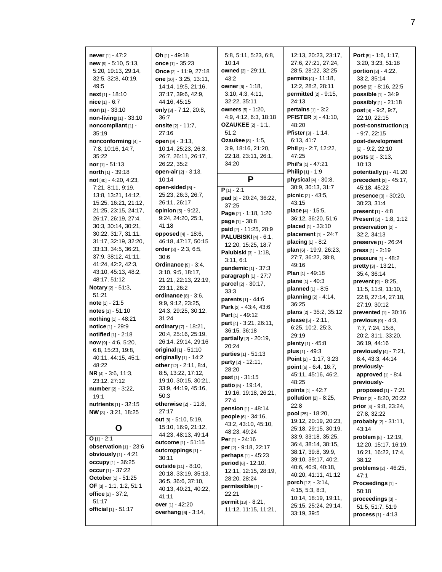**never** [1] - 47:2 **new** [9] - 5:10, 5:13, 5:20, 19:13, 29:14, 32:5, 32:8, 40:19, 49:5 **next** [1] - 18:10 **nice** [1] - 6:7 **non** [1] - 33:10 **non-living** [1] - 33:10 **noncompliant** [1] - 35:19 **nonconforming** [4] - 7:8, 10:16, 14:7, 35:22 **nor** [1] - 51:13 **north** [1] - 39:18 **not** [40] - 4:20, 4:23, 7:21, 8:11, 9:19, 13:8, 13:21, 14:12, 15:25, 16:21, 21:12, 21:25, 23:15, 24:17, 26:17, 26:19, 27:4, 30:3, 30:14, 30:21, 30:22, 31:7, 31:11, 31:17, 32:19, 32:20, 33:13, 34:5, 36:21, 37:9, 38:12, 41:11, 41:24, 42:2, 42:3, 43:10, 45:13, 48:2, 48:17, 51:12 **Notary** [2] - 51:3, 51:21 **note** [1] - 21:5 **notes** [1] - 51:10 **nothing** [1] - 48:21 **notice** [1] - 29:9 **notified** [1] - 2:18 **now** [9] - 4:6, 5:20, 6:8, 15:23, 19:8, 40:11, 44:15, 45:1, 48:22 **NR** [4] - 3:6, 11:3, 23:12, 27:12 **number** [2] - 3:22, 19:1 **nutrients** [1] - 32:15 **NW** [3] - 3:21, 18:25 **O O**  $[1] - 2:1$ **observation** [1] - 23:6 **obviously** [1] - 4:21 **occupy** [1] - 36:25 **occur** [1] - 37:22 **October** [1] - 51:25 **OF** [3] - 1:1, 1:2, 51:1 **office** [2] - 37:2, 51:17 **official** [1] - 51:17

**Oh** [1] - 49:18 **once** [1] - 35:23 **Once** [2] - 11:9, 27:18 **one** [10] - 3:25, 13:11, 14:14, 19:5, 21:16, 37:17, 39:6, 42:9, 44:16, 45:15 **only** [3] - 7:12, 20:8, 36:7 **onsite** [2] - 11:7, 27:16 **open** [9] - 3:13, 10:14, 25:23, 26:3, 26:7, 26:11, 26:17, 26:22, 35:2 **open-air** [2] - 3:13, 10:14 **open-sided** [5] - 25:23, 26:3, 26:7, 26:11, 26:17 **opinion** [5] - 9:22, 9:24, 24:20, 25:1, 41:18 **opposed** [4] - 18:6, 46:18, 47:17, 50:15 **order** [3] - 2:3, 6:5, 30:6 **Ordinance** [9] - 3:4, 3:10, 9:5, 18:17, 21:21, 22:13, 22:19, 23:11, 26:2 **ordinance** [8] - 3:6, 9:9, 9:12, 23:25, 24:3, 29:25, 30:12, 31:24 **ordinary** [7] - 18:21, 20:4, 25:16, 25:19, 26:14, 29:14, 29:16 **original** [1] - 51:10 **originally** [1] - 14:2 **other** [12] - 2:11, 8:4, 8:5, 13:22, 17:12, 19:10, 30:15, 30:21, 33:9, 44:19, 45:16, 50:3 **otherwise** [2] - 11:8, 27:17 **out** [8] - 5:10, 5:19, 15:10, 16:9, 21:12, 44:23, 48:13, 49:14 **outcome** [1] - 51:15 **outcroppings** [1] - 30:11 **outside** [11] - 8:10, 20:18, 33:19, 35:13, 36:5, 36:6, 37:10, 40:13, 40:21, 40:22, 41:11 **over** [1] - 42:20 **overhang** [6] - 3:14,

5:8, 5:11, 5:23, 6:8, 10:14 **owned** [2] - 29:11, 43:2 **owner** [6] - 1:18, 3:10, 4:3, 4:11, 32:22, 35:11 **owners** [5] - 1:20, 4:9, 4:12, 6:3, 18:18 **OZAUKEE** [2] - 1:1, 51:2 **Ozaukee** [8] - 1:5, 3:9, 18:16, 21:20, 22:18, 23:11, 26:1, 34:20 **P P** [1] - 2:1 **pad** [3] - 20:24, 36:22, 37:25 **Page** [2] - 1:18, 1:20 **page** [1] - 38:8 **paid** [2] - 11:25, 28:9 **PALUBISKI** [4] - 6:1, 12:20, 15:25, 18:7 **Palubiski** [3] - 1:18, 3:11, 6:1 **pandemic** [1] - 37:3 **paragraph** [1] - 27:7 **parcel** [2] - 30:17, 33:3 **parents** [1] - 44:6 **Park** [2] - 43:4, 43:6 **Part** [1] - 49:12 **part** [4] - 3:21, 26:11, 36:15, 36:18 **partially** [2] - 20:19, 20:24 **parties** [1] - 51:13 **party** [2] - 12:11, 28:20 **past** [1] - 31:15 **patio** [5] - 19:14, 19:16, 19:18, 26:21,  $27.4$ **pension** [1] - 48:14 **people** [6] - 34:16, 43:2, 43:10, 45:10, 48:23, 49:24 **Per** [1] - 24:16 **per** [2] - 9:18, 22:17 **perhaps** [1] - 45:23 **period** [6] - 12:10, 12:11, 12:15, 28:19, 28:20, 28:24 **permissible** [1] - 22:21 **permit** [13] - 8:21, 11:12, 11:15, 11:21,

12:13, 20:23, 23:17, 27:6, 27:21, 27:24, 28:5, 28:22, 32:25 **permits** [4] - 11:18, 12:2, 28:2, 28:11 **permitted** [2] - 9:15, 24:13 **pertains** [1] - 3:2 **PFISTER** [2] - 41:10, 48:20 **Pfister** [3] - 1:14, 6:13, 41:7 **Phil** [3] - 2:7, 12:22, 47:25 **Phil's** [1] - 47:21 **Philip** [1] - 1:9 **physical** [4] - 30:8, 30:9, 30:13, 31:7 **picnic** [2] - 43:5, 43:15 **place** [4] - 15:5, 36:12, 36:20, 51:6 **placed** [1] - 33:10 **placement** [1] - 24:7 **placing** [1] - 8:2 **plan** [6] - 19:9, 26:23, 27:7, 36:22, 38:8, 49:16 **Plan** [1] - 49:18 **plane** [1] - 40:3 **planned** [1] - 8:5 **planning** [2] - 4:14, 36:25 **plans** [2] - 35:2, 35:12 **please** [5] - 2:11, 6:25, 10:2, 25:3, 29:19 **plenty** [1] - 45:8 **plus** [1] - 49:3 **Point** [2] - 1:17, 3:23 **point** [6] - 6:4, 16:7, 45:11, 45:16, 46:2, 48:25 **points** [1] - 42:7 **pollution** [2] - 8:25, 22:8 **pool** [25] - 18:20, 19:12, 20:19, 20:23, 25:18, 29:15, 30:19, 33:9, 33:18, 35:25, 36:4, 38:14, 38:15, 38:17, 39:8, 39:9, 39:10, 39:17, 40:2, 40:6, 40:9, 40:18, 40:20, 41:11, 41:12 **porch** [12] - 3:14, 4:15, 5:3, 8:3, 10:14, 18:19, 19:11, 25:15, 25:24, 29:14, 33:19, 39:5

**Port** [5] - 1:6, 1:17, 3:20, 3:23, 51:18 **portion** [3] - 4:22, 33:2, 35:14 **pose** [2] - 8:16, 22:5 **possible** [1] - 34:9 **possibly** [1] - 21:18 **post** [4] - 9:2, 9:7, 22:10, 22:15 **post-construction** [2] - 9:7, 22:15 **post-development** [2] - 9:2, 22:10 **posts** [2] - 3:13, 10:13 **potentially** [1] - 41:20 **precedent** [3] - 45:17, 45:18, 45:22 **presence** [3] - 30:20, 30:23, 31:4 **present** [1] - 4:8 **Present** [2] - 1:8, 1:12 **preservation** [2] - 32:2, 34:13 **preserve** [1] - 26:24 **press** [1] - 2:19 **pressure** [1] - 48:2 **pretty** [3] - 13:21, 35:4, 36:14 **prevent** [9] - 8:25, 11:5, 11:9, 11:10, 22:8, 27:14, 27:18, 27:19, 30:12 **prevented** [1] - 30:16 **previous** [9] - 4:3, 7:7, 7:24, 15:8, 20:2, 31:1, 33:20, 36:19, 44:16 **previously** [4] - 7:21, 8:4, 43:3, 44:14 **previouslyapproved** [1] - 8:4 **previouslyproposed** [1] - 7:21 **Prior** [2] - 8:20, 20:22 **prior** [4] - 9:8, 23:24, 27:8, 32:22 **probably** [2] - 31:11, 43:14 **problem** [8] - 12:19, 12:20, 15:17, 16:19, 16:21, 16:22, 17:4, 38:12 **problems** [2] - 46:25, 47:1 **Proceedings** [1] - 50:18 **proceedings** [3] - 51:5, 51:7, 51:9 **process** [1] - 4:13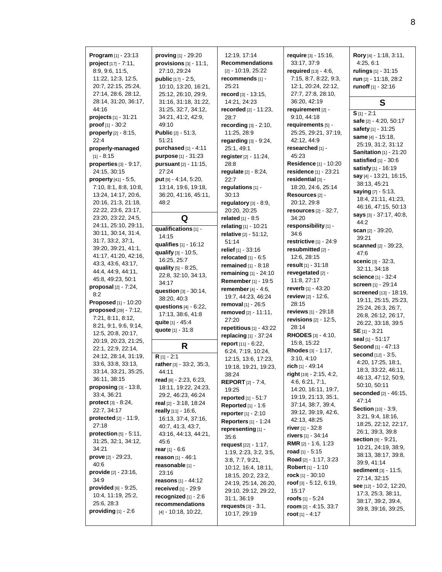**Program** [1] - 23:13 **project** [17] - 7:11, 8:9, 9:6, 11:5, 11:22, 12:3, 12:5, 20:7, 22:15, 25:24, 27:14, 28:6, 28:12, 28:14, 31:20, 36:17, 44:16 **projects** [1] - 31:21 **proof** [1] - 30:2 **properly** [2] - 8:15,  $22.4$ **properly-managed**  $[1] - 8:15$ **properties** [3] - 9:17, 24:15, 30:15 **property** [41] - 5:5, 7:10, 8:1, 8:8, 10:8, 13:24, 14:17, 20:6, 20:16, 21:3, 21:18, 22:22, 23:6, 23:17, 23:20, 23:22, 24:5, 24:11, 25:10, 29:11, 30:11, 30:14, 31:4, 31:7, 33:2, 37:1, 39:20, 39:21, 41:1, 41:17, 41:20, 42:16, 43:3, 43:6, 43:17, 44:4, 44:9, 44:11, 45:8, 49:23, 50:1 **proposal** [2] - 7:24, 8:2 **Proposed** [1] - 10:20 **proposed** [28] - 7:12, 7:21, 8:11, 8:12, 8:21, 9:1, 9:6, 9:14, 12:5, 20:8, 20:17, 20:19, 20:23, 21:25, 22:1, 22:9, 22:14, 24:12, 28:14, 31:19, 33:6, 33:8, 33:13, 33:14, 33:21, 35:25, 36:11, 38:15 **proposing** [3] - 13:8, 33:4, 36:21 **protect** [3] - 8:24, 22:7, 34:17 **protected** [2] - 11:9, 27:18 **protection** [5] - 5:11, 31:25, 32:1, 34:12, 34:21 **prove** [2] - 29:23, 40:6 **provide** [2] - 23:16, 34:9 **provided** [6] - 9:25, 10:4, 11:19, 25:2, 25:6, 28:3 **providing** [1] - 2:6

**proving** [1] - 29:20 **provisions** [3] - 11:1, 27:10, 29:24 **public** [17] - 2:5, 10:10, 13:20, 16:21, 25:12, 26:10, 29:9, 31:16, 31:18, 31:22, 31:25, 32:7, 34:12, 34:21, 41:2, 42:9, 49:10 **Public** [2] - 51:3, 51:21 **purchased** [1] - 4:11 **purpose** [1] - 31:23 **pursuant** [2] - 11:15, 27:24 **put** [9] - 4:14, 5:20, 13:14, 19:6, 19:18, 36:20, 41:16, 45:11, 48:2 **Q qualifications** [1] - 14:15 **qualifies** [1] - 16:12 **qualify** [3] - 10:5, 16:25, 25:7 **quality** [5] - 8:25, 22:8, 32:10, 34:13, 34:17 **question** [3] - 30:14, 38:20, 40:3 **questions** [4] - 6:22, 17:13, 38:6, 41:8 **quite** [1] - 45:4 **quote** [1] - 31:8 **R R** [1] - 2:1 **rather** [3] - 33:2, 35:3, 44:11 **read** [8] - 2:23, 6:23, 18:11, 19:22, 24:23, 29:2, 46:23, 46:24 **real** [2] - 3:18, 18:24 **really** [11] - 16:6, 16:13, 37:4, 37:16, 40:7, 41:3, 43:7, 43:16, 44:13, 44:21, 45:6 **rear** [1] - 6:6 **reason** [1] - 46:1 **reasonable** [1] - 23:16 **reasons** [1] - 44:12 **received** [1] - 29:9 **recognized** [1] - 2:6 **recommendations** [4] - 10:18, 10:22,

12:19, 17:14 **Recommendations** [2] - 10:19, 25:22 **recommends** [1] - 25:21 **record** [3] - 13:15, 14:21, 24:23 **recorded** [2] - 11:23, 28:7 **recording** [3] - 2:10, 11:25, 28:9 **regarding** [3] - 9:24, 25:1, 49:1 **register** [2] - 11:24, 28:8 **regulate** [2] - 8:24, 22:7 **regulations** [1] - 30:13 **regulatory** [3] - 8:9, 20:20, 20:25 **related** [1] - 8:5 **relating** [1] - 10:21 **relative** [2] - 51:12, 51:14 **relief** [1] - 33:16 **relocated** [1] - 6:5 **remained** [1] - 8:18 **remaining** [1] - 24:10 **Remember** [1] - 19:5 **remember** [4] - 4:6, 19:7, 44:23, 46:24 **removal** [1] - 26:5 **removed** [2] - 11:11, 27:20 **repetitious** [1] - 43:22 **replacing** [1] - 37:24 **report** [11] - 6:22, 6:24, 7:19, 10:24, 12:15, 13:6, 17:23, 19:18, 19:21, 19:23, 38:24 **REPORT** [2] - 7:4, 19:25 **reported** [1] - 51:7 **Reported** [1] - 1:6 **reporter**[1] - 2:10 **Reporters** [1] - 1:24 **representing** [1] - 35:6 **request** [22] - 1:17, 1:19, 2:23, 3:2, 3:5, 3:8, 7:7, 9:21, 10:12, 16:4, 18:11, 18:15, 20:2, 23:2, 24:19, 25:14, 26:20, 29:10, 29:12, 29:22, 31:1, 36:19 **requests** [3] - 3:1, 10:17, 29:19

**require** [3] - 15:16, 33:17, 37:9 **required** [13] - 4:6, 7:15, 8:7, 8:22, 9:3, 12:1, 20:24, 22:12, 27:7, 27:8, 28:10, 36:20, 42:19 **requirement** [2] - 9:10, 44:18 **requirements** [5] - 25:25, 29:21, 37:19, 42:12, 44:9 **researched** [1] - 45:23 **Residence** [1] - 10:20 **residence** [1] - 23:21 **residential** [3] - 18:20, 24:6, 25:14 **Resources** [2] - 20:12, 29:8 **resources** [2] - 32:7, 34:20 **responsibility** [1] - 34:6 **restrictive** [1] - 24:9 **resubmitted** [2] - 12:6, 28:15 **result** [1] - 31:18 **revegetated** [2] - 11:8, 27:17 **reverb** [1] - 43:20 **review** [2] - 12:6, 28:15 **reviews** [1] - 29:18 **revisions** [2] - 12:5, 28:14 **RHODES** [3] - 4:10, 15:8, 15:22 **Rhodes** [3] - 1:17, 3:10, 4:10 **rich** [1] - 49:14 **right** [19] - 2:15, 4:2, 4:6, 6:21, 7:1, 14:20, 16:11, 19:7, 19:19, 21:13, 35:1, 37:14, 38:7, 39:4, 39:12, 39:19, 42:6, 42:13, 48:25 **river** [1] - 32:8 **rivers** [1] - 34:14 **RMR** [2] - 1:6, 1:23 **road** [1] - 5:15 **Road** [2] - 1:17, 3:23 **Robert** [1] - 1:10 **rock** [1] - 30:10 **roof** [3] - 5:12, 6:19, 15:17 **roofs** [1] - 5:24 **room** [2] - 4:15, 33:7 **root** [1] - 4:17

**Rory** [4] - 1:18, 3:11, 4:25, 6:1 **rulings** [1] - 31:15 **run** [2] - 11:18, 28:2 **runoff** [1] - 32:16

## **S**

**S** [1] - 2:1 **safe** [2] - 4:20, 50:17 **safety** [1] - 31:25 **same** [4] - 15:18, 25:19, 31:2, 31:12 **Sanitation** [1] - 21:20 **satisfied** [1] - 30:6 **satisfy** [1] - 16:19 **say** [4] - 13:21, 16:15, 38:13, 45:21 **saying** [7] - 5:13, 18:4, 21:11, 41:23, 46:16, 47:15, 50:13 **says** [3] - 37:17, 40:8, 44:2 **scan** [2] - 39:20, 39:21 **scanned** [2] - 39:23, 47:6 **scenic** [3] - 32:3, 32:11, 34:18 **science** [1] - 32:4 **screen** [1] - 29:14 **screened** [13] - 18:19, 19:11, 25:15, 25:23, 25:24, 26:3, 26:7, 26:8, 26:12, 26:17, 26:22, 33:18, 39:5 **SE** [1] - 3:21 **seal** [1] - 51:17 **Second** [1] - 47:13 **second** [12] - 3:5, 4:20, 17:25, 18:1, 18:3, 33:22, 46:11, 46:13, 47:12, 50:9, 50:10, 50:11 **seconded** [2] - 46:15, 47:14 **Section** [10] - 3:9, 3:21, 9:4, 18:16, 18:25, 22:12, 22:17, 26:1, 39:3, 39:8 **section** [9] - 9:21, 10:21, 24:19, 38:9, 38:13, 38:17, 39:8, 39:9, 41:14 **sediment** [3] - 11:5, 27:14, 32:15 **see** [12] - 10:2, 12:20, 17:3, 25:3, 38:11, 38:17, 39:2, 39:4, 39:8, 39:16, 39:25,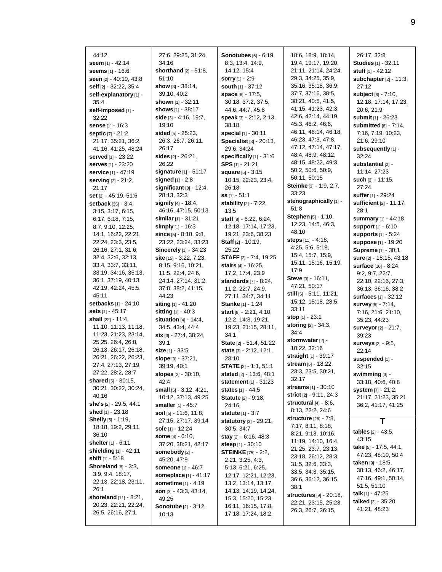| 44:12                                       | 27:6, 29:25, 31:24,             | <b>Sonotubes</b> [6] - 6:19,   | 18:6, 18:9, 18:14,<br>19:4, 19:17, 19:20, | 26:17, 32:8                                     |
|---------------------------------------------|---------------------------------|--------------------------------|-------------------------------------------|-------------------------------------------------|
| seem [1] - 42:14                            | 34:16<br>shorthand [2] - 51:8,  | 8:3, 13:4, 14:9,               | 21:11, 21:14, 24:24,                      | <b>Studies</b> [1] - 32:11<br>stuff [1] - 42:12 |
| seems [1] - 16:6                            |                                 | 14:12, 15:4                    |                                           |                                                 |
| <b>seen</b> [2] - 40:19, 43:8               | 51:10                           | <b>sorry</b> [1] - 2:9         | 29:3, 34:25, 35:9,<br>35:16, 35:18, 36:9, | subchapter $[2] - 11:3$ ,                       |
| self [2] - 32:22, 35:4                      | show $[3] - 38:14$ ,            | south [1] - 37:12              | 37:7, 37:16, 38:5,                        | 27:12                                           |
| self-explanatory [1] -                      | 39:10, 40:2                     | space [8] - 17:5,              | 38:21, 40:5, 41:5,                        | subject [6] - 7:10,                             |
| 35:4                                        | shown [1] - 32:11               | 30:18, 37:2, 37:5,             | 41:15, 41:23, 42:3,                       | 12:18, 17:14, 17:23,                            |
| self-imposed [1] -                          | <b>shows</b> [1] - 38:17        | 44:6, 44:7, 45:8               | 42:6, 42:14, 44:19,                       | 20:6, 21:9                                      |
| 32:22                                       | side $[3] - 4.16$ , 19:7,       | <b>speak</b> [3] - 2:12, 2:13, | 45.3, 46.2, 46.6,                         | submit [1] - 26:23                              |
| sense [1] - 16:3                            | 19:10                           | 38:18                          | 46:11, 46:14, 46:18,                      | submitted [6] - 7:14,                           |
| septic [7] - 21:2,                          | <b>sided</b> [5] - 25:23,       | <b>special</b> [1] - 30:11     | 46:23, 47:3, 47:8,                        | 7:16, 7:19, 10:23,<br>21:6, 29:10               |
| 21:17, 35:21, 36:2,                         | 26:3, 26:7, 26:11,              | Specialist [3] - 20:13,        | 47:12, 47:14, 47:17,                      |                                                 |
| 41:16, 41:25, 48:24                         | 26:17                           | 29:6, 34:24                    | 48:4, 48:9, 48:12,                        | subsequently [1] -                              |
| served [1] - 23:22                          | sides $[2] - 26:21$ ,           | specifically [1] - 31:6        | 48:15, 48:22, 49:3,                       | 32:24                                           |
| serves [1] - 23:20                          | 26:22                           | $SPS$ [1] - 21:21              | 50:2, 50:6, 50:9,                         | substantial [2] -                               |
| service [1] - 47:19                         | signature [1] - 51:17           | square [5] - 3:15,             | 50:11, 50:15                              | 11:14, 27:23                                    |
| serving [2] - 21:2,                         | signed $[1] - 2.8$              | 10:15, 22:23, 23:4,            | Steinke [3] - 1:9, 2:7,                   | such [2] - 11:15,                               |
| 21:17                                       | significant $[3] - 12:4$ ,      | 26:18                          | 33:23                                     | 27:24                                           |
| set [2] - 45:19, 51:6                       | 28:13, 32:3                     | <b>ss</b> [1] - 51:1           | stenographically [1] -                    | suffer [1] - 29:24                              |
| setback [35] - 3:4,                         | signify $[4] - 18.4$ ,          | stability [2] - 7:22,          | 51:8                                      | sufficient [2] - 11:17,                         |
| 3:15, 3:17, 6:15,                           | 46:16, 47:15, 50:13             | 13:5                           | <b>Stephen</b> [5] - 1:10,                | 28:1                                            |
| 6:17, 6:18, 7:15,                           | similar $[1] - 31:21$           | staff $[8] - 6.22, 6.24,$      | 12:23, 14:5, 46:3,                        | summary [1] - 44:18                             |
| 8:7, 9:10, 12:25,                           | <b>simply</b> [1] - 16:3        | 12:18, 17:14, 17:23,           | 48:10                                     | support $[1] - 6:10$                            |
| 14:1, 16:22, 22:21,                         | since $[5] - 8.18, 9.8,$        | 19:21, 23:6, 38:23             | steps [11] - 4:18,                        | supports $[1] - 5:24$                           |
| 22:24, 23:3, 23:5,                          | 23:22, 23:24, 33:23             | <b>Staff</b> $[2] - 10:19$ ,   | 4:25, 5:6, 5:18,                          | <b>suppose</b> [1] - 19:20                      |
| 26:16, 27:1, 31:6,                          | <b>Sincerely</b> [1] - 34:23    | 25:22                          | 15:4, 15:7, 15:9,                         | <b>Supreme</b> [1] - 30:1                       |
| 32:4, 32:6, 32:13,                          | site $[15] - 3:22, 7:23,$       | STAFF [2] - 7:4, 19:25         | 15:11, 15:16, 15:19,                      | <b>sure</b> [2] - 18:15, 43:18                  |
| 33:4, 33:7, 33:11,                          | 8:15, 9:16, 10:21,              | <b>stairs</b> [4] - 16:25,     | 17:9                                      | surface [10] - 8:24,                            |
| 33:19, 34:16, 35:13,                        | 11:5, 22:4, 24:6,               | 17:2, 17:4, 23:9               | Steve [3] - 16:11,                        | 9:2, 9:7, 22:7,                                 |
| 36:1, 37:19, 40:13,                         | 24:14, 27:14, 31:2,             | standards $[7] - 8:24$ ,       | 47:21, 50:17                              | 22:10, 22:16, 27:3,                             |
| 42:19, 42:24, 45:5,                         | 37:8, 38:2, 41:15,              | 11:2, 22:7, 24:9,              | still [6] - 5:11, 11:21,                  | 36:13, 36:16, 38:2                              |
| 45:11                                       | 44:23                           | 27:11, 34:7, 34:11             | 15:12, 15:18, 28:5,                       | surfaces [1] - 32:12                            |
| setbacks [1] - 24:10                        | siting [1] - 41:20              | Stanke [1] - 1:24              | 33:11                                     | <b>survey</b> [6] - 7:14,                       |
| <b>sets</b> [1] - 45:17                     | <b>sitting</b> $[1] - 40:3$     | start [9] - 2:21, 4:10,        | stop $[1] - 23:1$                         | 7:16, 21:6, 21:10,                              |
| shall [22] - 11:4,                          | <b>situation</b> $[4] - 14:4$ , | 12:2, 14:3, 19:21,             | <b>storing</b> $[2] - 34:3$ ,             | 35:23, 44:23                                    |
| 11:10, 11:13, 11:18,                        | 34:5, 43:4, 44:4                | 19:23, 21:15, 28:11,           | 34:4                                      | surveyor [2] - 21:7,                            |
| 11:23, 21:23, 23:14,                        | six [3] - 27:4, 38:24,          | 34:1                           | stormwater [2] -                          | 39:23                                           |
| 25:25, 26:4, 26:8,                          | 39:1                            | State [2] - 51:4, 51:22        | 10:22, 32:16                              | <b>surveys</b> [2] - 9:5,                       |
| 26:13, 26:17, 26:18,                        | size $[1] - 33.5$               | state [3] - 2:12, 12:1,        | straight [1] - 39:17                      | 22:14                                           |
| 26:21, 26:22, 26:23,<br>27:4, 27:13, 27:19, | slope [3] - 37:21,              | 28:10                          | stream [5] - 18:22,                       | suspended [1] -                                 |
|                                             | 39:19, 40:1                     | <b>STATE</b> $[2]$ 1:1, 51:1   | 23:3, 23:5, 30:21,                        | 32:15                                           |
| 27:22, 28:2, 28:7<br>shared $[5] - 30:15$ , | <b>slopes</b> [2] - 30:10,      | <b>stated</b> [2] - 13:6, 48:1 | 32:17                                     | swimming [3] -                                  |
| 30:21, 30:22, 30:24,                        | 42:4                            | <b>statement</b> [1] - 31:23   | <b>streams</b> [1] - 30:10                | 33:18, 40:6, 40:8                               |
| 40:16                                       | small $[5] - 3:12, 4:21,$       | <b>states</b> $[1] - 44.5$     | <b>strict</b> [2] - 9:11, 24:3            | system $[7] - 21:2$ ,                           |
| <b>she's</b> [2] - 29:5, 44:1               | 10:12, 37:13, 49:25             | <b>Statute</b> [2] - 9:18,     | structural $[4]$ - 8:6,                   | 21:17, 21:23, 35:21,                            |
| <b>shed</b> [1] - 23:18                     | <b>smaller</b> [1] - 45:7       | 24:16                          | 8:13, 22:2, 24:6                          | 36:2, 41:17, 41:25                              |
| Shelly [5] - 1:19,                          | soil [5] - 11:6, 11:8,          | <b>statute</b> $[1] - 3:7$     | <b>structure</b> [26] - 7:8,              |                                                 |
| 18:18, 19:2, 29:11,                         | 27:15, 27:17, 39:14             | statutory [3] - 29:21,         | 7:17, 8:11, 8:18,                         | Τ                                               |
| 36:10                                       | sole [1] - 12:24                | 30:5, 34:7                     | 8:21, 9:13, 10:16,                        | tables [2] - 43:5,                              |
| shelter [1] - 6:11                          | <b>some</b> [4] - 6:10,         | <b>stay</b> [2] - 6:16, 48:3   | 11:19, 14:10, 16:4,                       | 43:15                                           |
| shielding $[1] - 42:11$                     | 37:20, 38:21, 42:17             | <b>steep</b> [1] - 30:10       | 21:25, 23:7, 23:13,                       | <b>take</b> [5] - 17:5, 44:1,                   |
| shift $[1] - 5.18$                          | somebody [2] -                  | <b>STEINKE</b> [75] - 2:2,     | 23:18, 26:12, 28:3,                       | 47:23, 48:10, 50:4                              |
| Shoreland $[8] - 3:3$ ,                     | 45:20, 47:9                     | 2:21, 3:25, 4:3,               | 31:5, 32:6, 33:3,                         | taken [9] - 18:5,                               |
| 3.9, 9.4, 18.17,                            | <b>someone</b> $[1] - 46:7$     | 5:13, 6:21, 6:25,              | 33:5, 34:3, 35:15,                        | 38:13, 46:2, 46:17,                             |
| 22:13, 22:18, 23:11,                        | <b>someplace</b> [1] - 41:17    | 12:17, 12:21, 12:23,           | 36:6, 36:12, 36:15,                       | 47:16, 49:1, 50:14,                             |
| 26:1                                        | sometime [1] - 4:19             | 13:2, 13:14, 13:17,            | 38:1                                      | 51:5, 51:10                                     |
| <b>shoreland</b> $[11] - 8:21$ ,            | son $[3] - 43:3, 43:14,$        | 14:13, 14:19, 14:24,           | <b>structures</b> [9] - 20:18,            | talk [1] - 47:25                                |
| 20:23, 22:21, 22:24,                        | 49:25                           | 15:3, 15:20, 15:23,            | 22:21, 23:15, 25:23,                      | talked [3] - 35:20,                             |
| 26:5, 26:16, 27:1,                          | <b>Sonotube</b> [2] - 3:12,     | 16:11, 16:15, 17:8,            | 26:3, 26:7, 26:15,                        | 41:21, 48:23                                    |
|                                             | 10:13                           | 17:18, 17:24, 18:2,            |                                           |                                                 |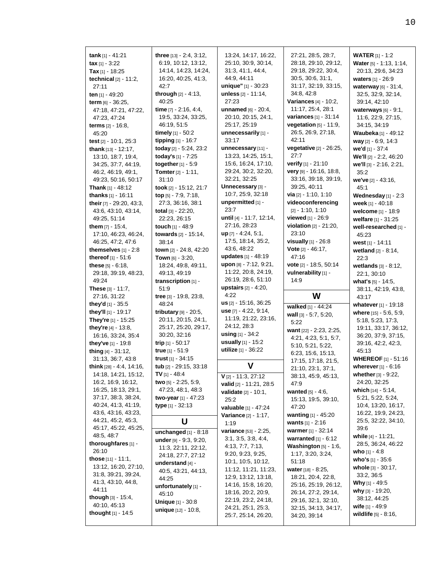| tax $[1] - 3:22$<br>Tax [1] - 18:25                                 | three [13] - 2:4, 3:12,<br>6:19, 10:12, 13:12,<br>14:14, 14:23, 14:24, | 13:24, 14:17, 16:22,<br>25:10, 30:9, 30:14,<br>31:3, 41:1, 44:4, | 27:21, 28:5, 28:7,<br>28:18, 29:10, 29:12,<br>29:18, 29:22, 30:4,          | <b>WATER</b> [1] - 1:2<br>Water [5] - 1:13, 1:14,<br>20:13, 29:6, 34:23 |
|---------------------------------------------------------------------|------------------------------------------------------------------------|------------------------------------------------------------------|----------------------------------------------------------------------------|-------------------------------------------------------------------------|
| technical $[2] - 11:2$ ,<br>27:11<br>ten [1] - 49:20                | 16:20, 40:25, 41:3,<br>42:7<br><b>through</b> $[2] - 4:13$ ,           | 44:9, 44:11<br>unique" [1] - 30:23<br>unless [2] - 11:14,        | 30:5, 30:6, 31:1,<br>31:17, 32:19, 33:15,<br>34:8, 42:8                    | waters [1] - 26:9<br>waterway [6] - 31:4,<br>32:5, 32:9, 32:14,         |
| <b>term</b> $[6] - 36:25$ ,<br>47:18, 47:21, 47:22,<br>47:23, 47:24 | 40:25<br>time [7] - 2:16, 4:4,<br>19:5, 33:24, 33:25,                  | 27:23<br><b>unnamed</b> [6] - 20:4,<br>20:10, 20:15, 24:1,       | <b>Variances</b> [4] - 10:2,<br>11:17, 25:4, 28:1<br>variances [1] - 31:14 | 39:14, 42:10<br>waterways $[6] - 9:1$ ,<br>11:6, 22:9, 27:15,           |
| <b>terms</b> $[2] - 16.8$ ,<br>45:20                                | 46:19, 51:5<br>timely $[1] - 50.2$                                     | 25:17, 25:19<br>unnecessarily [1] -                              | vegetation $[5] - 11.9$ ,<br>26:5, 26:9, 27:18,                            | 34:15, 34:19<br><b>Waubeka</b> [1] - 49:12                              |
| test $[2] - 10:1, 25:3$                                             | tipping $[1] - 16.7$                                                   | 33:17                                                            | 42:11                                                                      | way [2] - 6:9, 14:3                                                     |
| thank $[13] - 12:17$ ,<br>13:10, 18:7, 19:4,<br>34:25, 37:7, 44:19, | today [2] - 5:24, 23:2<br>today's [1] - 7:25<br>together $[1] - 5.9$   | unnecessary [11] -<br>13:23, 14:25, 15:1,<br>15:6, 16:24, 17:10, | vegetative [2] - 26:25,<br>27:7<br>verify [1] - 21:10                      | we'd [1] - 37:4<br>We'll [2] - 2:2, 46:20<br>we'll [3] - 2:16, 2:21,    |
| 46:2, 46:19, 49:1,<br>49:23, 50:16, 50:17                           | <b>Tomter</b> $[2] - 1:11$ ,<br>31:10                                  | 29:24, 30:2, 32:20,<br>32:21, 32:25                              | very $[9] - 16:16, 18:8,$<br>33:16, 39:18, 39:19,                          | 35:2                                                                    |
| <b>Thank</b> [1] - 48:12                                            | took $[2] - 15:12, 21:7$                                               | Unnecessary [3] -                                                | 39:25, 40:11                                                               | <b>we've</b> [2] - 43:16,<br>45:1                                       |
| thanks [1] - 16:11<br>their [7] - 29:20, 43:3,                      | top [5] - 7:9, 7:18,<br>27:3, 36:16, 38:1                              | 10:7, 25:9, 32:18<br>unpermitted $[1]$ -                         | via $[2] - 1:10, 1:10$<br>videoconferencing                                | Wednesday $[1] - 2:3$<br>week [1] - 40:18                               |
| 43:6, 43:10, 43:14,                                                 | total $[3] - 22:20$ ,                                                  | 23:7                                                             | $[2] - 1:10, 1:10$                                                         | welcome [1] - 18:9                                                      |
| 49:25, 51:14<br><b>them</b> $[7] - 15:4$ ,                          | 22:23, 26:15<br>touch [1] - 48:9                                       | until [4] - 11:7, 12:14,<br>27:16, 28:23                         | viewed [1] - 26:9<br>violation [2] - 21:20,                                | welfare [1] - 31:25<br>well-researched [1] -                            |
| 17:10, 46:23, 46:24,<br>46:25, 47:2, 47:6                           | towards $[2] - 15:14$ ,<br>38:14                                       | $up$ [7] - 4:24, 5:1,<br>17:5, 18:14, 35:2,                      | 23:10<br><b>visually</b> $[1] - 26.8$                                      | 45:23<br>west $[1] - 14:11$                                             |
| themselves $[1]$ - 2:8                                              | <b>town</b> [2] - 24:8, 42:20                                          | 43:6, 48:22                                                      | Vote $[2] - 46:17$ ,                                                       | wetland [2] - 8:14,                                                     |
| thereof [1] - 51:6                                                  | <b>Town</b> [6] - 3:20,                                                | updates [1] - 48:19<br>upon [8] - 7:12, 9:21,                    | 47:16<br><b>vote</b> $[2] - 18.5, 50.14$                                   | 22:3                                                                    |
| these $[5] - 6:18$ ,<br>29:18, 39:19, 48:23,                        | 18:24, 49:8, 49:11,<br>49:13, 49:19                                    | 11:22, 20:8, 24:19,                                              | vulnerability [1] -                                                        | wetlands $[3] - 8:12$ ,<br>22:1, 30:10                                  |
| 49:24                                                               | transcription $[1]$ -                                                  | 26:19, 28:6, 51:10                                               | 14:9                                                                       | what's $[5] - 14.5$ ,                                                   |
| <b>These</b> $[3] - 11:7$ ,                                         | 51:9                                                                   | <b>upstairs</b> $[2] - 4:20$ ,                                   |                                                                            | 38:11, 42:19, 43:8,                                                     |
|                                                                     |                                                                        |                                                                  |                                                                            |                                                                         |
| 27:16, 31:22                                                        | tree [3] - 19:8, 23:8,                                                 | 4:22                                                             | W                                                                          | 43:17                                                                   |
| they'd $[1]$ - 35:5                                                 | 48:24                                                                  | $us$ [2] - 15:16, 36:25                                          | walked [1] - 44:24                                                         | whatever $[1] - 19:18$                                                  |
| they'll [1] - 19:17                                                 | tributary $[9] - 20:5$ ,                                               | use [7] - 4:22, 9:14,                                            | <b>wall</b> $[3] - 5.7, 5.20$ ,                                            | where [15] - 5:6, 5:9,                                                  |
| <b>They're</b> $[1]$ - 15:25                                        | 20:11, 20:15, 24:1,                                                    | 11:19, 21:22, 23:16,                                             | 5:22                                                                       | 5:18, 5:23, 17:3,                                                       |
| they're [4] - 13:8,                                                 | 25:17, 25:20, 29:17,                                                   | 24:12, 28:3<br><b>using</b> $[1] - 34:2$                         | want [22] - 2:23, 2:25,                                                    | 19:11, 33:17, 36:12,                                                    |
| 16:16, 33:24, 35:4                                                  | 30:20, 32:16<br>trip $[1] - 50:17$                                     | <b>usually</b> $[1] - 15.2$                                      | 4:21, 4:23, 5:1, 5:7,                                                      | 36:20, 37:9, 37:15,                                                     |
| they've [1] - 19.8<br>thing [4] - 31:12,                            | true [1] - 51:9                                                        | utilize [1] - 36:22                                              | 5:10, 5:21, 5:22,                                                          | 39:16, 42:2, 42:3,<br>45:13                                             |
| 31:13, 36:7, 43:8                                                   | <b>trust</b> $[1] - 34:15$                                             |                                                                  | 6:23, 15:6, 15:13,<br>17:15, 17:18, 21:5,                                  | <b>WHEREOF</b> [1] - 51:16                                              |
| think [28] - 4:4, 14:16,                                            | tub [2] - 29:15, 33:18                                                 | V                                                                | 21:10, 23:1, 37:1,                                                         | wherever $[1] - 6.16$                                                   |
| 14:18, 14:21, 15:12,                                                | <b>TV</b> [1] - 48:4                                                   | $V$ [2] - 11:3, 27:12                                            | 38:13, 45:9, 45:13,                                                        | whether [3] - 9:22,                                                     |
| 16:2, 16:9, 16:12,                                                  | two $[5] - 2:25, 5:9,$                                                 | valid [2] - 11:21, 28:5                                          | 47.9                                                                       | 24:20, 32:25                                                            |
| 16:25, 18:13, 29:1,                                                 | 47:23, 48:1, 48:3                                                      | <b>validate</b> $[2] - 10:1$ ,                                   | <b>wanted</b> $[5] - 4:6$ ,                                                | which $[14] - 5:14$ ,                                                   |
| 37:17, 38:3, 38:24,<br>40:24, 41:3, 41:19,                          | two-year $[1] - 47:23$<br><b>type</b> $[1] - 32:13$                    | 25:2                                                             | 15:13, 19:5, 39:10,                                                        | 5:21, 5:22, 5:24,<br>10:4, 13:20, 16:17,                                |
| 43:6, 43:16, 43:23,                                                 |                                                                        | valuable [1] - 47:24<br>Variance [2] - 1:17,                     | 47:20<br><b>wanting</b> $[1] - 45:20$                                      | 16:22, 19:9, 24:23,                                                     |
| 44:21, 45:2, 45:3,                                                  | U                                                                      | 1:19                                                             | <b>wants</b> $[1] - 2:16$                                                  | 25:5, 32:22, 34:10,                                                     |
| 45:17, 45:22, 45:25,                                                | unchanged $[1] - 8:18$                                                 | variance [53] - 2:25,                                            | <b>warmer</b> [1] - 32:14                                                  | 39:6                                                                    |
| 48:5, 48:7                                                          | under [9] - 9:3, 9:20,                                                 | 3:1, 3:5, 3:8, 4:4,                                              | warranted $[1] - 6:12$                                                     | while [4] - 11:21,                                                      |
| thoroughfares [1] -                                                 | 11:3, 22:11, 22:12,                                                    | 4:13, 7:7, 7:13,                                                 | <b>Washington</b> $[5] - 1:6$ ,                                            | 28:5, 36:24, 46:22                                                      |
| 26:10<br><b>those</b> $[11] - 11:1$ ,                               | 24:18, 27:7, 27:12                                                     | 9:20, 9:23, 9:25,                                                | 1:17, 3:20, 3:24,                                                          | <b>who</b> $[1] - 4.8$<br><b>who's</b> $[1]$ - 35:6                     |
| 13:12, 16:20, 27:10,                                                | understand $[4]$ -                                                     | 10:1, 10:5, 10:12,                                               | 51:18                                                                      | whole [3] - 30:17,                                                      |
| 31:8, 39:21, 39:24,                                                 | 40.5, 43:21, 44:13,                                                    | 11:12, 11:21, 11:23,<br>12:9, 13:12, 13:18,                      | <b>water</b> [18] - 8:25,<br>18:21, 20:4, 22:8,                            | 33:2, 36:5                                                              |
| 41:3, 43:10, 44:8,                                                  | 44:25<br>unfortunately [1] -                                           | 14:16, 15:8, 16:20,                                              | 25:16, 25:19, 26:12,                                                       | <b>Why</b> [1] $-49.5$                                                  |
| 44:11                                                               | 45:10                                                                  | 18:16, 20:2, 20:9,                                               | 26:14, 27:2, 29:14,                                                        | why [3] - 19:20,                                                        |
| <b>though</b> $[3] - 15:4$ ,<br>40:10, 45:13                        | <b>Unique</b> [1] - 30:8                                               | 22:19, 23:2, 24:18,<br>24:21, 25:1, 25:3,                        | 29:16, 32:1, 32:10,<br>32:15, 34:13, 34:17,                                | 38:12, 44:25<br>wife $[1] - 49.9$                                       |